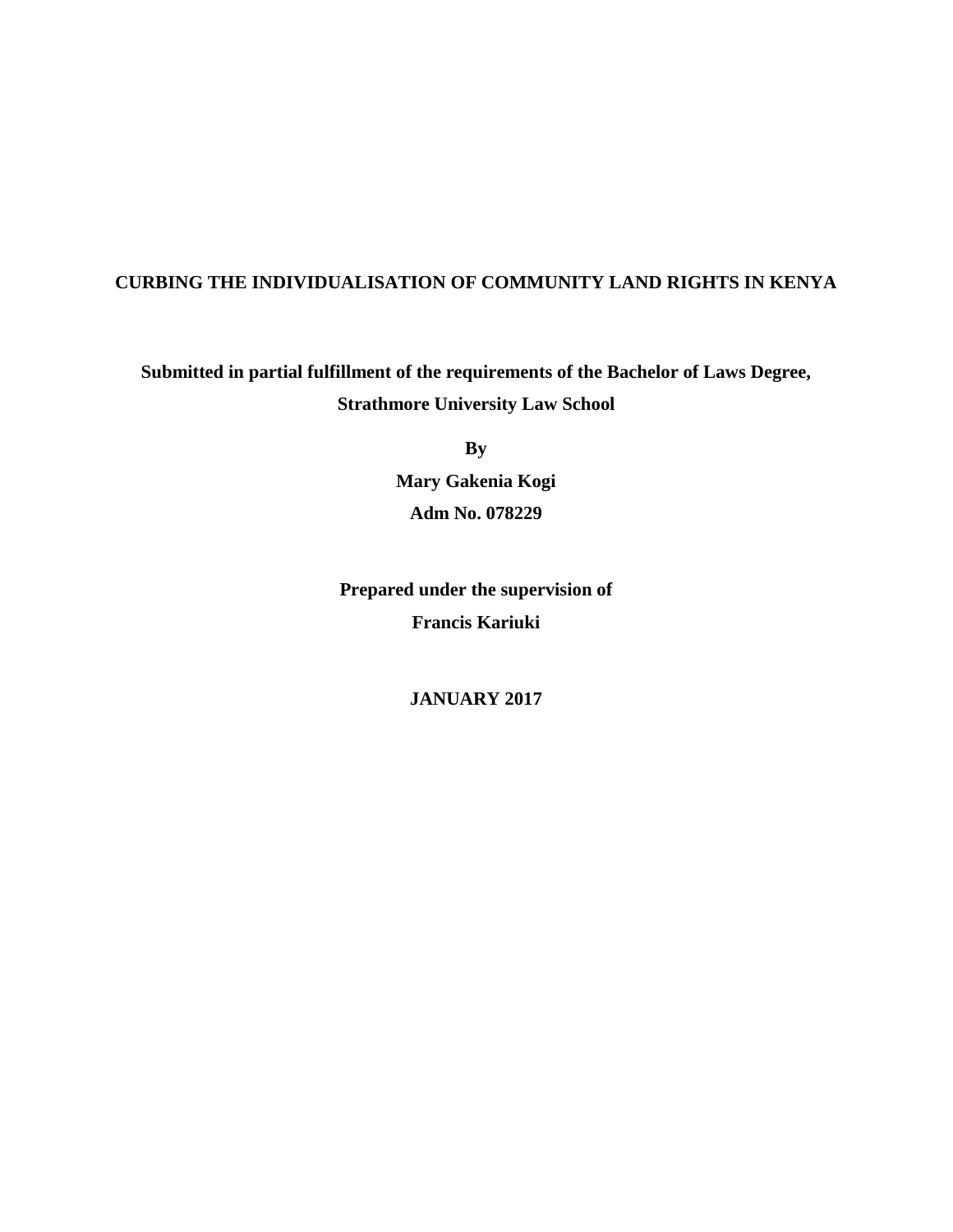## **CURBING THE INDIVIDUALISATION OF COMMUNITY LAND RIGHTS IN KENYA**

## **Submitted in partial fulfillment of the requirements of the Bachelor of Laws Degree, Strathmore University Law School**

**By**

**Mary Gakenia Kogi Adm No. 078229**

**Prepared under the supervision of Francis Kariuki**

**JANUARY 2017**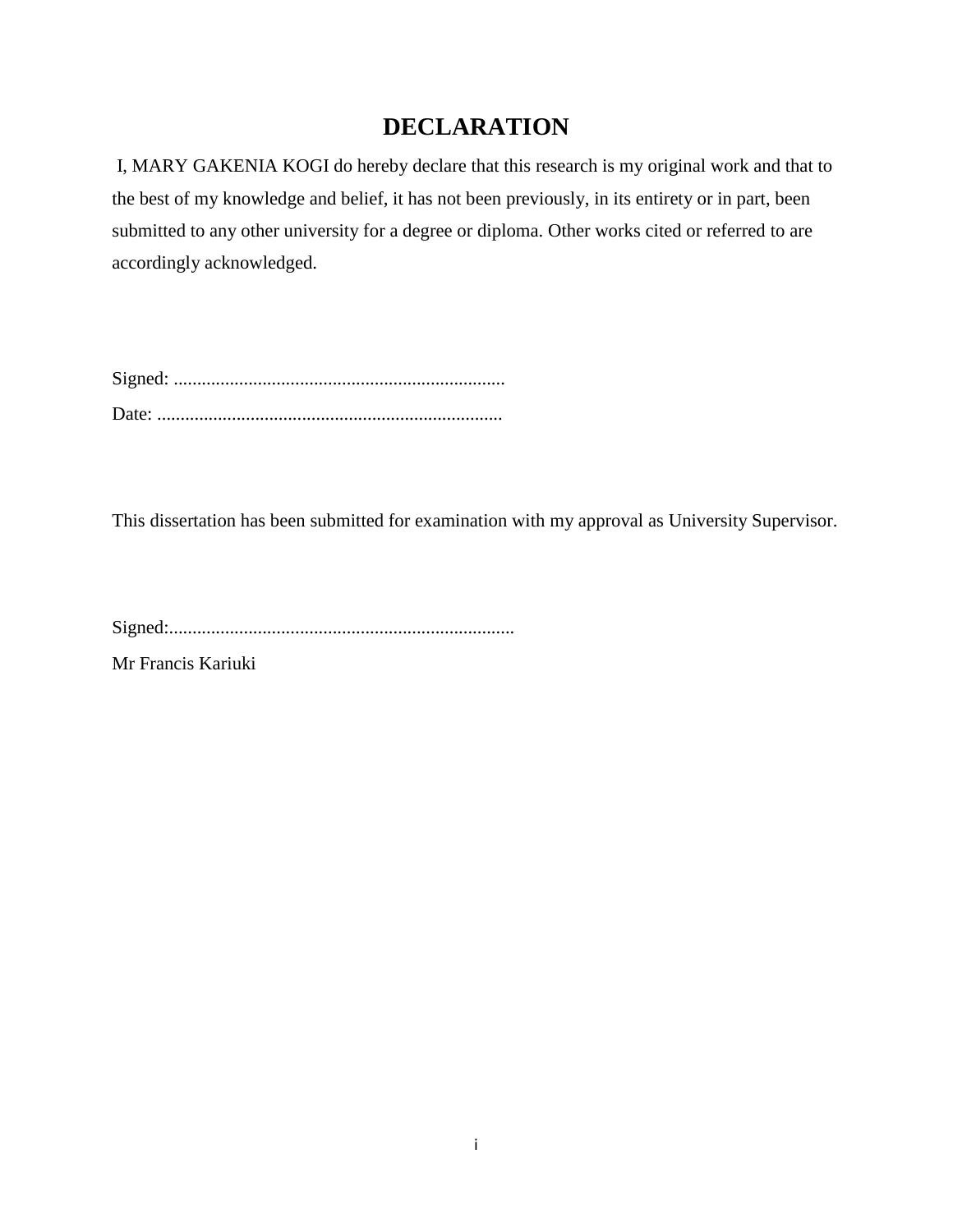## **DECLARATION**

I, MARY GAKENIA KOGI do hereby declare that this research is my original work and that to the best of my knowledge and belief, it has not been previously, in its entirety or in part, been submitted to any other university for a degree or diploma. Other works cited or referred to are accordingly acknowledged.

This dissertation has been submitted for examination with my approval as University Supervisor.

Signed:..........................................................................

Mr Francis Kariuki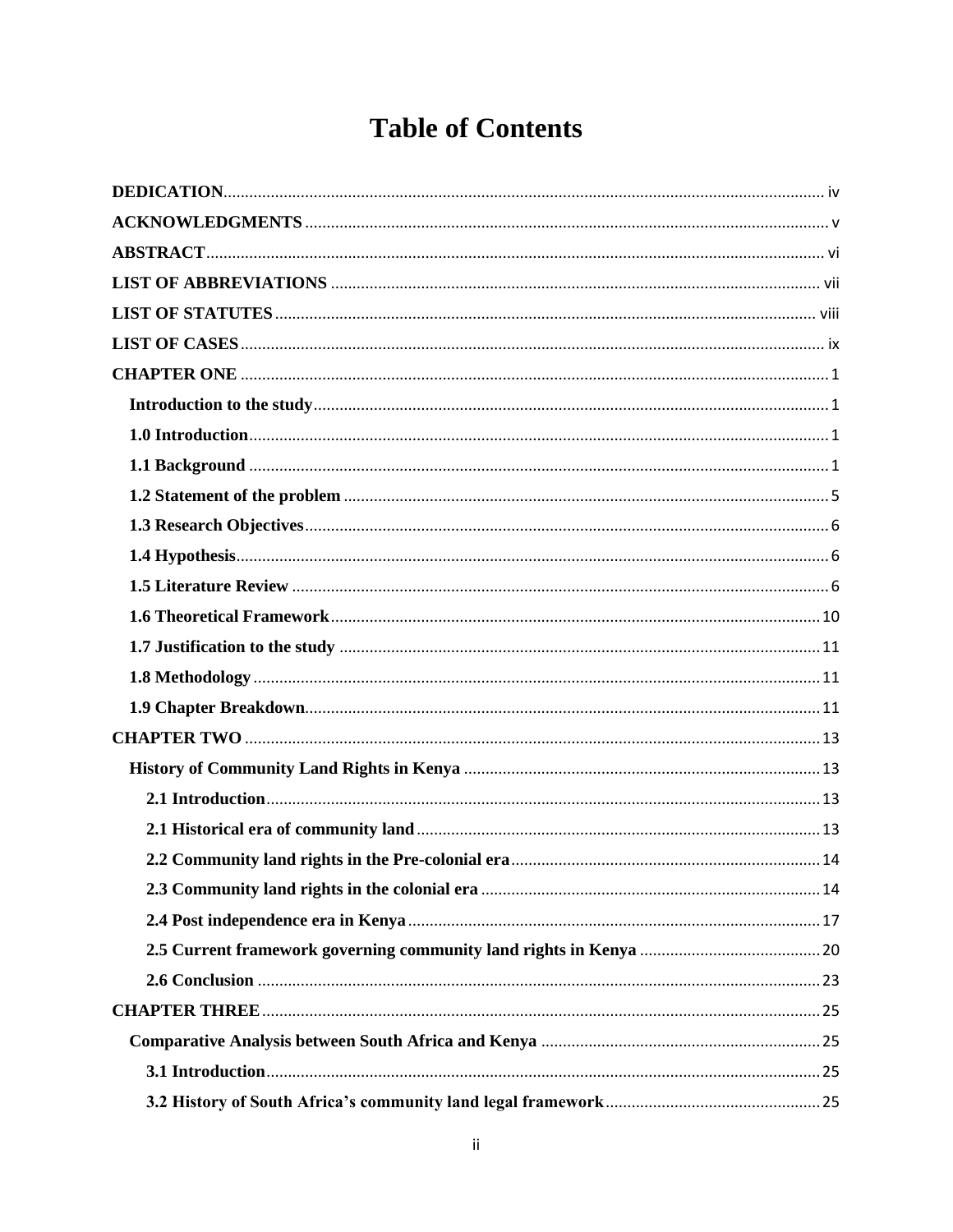# **Table of Contents**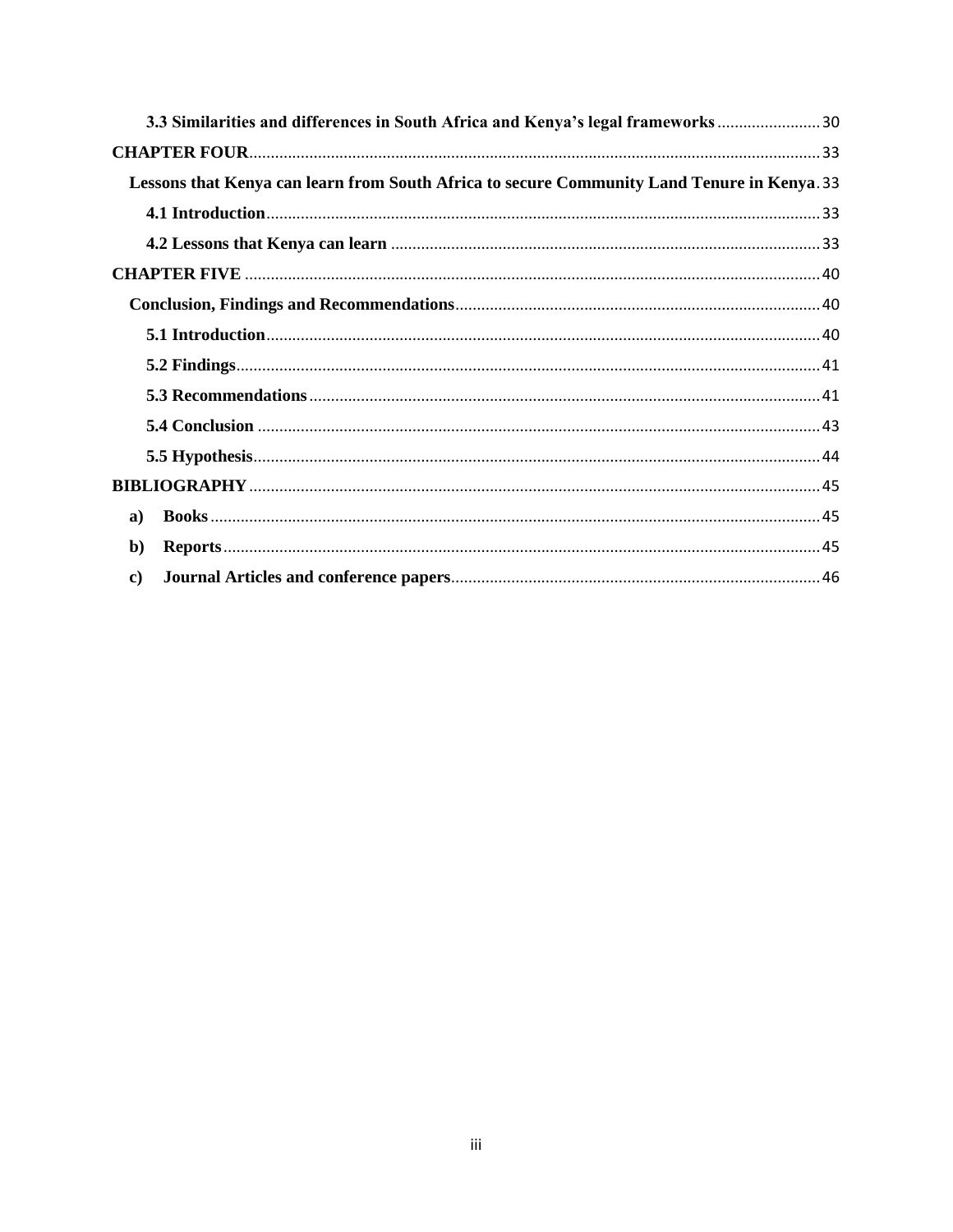| 3.3 Similarities and differences in South Africa and Kenya's legal frameworks 30            |  |
|---------------------------------------------------------------------------------------------|--|
|                                                                                             |  |
| Lessons that Kenya can learn from South Africa to secure Community Land Tenure in Kenya. 33 |  |
|                                                                                             |  |
|                                                                                             |  |
|                                                                                             |  |
|                                                                                             |  |
|                                                                                             |  |
|                                                                                             |  |
|                                                                                             |  |
|                                                                                             |  |
|                                                                                             |  |
|                                                                                             |  |
| a)                                                                                          |  |
| $\mathbf{b}$                                                                                |  |
| $\mathbf{c}$                                                                                |  |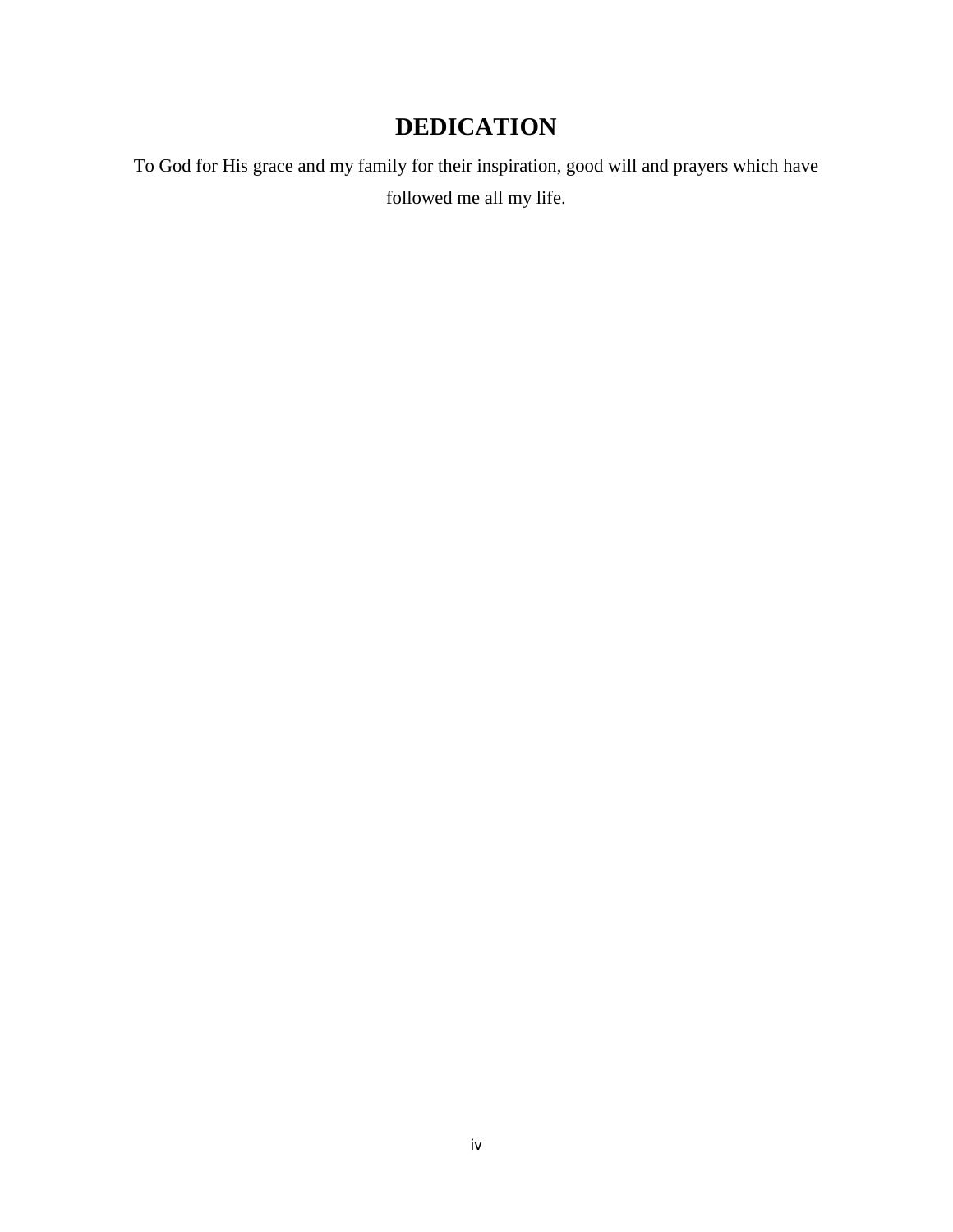# **DEDICATION**

<span id="page-4-0"></span>To God for His grace and my family for their inspiration, good will and prayers which have followed me all my life.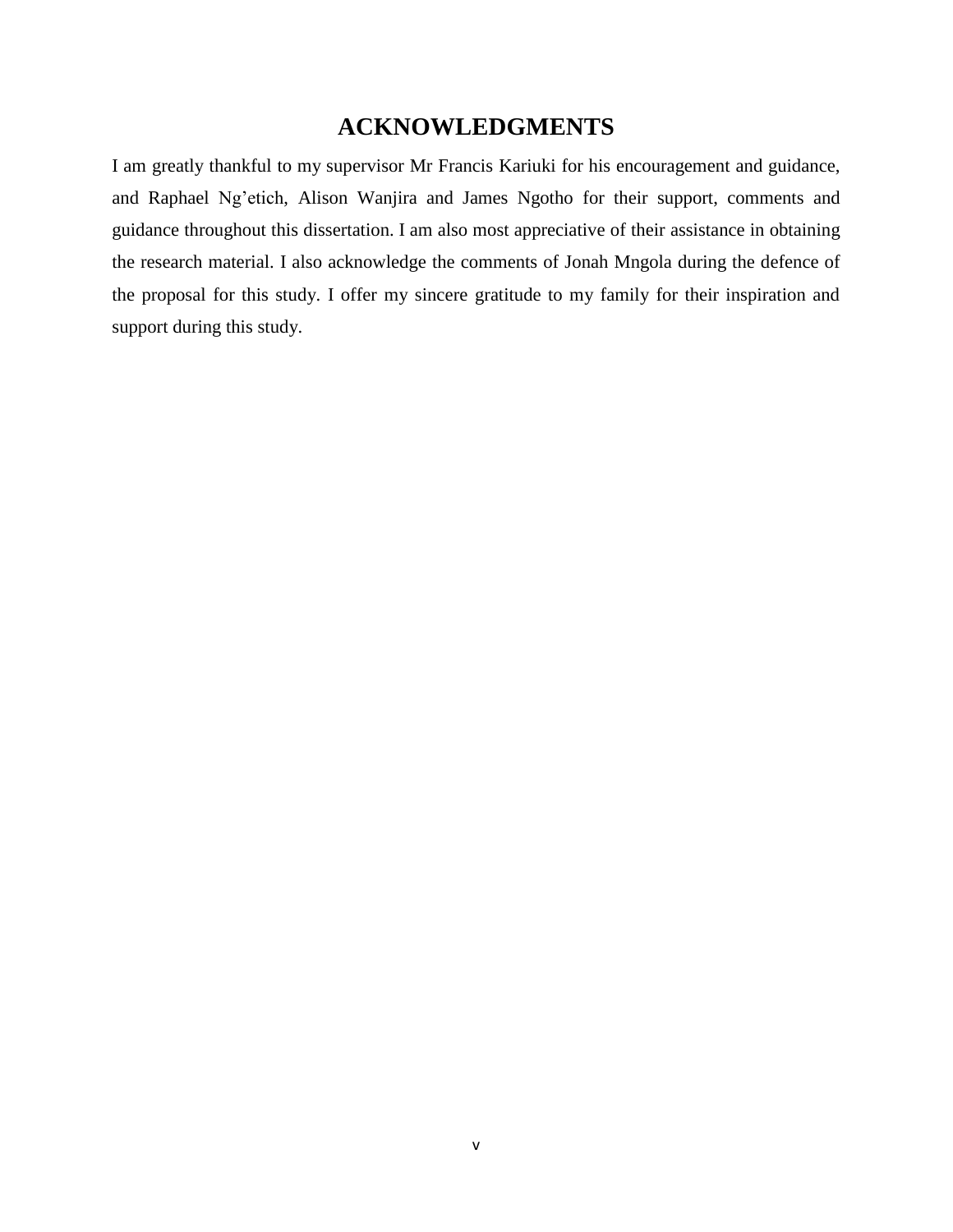## **ACKNOWLEDGMENTS**

<span id="page-5-0"></span>I am greatly thankful to my supervisor Mr Francis Kariuki for his encouragement and guidance, and Raphael Ng'etich, Alison Wanjira and James Ngotho for their support, comments and guidance throughout this dissertation. I am also most appreciative of their assistance in obtaining the research material. I also acknowledge the comments of Jonah Mngola during the defence of the proposal for this study. I offer my sincere gratitude to my family for their inspiration and support during this study.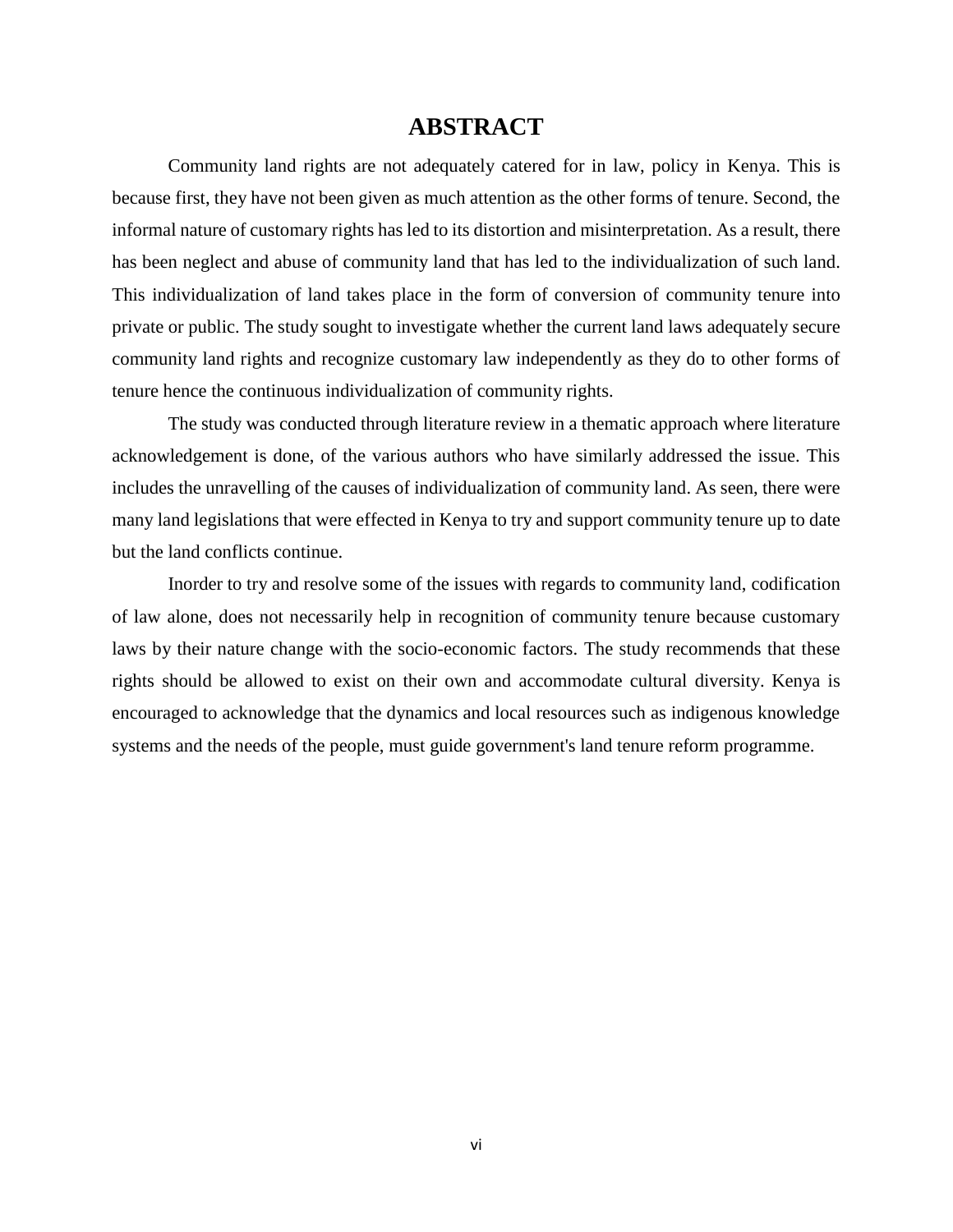## **ABSTRACT**

<span id="page-6-0"></span>Community land rights are not adequately catered for in law, policy in Kenya. This is because first, they have not been given as much attention as the other forms of tenure. Second, the informal nature of customary rights has led to its distortion and misinterpretation. As a result, there has been neglect and abuse of community land that has led to the individualization of such land. This individualization of land takes place in the form of conversion of community tenure into private or public. The study sought to investigate whether the current land laws adequately secure community land rights and recognize customary law independently as they do to other forms of tenure hence the continuous individualization of community rights.

The study was conducted through literature review in a thematic approach where literature acknowledgement is done, of the various authors who have similarly addressed the issue. This includes the unravelling of the causes of individualization of community land. As seen, there were many land legislations that were effected in Kenya to try and support community tenure up to date but the land conflicts continue.

Inorder to try and resolve some of the issues with regards to community land, codification of law alone, does not necessarily help in recognition of community tenure because customary laws by their nature change with the socio-economic factors. The study recommends that these rights should be allowed to exist on their own and accommodate cultural diversity. Kenya is encouraged to acknowledge that the dynamics and local resources such as indigenous knowledge systems and the needs of the people, must guide government's land tenure reform programme.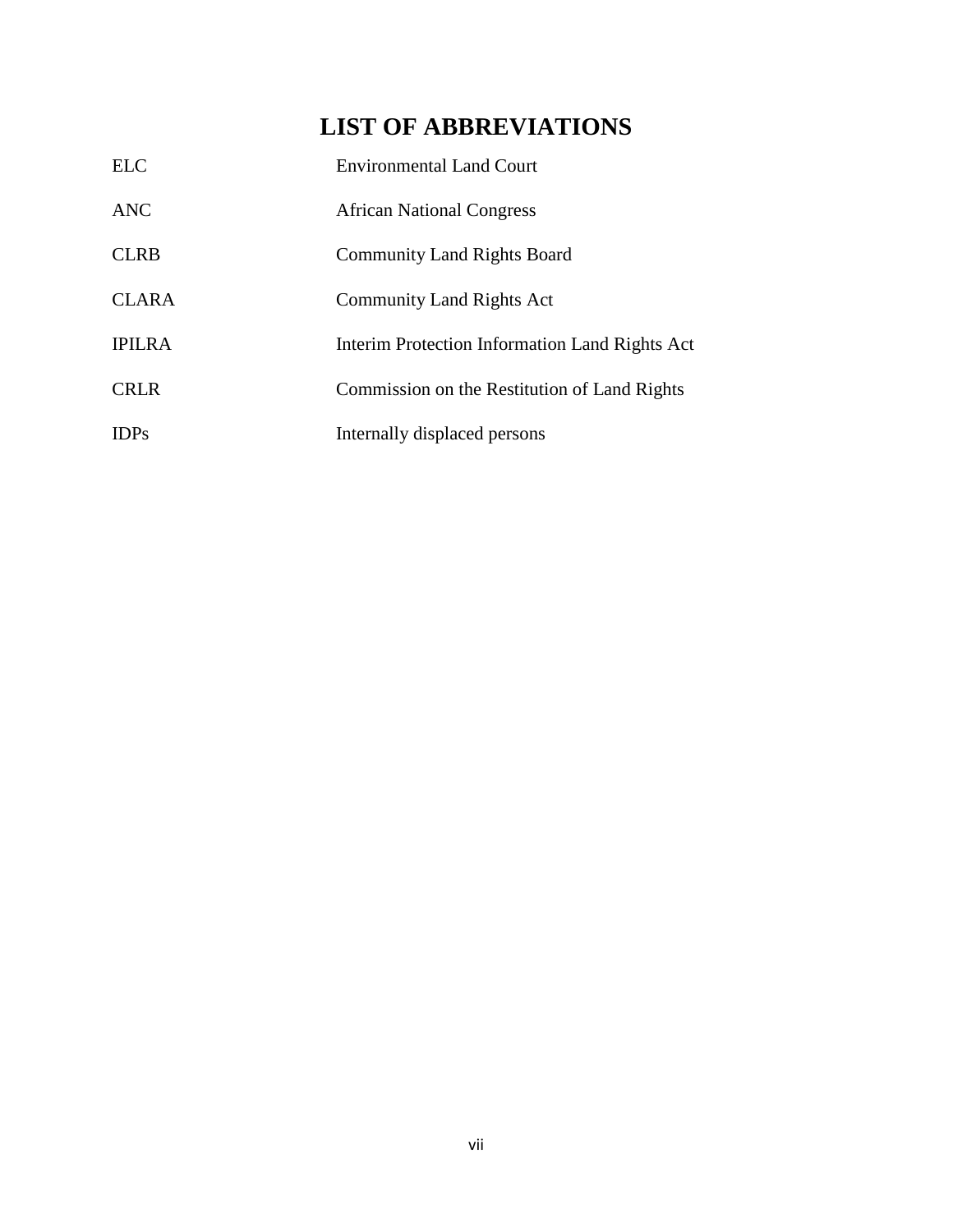# **LIST OF ABBREVIATIONS**

<span id="page-7-0"></span>

| <b>ELC</b>    | <b>Environmental Land Court</b>                |
|---------------|------------------------------------------------|
| <b>ANC</b>    | <b>African National Congress</b>               |
| <b>CLRB</b>   | <b>Community Land Rights Board</b>             |
| <b>CLARA</b>  | Community Land Rights Act                      |
| <b>IPILRA</b> | Interim Protection Information Land Rights Act |
| <b>CRLR</b>   | Commission on the Restitution of Land Rights   |
| <b>IDPs</b>   | Internally displaced persons                   |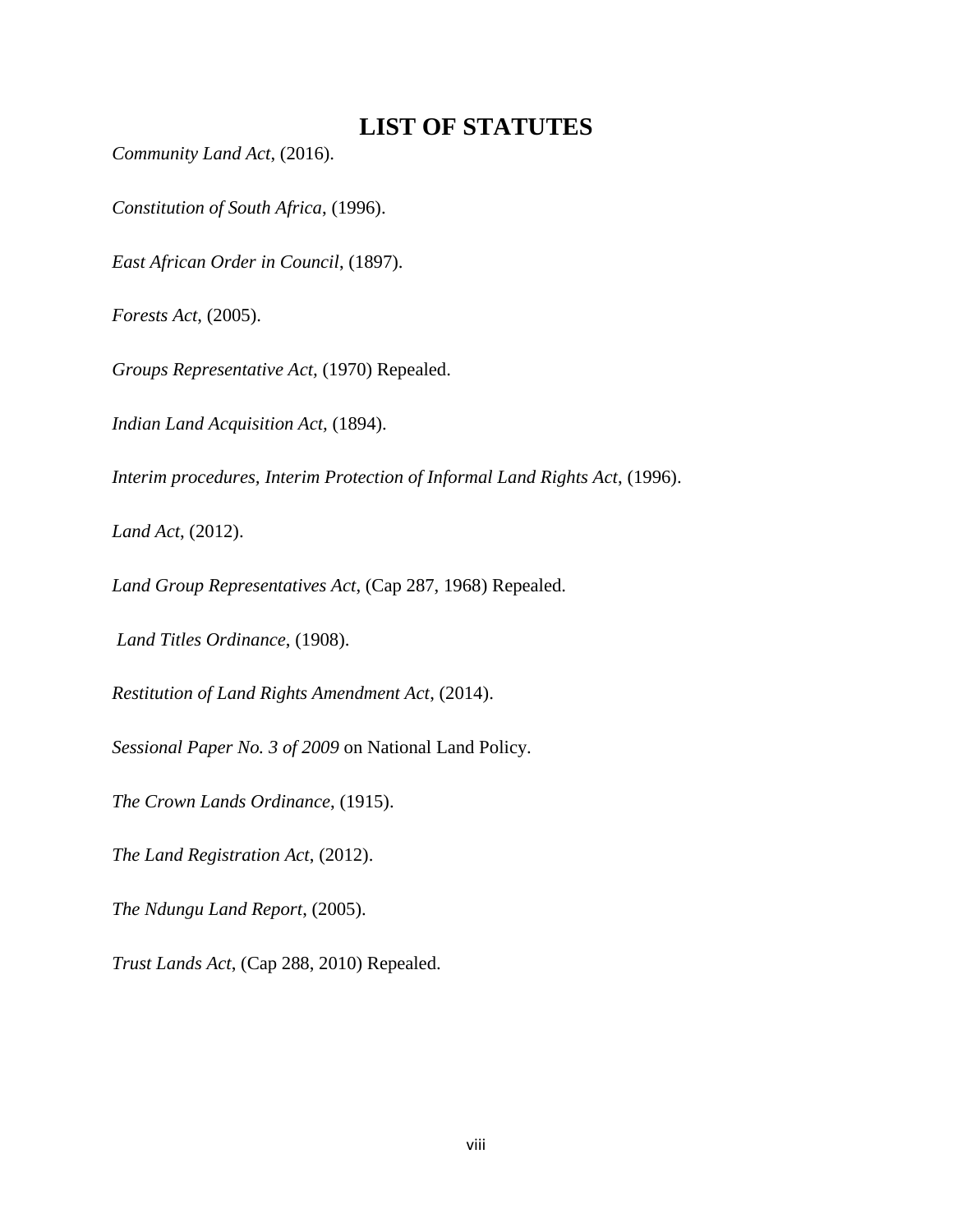## **LIST OF STATUTES**

<span id="page-8-0"></span>*Community Land Act*, (2016).

*Constitution of South Africa*, (1996).

*East African Order in Council*, (1897).

*Forests Act*, (2005).

*Groups Representative Act,* (1970) Repealed.

*Indian Land Acquisition Act,* (1894).

*Interim procedures, Interim Protection of Informal Land Rights Act*, (1996).

*Land Act*, (2012).

*Land Group Representatives Act*, (Cap 287, 1968) Repealed.

*Land Titles Ordinance*, (1908).

*Restitution of Land Rights Amendment Act*, (2014).

*Sessional Paper No. 3 of 2009* on National Land Policy.

*The Crown Lands Ordinance*, (1915).

*The Land Registration Act*, (2012).

*The Ndungu Land Report*, (2005).

*Trust Lands Act*, (Cap 288, 2010) Repealed.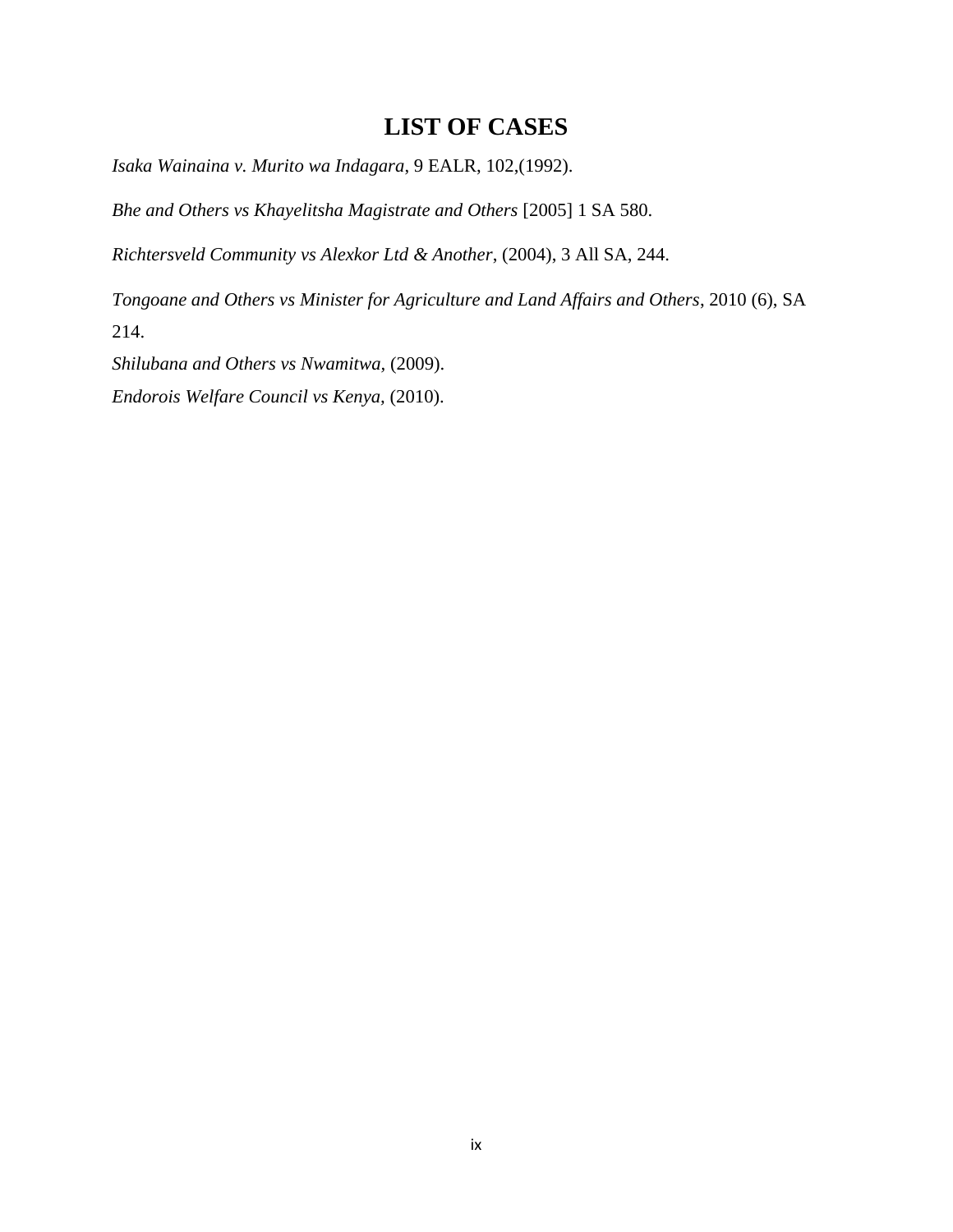## **LIST OF CASES**

<span id="page-9-0"></span>*Isaka Wainaina v. Murito wa Indagara*, 9 EALR, 102,(1992).

*Bhe and Others vs Khayelitsha Magistrate and Others* [2005] 1 SA 580.

*Richtersveld Community vs Alexkor Ltd & Another*, (2004), 3 All SA, 244.

*Tongoane and Others vs Minister for Agriculture and Land Affairs and Others*, 2010 (6), SA 214.

*Shilubana and Others vs Nwamitwa,* (2009).

*Endorois Welfare Council vs Kenya,* (2010).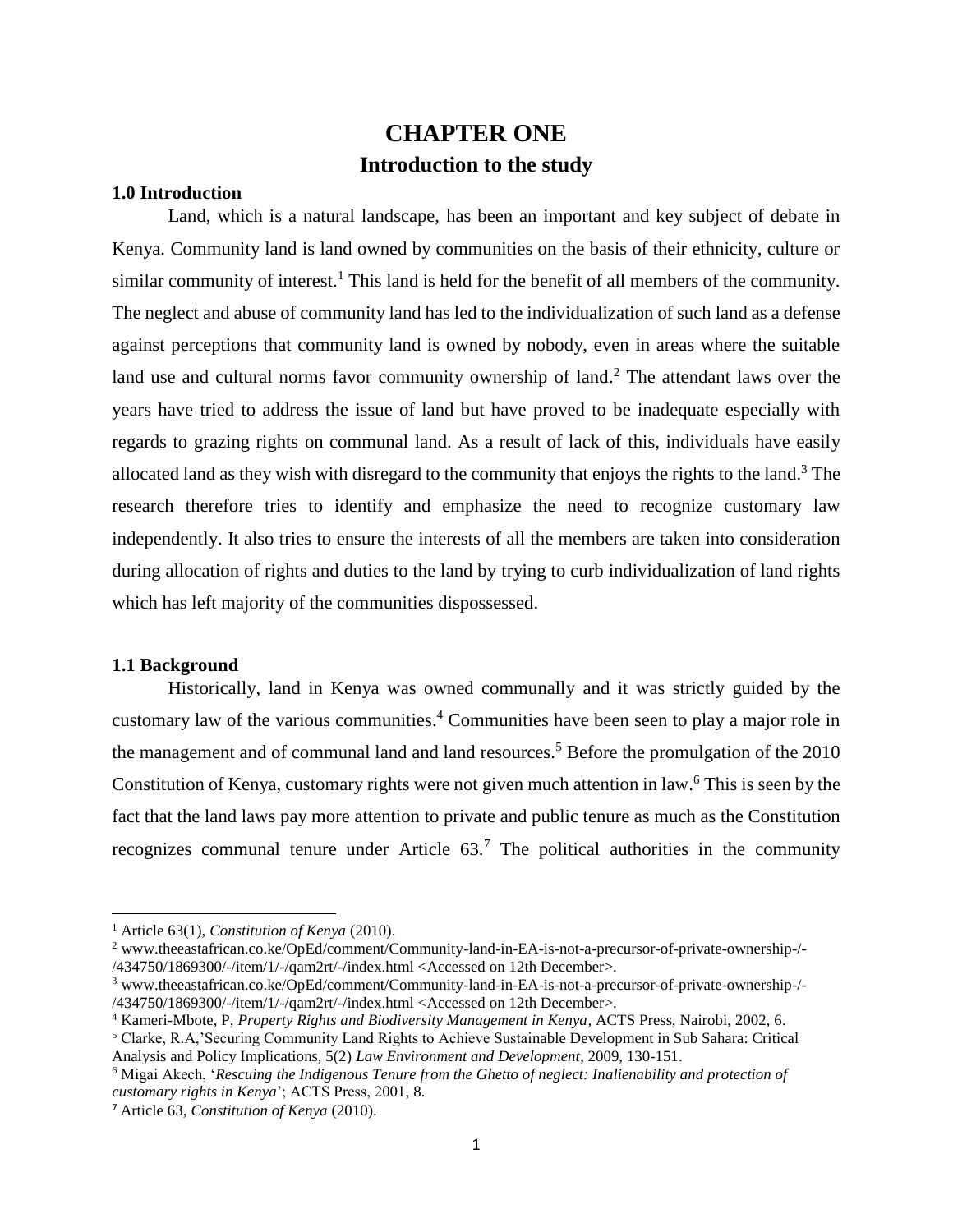## **CHAPTER ONE Introduction to the study**

### <span id="page-10-2"></span><span id="page-10-1"></span><span id="page-10-0"></span>**1.0 Introduction**

Land, which is a natural landscape, has been an important and key subject of debate in Kenya. Community land is land owned by communities on the basis of their ethnicity, culture or similar community of interest.<sup>1</sup> This land is held for the benefit of all members of the community. The neglect and abuse of community land has led to the individualization of such land as a defense against perceptions that community land is owned by nobody, even in areas where the suitable land use and cultural norms favor community ownership of land.<sup>2</sup> The attendant laws over the years have tried to address the issue of land but have proved to be inadequate especially with regards to grazing rights on communal land. As a result of lack of this, individuals have easily allocated land as they wish with disregard to the community that enjoys the rights to the land. <sup>3</sup> The research therefore tries to identify and emphasize the need to recognize customary law independently. It also tries to ensure the interests of all the members are taken into consideration during allocation of rights and duties to the land by trying to curb individualization of land rights which has left majority of the communities dispossessed.

#### <span id="page-10-3"></span>**1.1 Background**

 $\overline{a}$ 

Historically, land in Kenya was owned communally and it was strictly guided by the customary law of the various communities. <sup>4</sup> Communities have been seen to play a major role in the management and of communal land and land resources.<sup>5</sup> Before the promulgation of the 2010 Constitution of Kenya, customary rights were not given much attention in law. <sup>6</sup> This is seen by the fact that the land laws pay more attention to private and public tenure as much as the Constitution recognizes communal tenure under Article  $63<sup>7</sup>$ . The political authorities in the community

<sup>1</sup> Article 63(1), *Constitution of Kenya* (2010).

<sup>2</sup> [www.theeastafrican.co.ke/OpEd/comment/Community-land-in-EA-is-not-a-precursor-of-private-ownership-/-](http://www.theeastafrican.co.ke/OpEd/comment/Community-land-in-EA-is-not-a-precursor-of-private-ownership-/-/434750/1869300/-/item/1/-/qam2rt/-/index.html) [/434750/1869300/-/item/1/-/qam2rt/-/index.html](http://www.theeastafrican.co.ke/OpEd/comment/Community-land-in-EA-is-not-a-precursor-of-private-ownership-/-/434750/1869300/-/item/1/-/qam2rt/-/index.html) <Accessed on 12th December>.

<sup>3</sup> [www.theeastafrican.co.ke/OpEd/comment/Community-land-in-EA-is-not-a-precursor-of-private-ownership-/-](http://www.theeastafrican.co.ke/OpEd/comment/Community-land-in-EA-is-not-a-precursor-of-private-ownership-/-/434750/1869300/-/item/1/-/qam2rt/-/index.html) [/434750/1869300/-/item/1/-/qam2rt/-/index.html](http://www.theeastafrican.co.ke/OpEd/comment/Community-land-in-EA-is-not-a-precursor-of-private-ownership-/-/434750/1869300/-/item/1/-/qam2rt/-/index.html) <Accessed on 12th December>.

<sup>4</sup> Kameri-Mbote, P, *Property Rights and Biodiversity Management in Kenya*, ACTS Press, Nairobi, 2002, 6.

<sup>5</sup> Clarke, R.A,'Securing Community Land Rights to Achieve Sustainable Development in Sub Sahara: Critical Analysis and Policy Implications, 5(2) *Law Environment and Development*, 2009, 130-151.

<sup>6</sup> Migai Akech, '*Rescuing the Indigenous Tenure from the Ghetto of neglect: Inalienability and protection of customary rights in Kenya*'; ACTS Press, 2001, 8.

<sup>7</sup> Article 63, *Constitution of Kenya* (2010).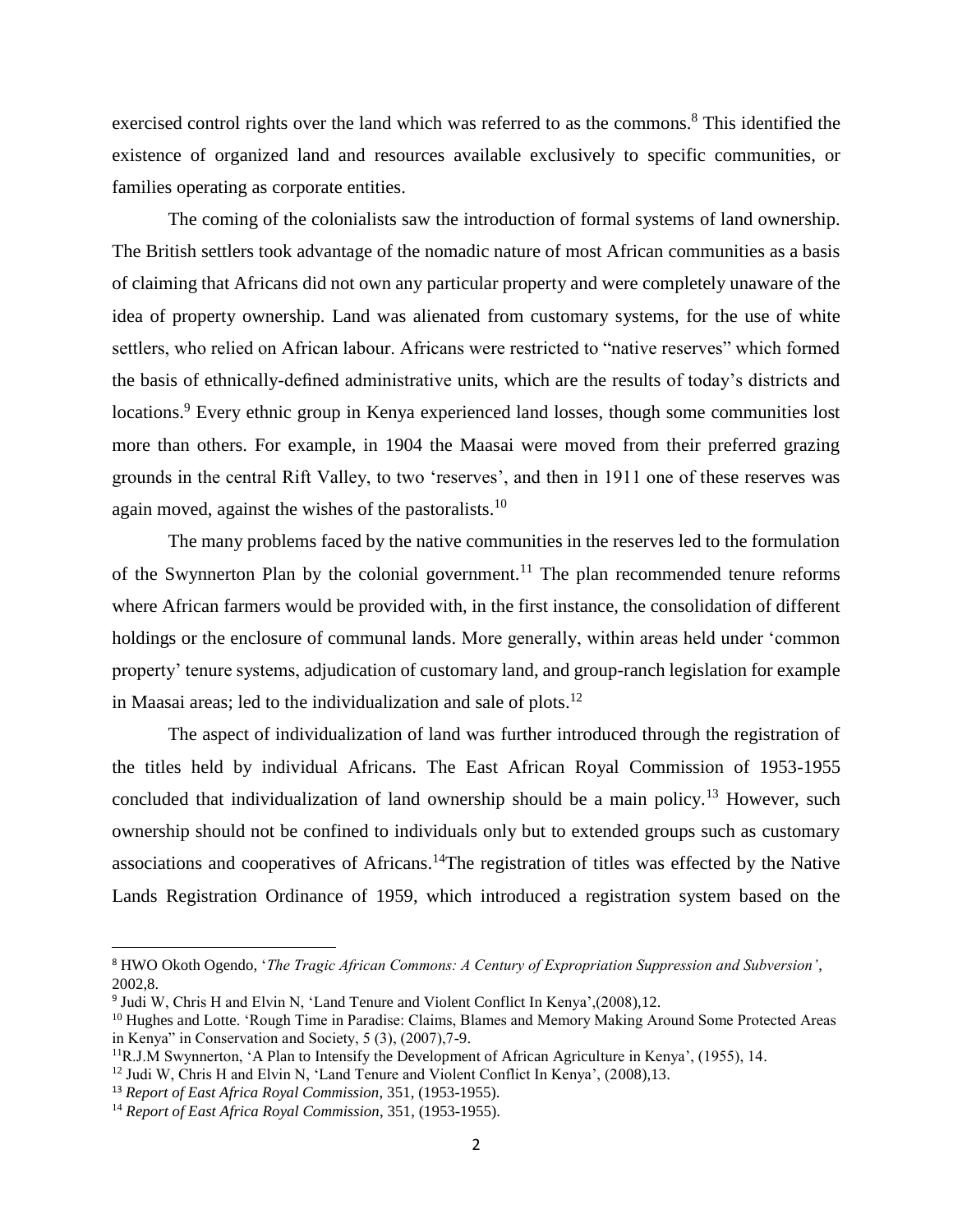exercised control rights over the land which was referred to as the commons.<sup>8</sup> This identified the existence of organized land and resources available exclusively to specific communities, or families operating as corporate entities.

The coming of the colonialists saw the introduction of formal systems of land ownership. The British settlers took advantage of the nomadic nature of most African communities as a basis of claiming that Africans did not own any particular property and were completely unaware of the idea of property ownership. Land was alienated from customary systems, for the use of white settlers, who relied on African labour. Africans were restricted to "native reserves" which formed the basis of ethnically-defined administrative units, which are the results of today's districts and locations.<sup>9</sup> Every ethnic group in Kenya experienced land losses, though some communities lost more than others. For example, in 1904 the Maasai were moved from their preferred grazing grounds in the central Rift Valley, to two 'reserves', and then in 1911 one of these reserves was again moved, against the wishes of the pastoralists.<sup>10</sup>

The many problems faced by the native communities in the reserves led to the formulation of the Swynnerton Plan by the colonial government.<sup>11</sup> The plan recommended tenure reforms where African farmers would be provided with, in the first instance, the consolidation of different holdings or the enclosure of communal lands. More generally, within areas held under 'common property' tenure systems, adjudication of customary land, and group-ranch legislation for example in Maasai areas; led to the individualization and sale of plots. 12

The aspect of individualization of land was further introduced through the registration of the titles held by individual Africans. The East African Royal Commission of 1953-1955 concluded that individualization of land ownership should be a main policy.<sup>13</sup> However, such ownership should not be confined to individuals only but to extended groups such as customary associations and cooperatives of Africans.<sup>14</sup>The registration of titles was effected by the Native Lands Registration Ordinance of 1959, which introduced a registration system based on the

<sup>8</sup> HWO Okoth Ogendo, '*The Tragic African Commons: A Century of Expropriation Suppression and Subversion'*, 2002,8.

<sup>&</sup>lt;sup>9</sup> Judi W, Chris H and Elvin N, 'Land Tenure and Violent Conflict In Kenya', (2008), 12.

<sup>&</sup>lt;sup>10</sup> Hughes and Lotte. 'Rough Time in Paradise: Claims, Blames and Memory Making Around Some Protected Areas in Kenya" in Conservation and Society, 5 (3), (2007),7-9.

<sup>11</sup>R.J.M Swynnerton, 'A Plan to Intensify the Development of African Agriculture in Kenya', (1955), 14.

<sup>&</sup>lt;sup>12</sup> Judi W, Chris H and Elvin N, 'Land Tenure and Violent Conflict In Kenya', (2008),13.

<sup>13</sup> *Report of East Africa Royal Commission*, 351, (1953-1955).

<sup>14</sup> *Report of East Africa Royal Commission*, 351, (1953-1955).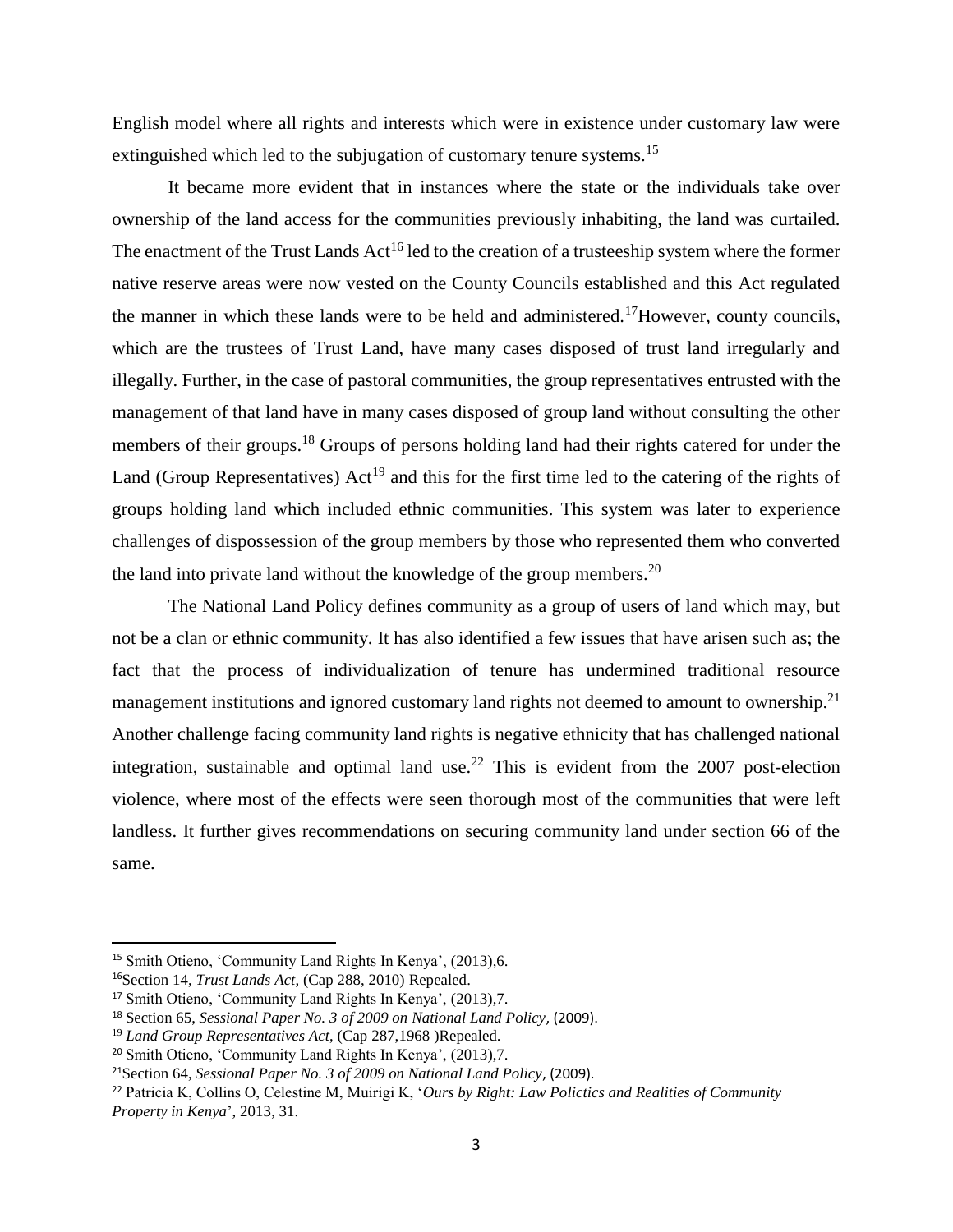English model where all rights and interests which were in existence under customary law were extinguished which led to the subjugation of customary tenure systems.<sup>15</sup>

It became more evident that in instances where the state or the individuals take over ownership of the land access for the communities previously inhabiting, the land was curtailed. The enactment of the Trust Lands Act<sup>16</sup> led to the creation of a trusteeship system where the former native reserve areas were now vested on the County Councils established and this Act regulated the manner in which these lands were to be held and administered.<sup>17</sup>However, county councils, which are the trustees of Trust Land, have many cases disposed of trust land irregularly and illegally. Further, in the case of pastoral communities, the group representatives entrusted with the management of that land have in many cases disposed of group land without consulting the other members of their groups.<sup>18</sup> Groups of persons holding land had their rights catered for under the Land (Group Representatives)  $Act^{19}$  and this for the first time led to the catering of the rights of groups holding land which included ethnic communities. This system was later to experience challenges of dispossession of the group members by those who represented them who converted the land into private land without the knowledge of the group members.<sup>20</sup>

The National Land Policy defines community as a group of users of land which may, but not be a clan or ethnic community. It has also identified a few issues that have arisen such as; the fact that the process of individualization of tenure has undermined traditional resource management institutions and ignored customary land rights not deemed to amount to ownership.<sup>21</sup> Another challenge facing community land rights is negative ethnicity that has challenged national integration, sustainable and optimal land use.<sup>22</sup> This is evident from the 2007 post-election violence, where most of the effects were seen thorough most of the communities that were left landless. It further gives recommendations on securing community land under section 66 of the same.

 $\overline{a}$ 

<sup>15</sup> Smith Otieno, 'Community Land Rights In Kenya', (2013),6.

<sup>16</sup>Section 14, *Trust Lands Act*, (Cap 288, 2010) Repealed.

<sup>17</sup> Smith Otieno, 'Community Land Rights In Kenya', (2013),7.

<sup>18</sup> Section 65, *Sessional Paper No. 3 of 2009 on National Land Policy*, (2009).

<sup>19</sup> *Land Group Representatives Act*, (Cap 287,1968 )Repealed.

<sup>20</sup> Smith Otieno, 'Community Land Rights In Kenya', (2013),7.

<sup>21</sup>Section 64, *Sessional Paper No. 3 of 2009 on National Land Policy*, (2009).

<sup>22</sup> Patricia K, Collins O, Celestine M, Muirigi K, '*Ours by Right: Law Polictics and Realities of Community Property in Kenya*', 2013, 31.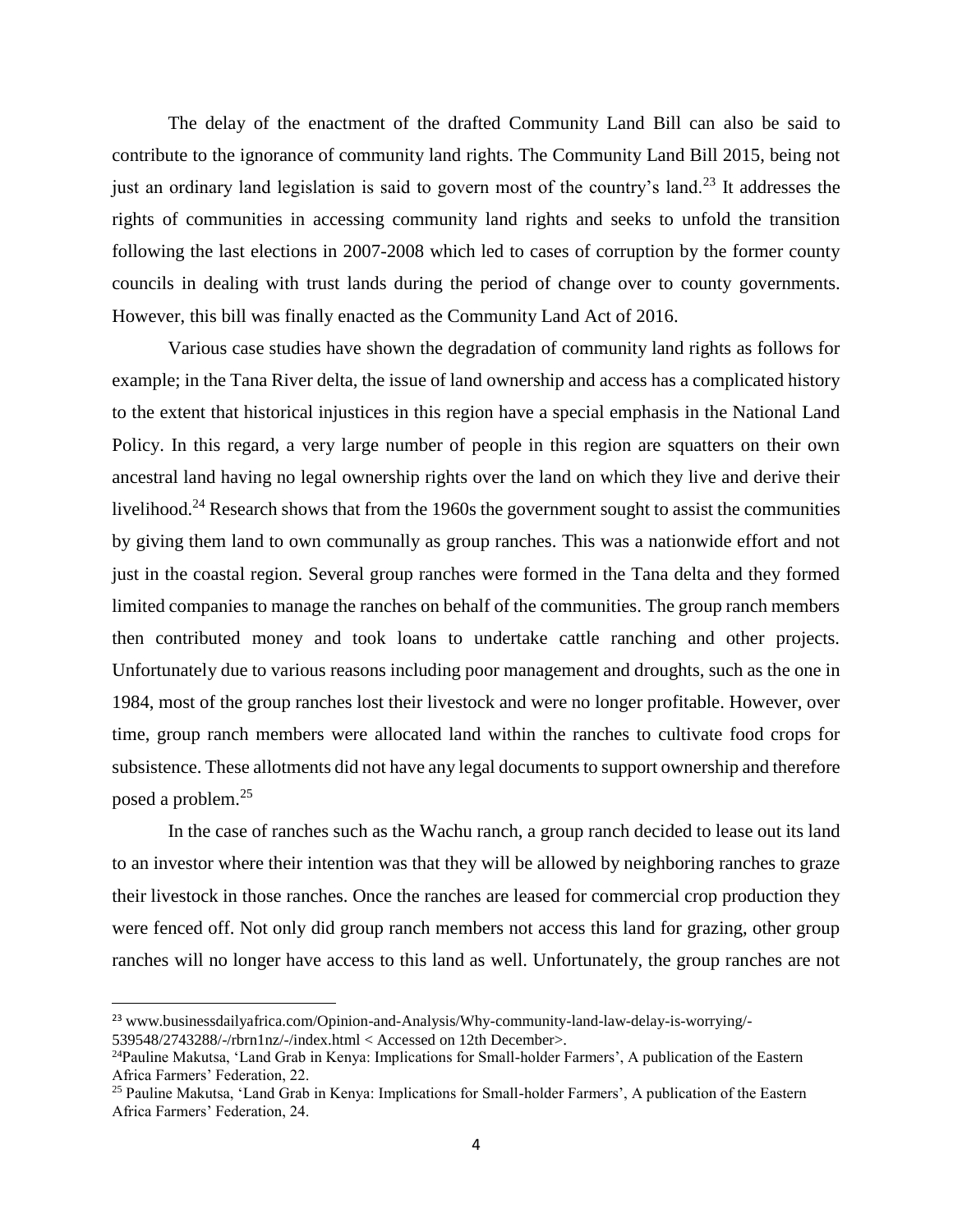The delay of the enactment of the drafted Community Land Bill can also be said to contribute to the ignorance of community land rights. The Community Land Bill 2015, being not just an ordinary land legislation is said to govern most of the country's land.<sup>23</sup> It addresses the rights of communities in accessing community land rights and seeks to unfold the transition following the last elections in 2007-2008 which led to cases of corruption by the former county councils in dealing with trust lands during the period of change over to county governments. However, this bill was finally enacted as the Community Land Act of 2016.

Various case studies have shown the degradation of community land rights as follows for example; in the Tana River delta, the issue of land ownership and access has a complicated history to the extent that historical injustices in this region have a special emphasis in the National Land Policy. In this regard, a very large number of people in this region are squatters on their own ancestral land having no legal ownership rights over the land on which they live and derive their livelihood.<sup>24</sup> Research shows that from the 1960s the government sought to assist the communities by giving them land to own communally as group ranches. This was a nationwide effort and not just in the coastal region. Several group ranches were formed in the Tana delta and they formed limited companies to manage the ranches on behalf of the communities. The group ranch members then contributed money and took loans to undertake cattle ranching and other projects. Unfortunately due to various reasons including poor management and droughts, such as the one in 1984, most of the group ranches lost their livestock and were no longer profitable. However, over time, group ranch members were allocated land within the ranches to cultivate food crops for subsistence. These allotments did not have any legal documents to support ownership and therefore posed a problem.<sup>25</sup>

In the case of ranches such as the Wachu ranch, a group ranch decided to lease out its land to an investor where their intention was that they will be allowed by neighboring ranches to graze their livestock in those ranches. Once the ranches are leased for commercial crop production they were fenced off. Not only did group ranch members not access this land for grazing, other group ranches will no longer have access to this land as well. Unfortunately, the group ranches are not

l

<sup>23</sup> [www.businessdailyafrica.com/Opinion-and-Analysis/Why-community-land-law-delay-is-worrying/-](http://www.businessdailyafrica.com/Opinion-and-Analysis/Why-community-land-law-delay-is-worrying/-539548/2743288/-/rbrn1nz/-/index.html) [539548/2743288/-/rbrn1nz/-/index.html](http://www.businessdailyafrica.com/Opinion-and-Analysis/Why-community-land-law-delay-is-worrying/-539548/2743288/-/rbrn1nz/-/index.html) < Accessed on 12th December>.

<sup>&</sup>lt;sup>24</sup>Pauline Makutsa, 'Land Grab in Kenya: Implications for Small-holder Farmers', A publication of the Eastern Africa Farmers' Federation, 22.

<sup>25</sup> Pauline Makutsa, 'Land Grab in Kenya: Implications for Small-holder Farmers', A publication of the Eastern Africa Farmers' Federation, 24.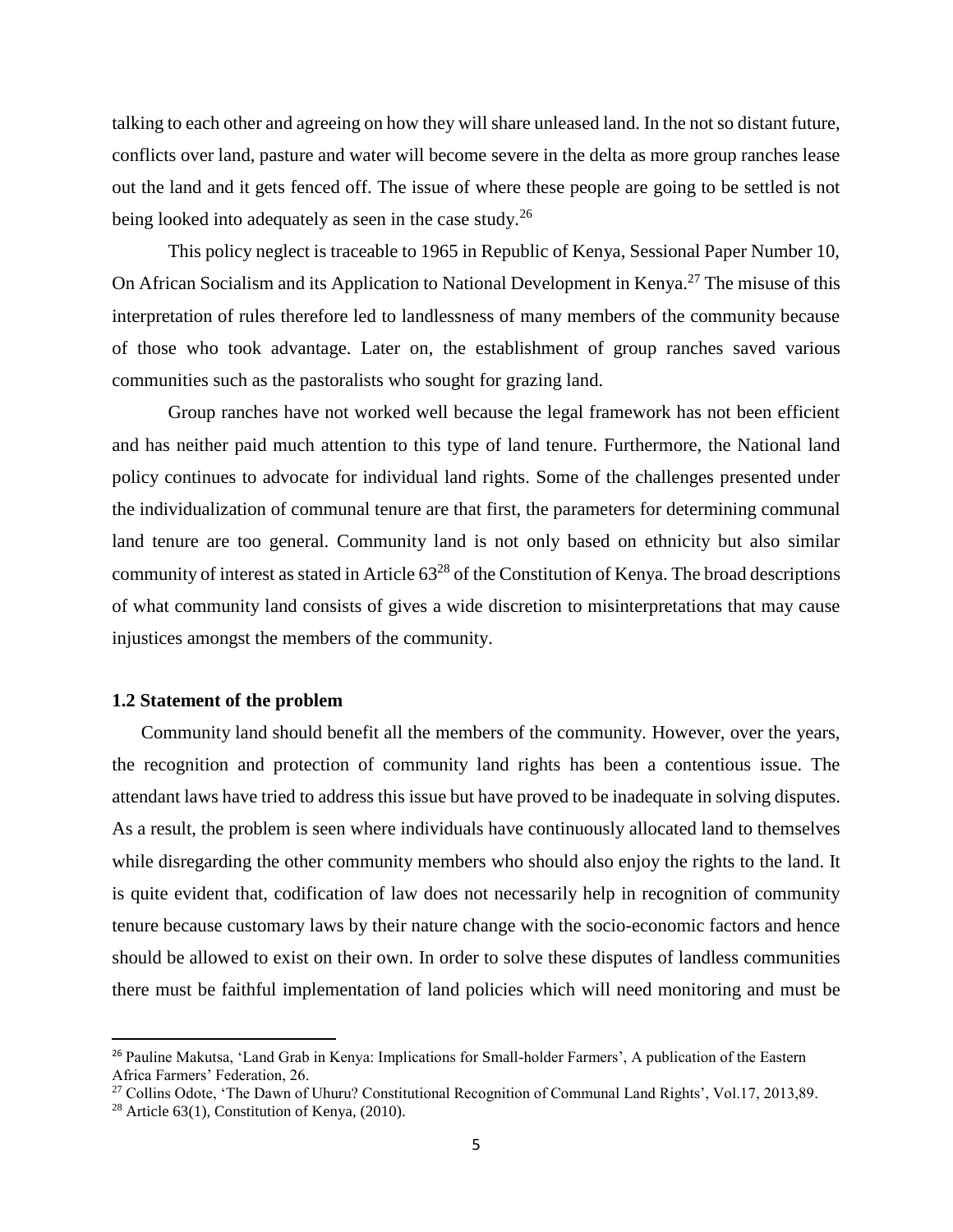talking to each other and agreeing on how they will share unleased land. In the not so distant future, conflicts over land, pasture and water will become severe in the delta as more group ranches lease out the land and it gets fenced off. The issue of where these people are going to be settled is not being looked into adequately as seen in the case study.<sup>26</sup>

This policy neglect is traceable to 1965 in Republic of Kenya, Sessional Paper Number 10, On African Socialism and its Application to National Development in Kenya.<sup>27</sup> The misuse of this interpretation of rules therefore led to landlessness of many members of the community because of those who took advantage. Later on, the establishment of group ranches saved various communities such as the pastoralists who sought for grazing land.

Group ranches have not worked well because the legal framework has not been efficient and has neither paid much attention to this type of land tenure. Furthermore, the National land policy continues to advocate for individual land rights. Some of the challenges presented under the individualization of communal tenure are that first, the parameters for determining communal land tenure are too general. Community land is not only based on ethnicity but also similar community of interest as stated in Article  $63^{28}$  of the Constitution of Kenya. The broad descriptions of what community land consists of gives a wide discretion to misinterpretations that may cause injustices amongst the members of the community.

#### <span id="page-14-0"></span>**1.2 Statement of the problem**

Community land should benefit all the members of the community. However, over the years, the recognition and protection of community land rights has been a contentious issue. The attendant laws have tried to address this issue but have proved to be inadequate in solving disputes. As a result, the problem is seen where individuals have continuously allocated land to themselves while disregarding the other community members who should also enjoy the rights to the land. It is quite evident that, codification of law does not necessarily help in recognition of community tenure because customary laws by their nature change with the socio-economic factors and hence should be allowed to exist on their own. In order to solve these disputes of landless communities there must be faithful implementation of land policies which will need monitoring and must be

<sup>26</sup> Pauline Makutsa, 'Land Grab in Kenya: Implications for Small-holder Farmers', A publication of the Eastern Africa Farmers' Federation, 26.

<sup>&</sup>lt;sup>27</sup> Collins Odote, 'The Dawn of Uhuru? Constitutional Recognition of Communal Land Rights', Vol.17, 2013,89.

<sup>&</sup>lt;sup>28</sup> Article 63(1), Constitution of Kenya, (2010).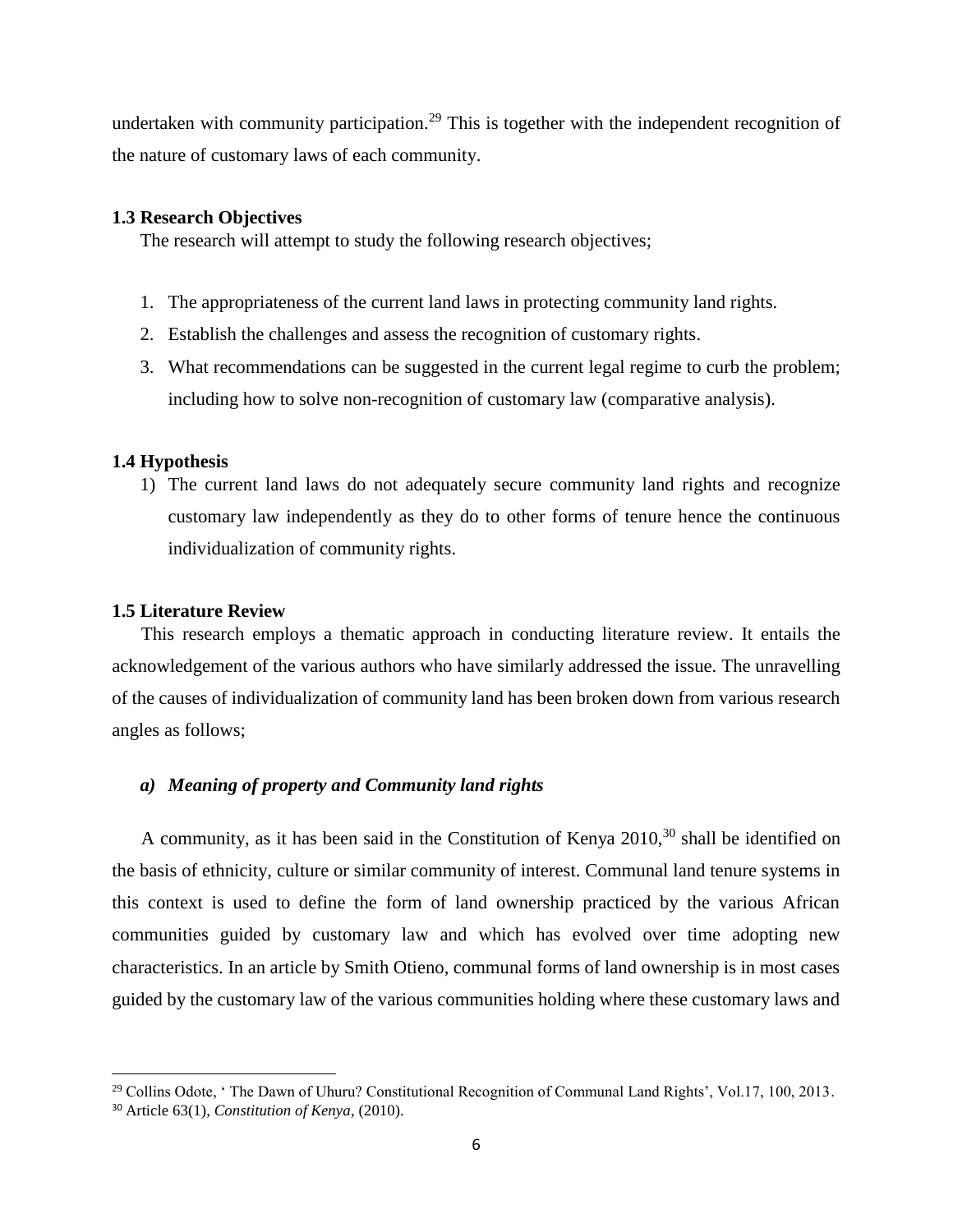undertaken with community participation.<sup>29</sup> This is together with the independent recognition of the nature of customary laws of each community.

#### <span id="page-15-0"></span>**1.3 Research Objectives**

The research will attempt to study the following research objectives;

- 1. The appropriateness of the current land laws in protecting community land rights.
- 2. Establish the challenges and assess the recognition of customary rights.
- 3. What recommendations can be suggested in the current legal regime to curb the problem; including how to solve non-recognition of customary law (comparative analysis).

#### <span id="page-15-1"></span>**1.4 Hypothesis**

1) The current land laws do not adequately secure community land rights and recognize customary law independently as they do to other forms of tenure hence the continuous individualization of community rights.

### <span id="page-15-2"></span>**1.5 Literature Review**

This research employs a thematic approach in conducting literature review. It entails the acknowledgement of the various authors who have similarly addressed the issue. The unravelling of the causes of individualization of community land has been broken down from various research angles as follows;

### *a) Meaning of property and Community land rights*

A community, as it has been said in the Constitution of Kenya  $2010<sup>30</sup>$ , shall be identified on the basis of ethnicity, culture or similar community of interest. Communal land tenure systems in this context is used to define the form of land ownership practiced by the various African communities guided by customary law and which has evolved over time adopting new characteristics. In an article by Smith Otieno, communal forms of land ownership is in most cases guided by the customary law of the various communities holding where these customary laws and

l

<sup>&</sup>lt;sup>29</sup> Collins Odote, 'The Dawn of Uhuru? Constitutional Recognition of Communal Land Rights', Vol.17, 100, 2013.

<sup>30</sup> Article 63(1), *Constitution of Kenya*, (2010).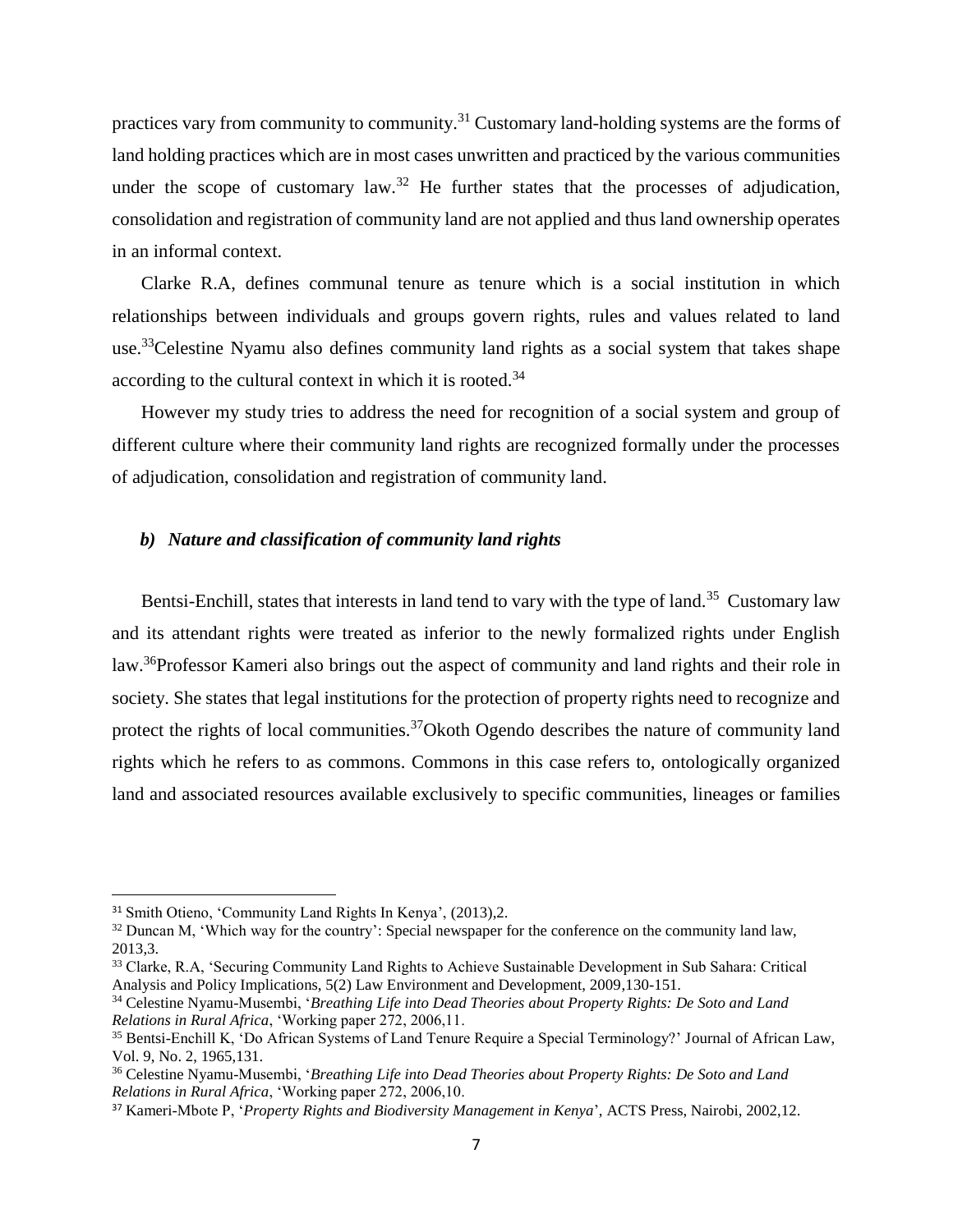practices vary from community to community.<sup>31</sup> Customary land-holding systems are the forms of land holding practices which are in most cases unwritten and practiced by the various communities under the scope of customary law.<sup>32</sup> He further states that the processes of adjudication, consolidation and registration of community land are not applied and thus land ownership operates in an informal context.

Clarke R.A, defines communal tenure as tenure which is a social institution in which relationships between individuals and groups govern rights, rules and values related to land use.<sup>33</sup>Celestine Nyamu also defines community land rights as a social system that takes shape according to the cultural context in which it is rooted.<sup>34</sup>

However my study tries to address the need for recognition of a social system and group of different culture where their community land rights are recognized formally under the processes of adjudication, consolidation and registration of community land.

### *b) Nature and classification of community land rights*

Bentsi-Enchill, states that interests in land tend to vary with the type of land.<sup>35</sup> Customary law and its attendant rights were treated as inferior to the newly formalized rights under English law.<sup>36</sup>Professor Kameri also brings out the aspect of community and land rights and their role in society. She states that legal institutions for the protection of property rights need to recognize and protect the rights of local communities.<sup>37</sup>Okoth Ogendo describes the nature of community land rights which he refers to as commons. Commons in this case refers to, ontologically organized land and associated resources available exclusively to specific communities, lineages or families

l

<sup>&</sup>lt;sup>31</sup> Smith Otieno, 'Community Land Rights In Kenya', (2013),2.

<sup>&</sup>lt;sup>32</sup> Duncan M, 'Which way for the country': Special newspaper for the conference on the community land law, 2013,3.

<sup>&</sup>lt;sup>33</sup> Clarke, R.A, 'Securing Community Land Rights to Achieve Sustainable Development in Sub Sahara: Critical Analysis and Policy Implications, 5(2) Law Environment and Development, 2009,130-151.

<sup>34</sup> Celestine Nyamu-Musembi, '*Breathing Life into Dead Theories about Property Rights: De Soto and Land Relations in Rural Africa*, 'Working paper 272, 2006,11.

<sup>35</sup> Bentsi-Enchill K, 'Do African Systems of Land Tenure Require a Special Terminology?' Journal of African Law, Vol. 9, No. 2, 1965,131.

<sup>36</sup> Celestine Nyamu-Musembi, '*Breathing Life into Dead Theories about Property Rights: De Soto and Land Relations in Rural Africa*, 'Working paper 272, 2006,10.

<sup>37</sup> Kameri-Mbote P, '*Property Rights and Biodiversity Management in Kenya*', ACTS Press, Nairobi, 2002,12.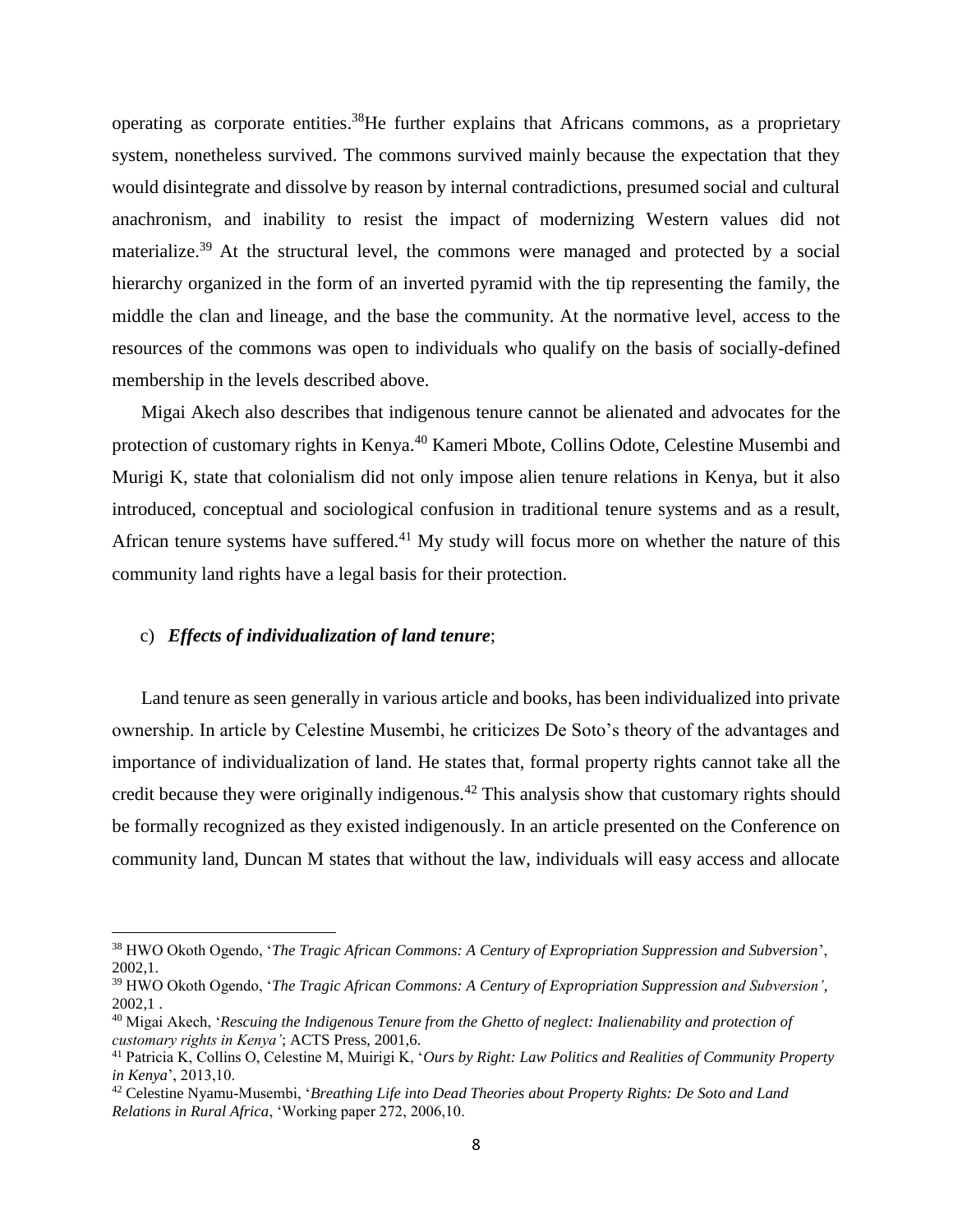operating as corporate entities.<sup>38</sup>He further explains that Africans commons, as a proprietary system, nonetheless survived. The commons survived mainly because the expectation that they would disintegrate and dissolve by reason by internal contradictions, presumed social and cultural anachronism, and inability to resist the impact of modernizing Western values did not materialize.<sup>39</sup> At the structural level, the commons were managed and protected by a social hierarchy organized in the form of an inverted pyramid with the tip representing the family, the middle the clan and lineage, and the base the community. At the normative level, access to the resources of the commons was open to individuals who qualify on the basis of socially-defined membership in the levels described above.

Migai Akech also describes that indigenous tenure cannot be alienated and advocates for the protection of customary rights in Kenya.<sup>40</sup> Kameri Mbote, Collins Odote, Celestine Musembi and Murigi K, state that colonialism did not only impose alien tenure relations in Kenya, but it also introduced, conceptual and sociological confusion in traditional tenure systems and as a result, African tenure systems have suffered.<sup>41</sup> My study will focus more on whether the nature of this community land rights have a legal basis for their protection.

#### c) *Effects of individualization of land tenure*;

 $\overline{\phantom{a}}$ 

Land tenure as seen generally in various article and books, has been individualized into private ownership. In article by Celestine Musembi, he criticizes De Soto's theory of the advantages and importance of individualization of land. He states that, formal property rights cannot take all the credit because they were originally indigenous.<sup>42</sup> This analysis show that customary rights should be formally recognized as they existed indigenously. In an article presented on the Conference on community land, Duncan M states that without the law, individuals will easy access and allocate

<sup>38</sup> HWO Okoth Ogendo, '*The Tragic African Commons: A Century of Expropriation Suppression and Subversion*', 2002,1.

<sup>39</sup> HWO Okoth Ogendo, '*The Tragic African Commons: A Century of Expropriation Suppression and Subversion'*, 2002,1 .

<sup>40</sup> Migai Akech, '*Rescuing the Indigenous Tenure from the Ghetto of neglect: Inalienability and protection of customary rights in Kenya'*; ACTS Press, 2001,6.

<sup>41</sup> Patricia K, Collins O, Celestine M, Muirigi K, '*Ours by Right: Law Politics and Realities of Community Property in Kenya*', 2013,10.

<sup>42</sup> Celestine Nyamu-Musembi, '*Breathing Life into Dead Theories about Property Rights: De Soto and Land Relations in Rural Africa*, 'Working paper 272, 2006,10.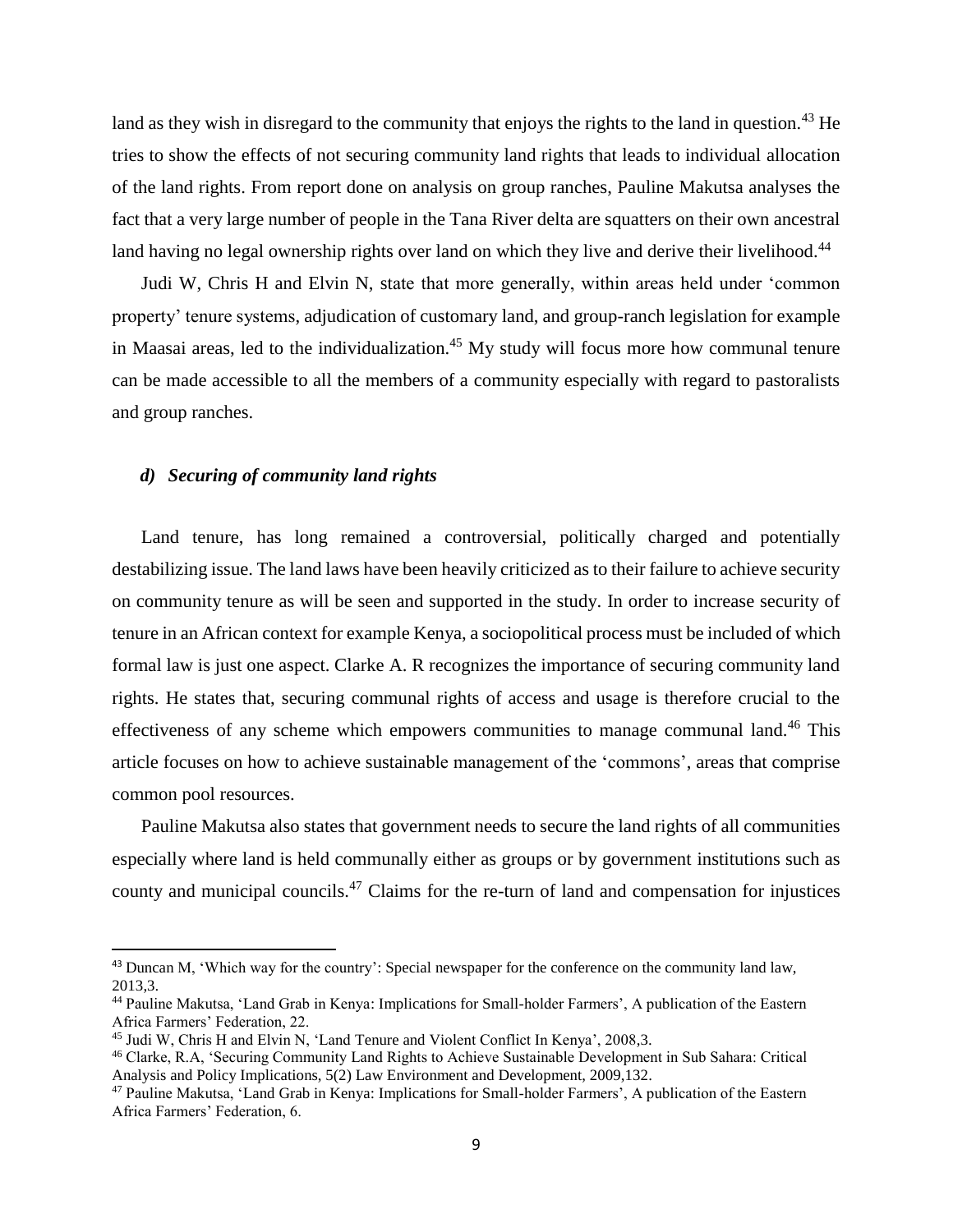land as they wish in disregard to the community that enjoys the rights to the land in question.<sup>43</sup> He tries to show the effects of not securing community land rights that leads to individual allocation of the land rights. From report done on analysis on group ranches, Pauline Makutsa analyses the fact that a very large number of people in the Tana River delta are squatters on their own ancestral land having no legal ownership rights over land on which they live and derive their livelihood.<sup>44</sup>

Judi W, Chris H and Elvin N, state that more generally, within areas held under 'common property' tenure systems, adjudication of customary land, and group-ranch legislation for example in Maasai areas, led to the individualization.<sup>45</sup> My study will focus more how communal tenure can be made accessible to all the members of a community especially with regard to pastoralists and group ranches.

#### *d) Securing of community land rights*

 $\overline{\phantom{a}}$ 

Land tenure, has long remained a controversial, politically charged and potentially destabilizing issue. The land laws have been heavily criticized as to their failure to achieve security on community tenure as will be seen and supported in the study. In order to increase security of tenure in an African context for example Kenya, a sociopolitical process must be included of which formal law is just one aspect. Clarke A. R recognizes the importance of securing community land rights. He states that, securing communal rights of access and usage is therefore crucial to the effectiveness of any scheme which empowers communities to manage communal land.<sup>46</sup> This article focuses on how to achieve sustainable management of the 'commons', areas that comprise common pool resources.

Pauline Makutsa also states that government needs to secure the land rights of all communities especially where land is held communally either as groups or by government institutions such as county and municipal councils.<sup>47</sup> Claims for the re-turn of land and compensation for injustices

<sup>43</sup> Duncan M, 'Which way for the country': Special newspaper for the conference on the community land law, 2013,3.

<sup>44</sup> Pauline Makutsa, 'Land Grab in Kenya: Implications for Small-holder Farmers', A publication of the Eastern Africa Farmers' Federation, 22.

<sup>45</sup> Judi W, Chris H and Elvin N, 'Land Tenure and Violent Conflict In Kenya', 2008,3.

<sup>46</sup> Clarke, R.A, 'Securing Community Land Rights to Achieve Sustainable Development in Sub Sahara: Critical Analysis and Policy Implications, 5(2) Law Environment and Development, 2009,132.

<sup>47</sup> Pauline Makutsa, 'Land Grab in Kenya: Implications for Small-holder Farmers', A publication of the Eastern Africa Farmers' Federation, 6.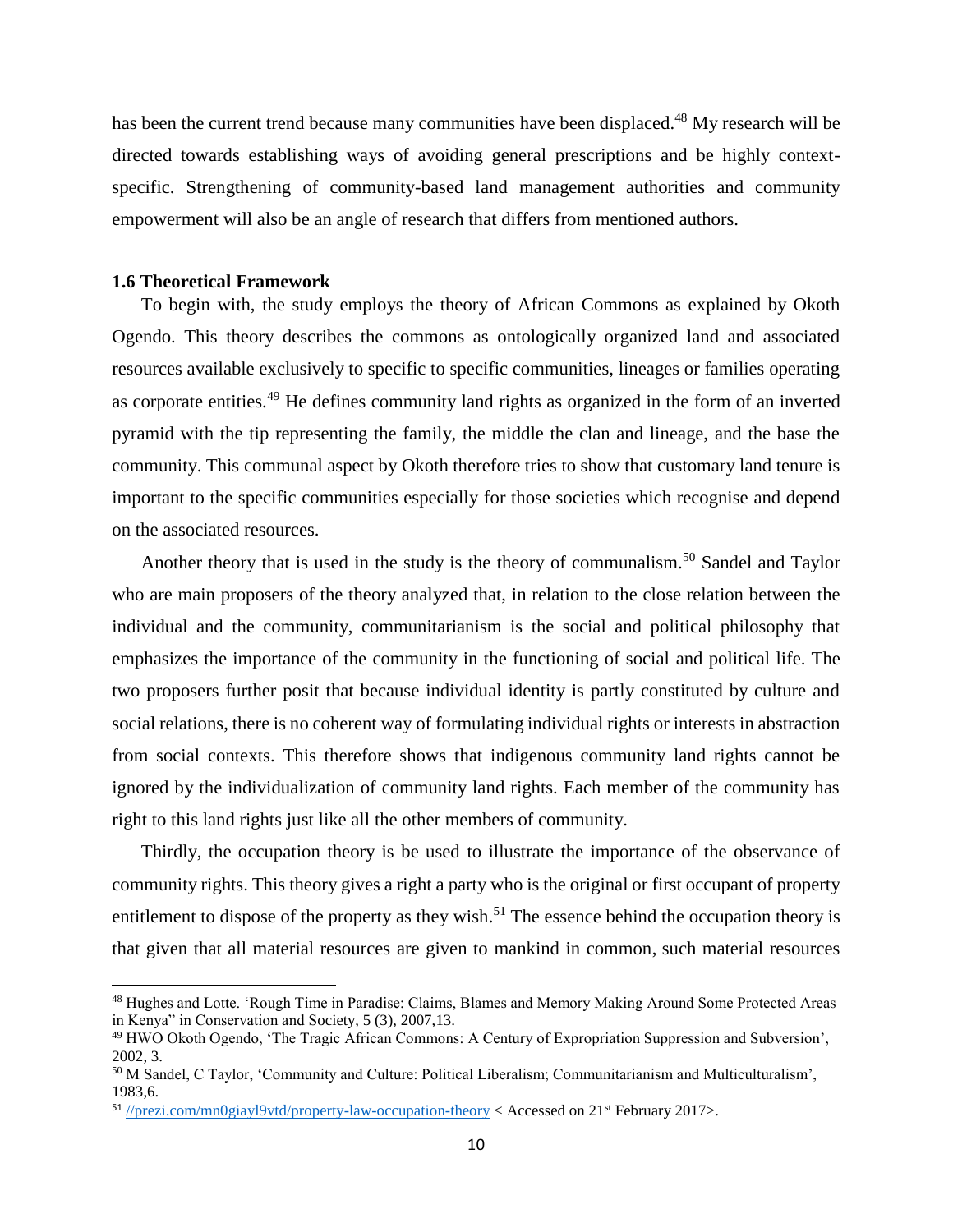has been the current trend because many communities have been displaced.<sup>48</sup> My research will be directed towards establishing ways of avoiding general prescriptions and be highly contextspecific. Strengthening of community-based land management authorities and community empowerment will also be an angle of research that differs from mentioned authors.

#### <span id="page-19-0"></span>**1.6 Theoretical Framework**

 $\overline{\phantom{a}}$ 

To begin with, the study employs the theory of African Commons as explained by Okoth Ogendo. This theory describes the commons as ontologically organized land and associated resources available exclusively to specific to specific communities, lineages or families operating as corporate entities.<sup>49</sup> He defines community land rights as organized in the form of an inverted pyramid with the tip representing the family, the middle the clan and lineage, and the base the community. This communal aspect by Okoth therefore tries to show that customary land tenure is important to the specific communities especially for those societies which recognise and depend on the associated resources.

Another theory that is used in the study is the theory of communalism.<sup>50</sup> Sandel and Taylor who are main proposers of the theory analyzed that, in relation to the close relation between the individual and the community, communitarianism is the social and political philosophy that emphasizes the importance of the community in the functioning of social and political life. The two proposers further posit that because individual identity is partly constituted by culture and social relations, there is no coherent way of formulating individual rights or interests in abstraction from social contexts. This therefore shows that indigenous community land rights cannot be ignored by the individualization of community land rights. Each member of the community has right to this land rights just like all the other members of community.

Thirdly, the occupation theory is be used to illustrate the importance of the observance of community rights. This theory gives a right a party who is the original or first occupant of property entitlement to dispose of the property as they wish.<sup>51</sup> The essence behind the occupation theory is that given that all material resources are given to mankind in common, such material resources

<sup>48</sup> Hughes and Lotte. 'Rough Time in Paradise: Claims, Blames and Memory Making Around Some Protected Areas in Kenya" in Conservation and Society, 5 (3), 2007,13.

<sup>49</sup> HWO Okoth Ogendo, 'The Tragic African Commons: A Century of Expropriation Suppression and Subversion', 2002, 3.

<sup>50</sup> M Sandel, C Taylor, 'Community and Culture: Political Liberalism; Communitarianism and Multiculturalism', 1983,6.

 $51$  [//prezi.com/mn0giayl9vtd/property-law-occupation-theory](https://prezi.com/mn0giayl9vtd/property-law-occupation-theory) < Accessed on 21<sup>st</sup> February 2017>.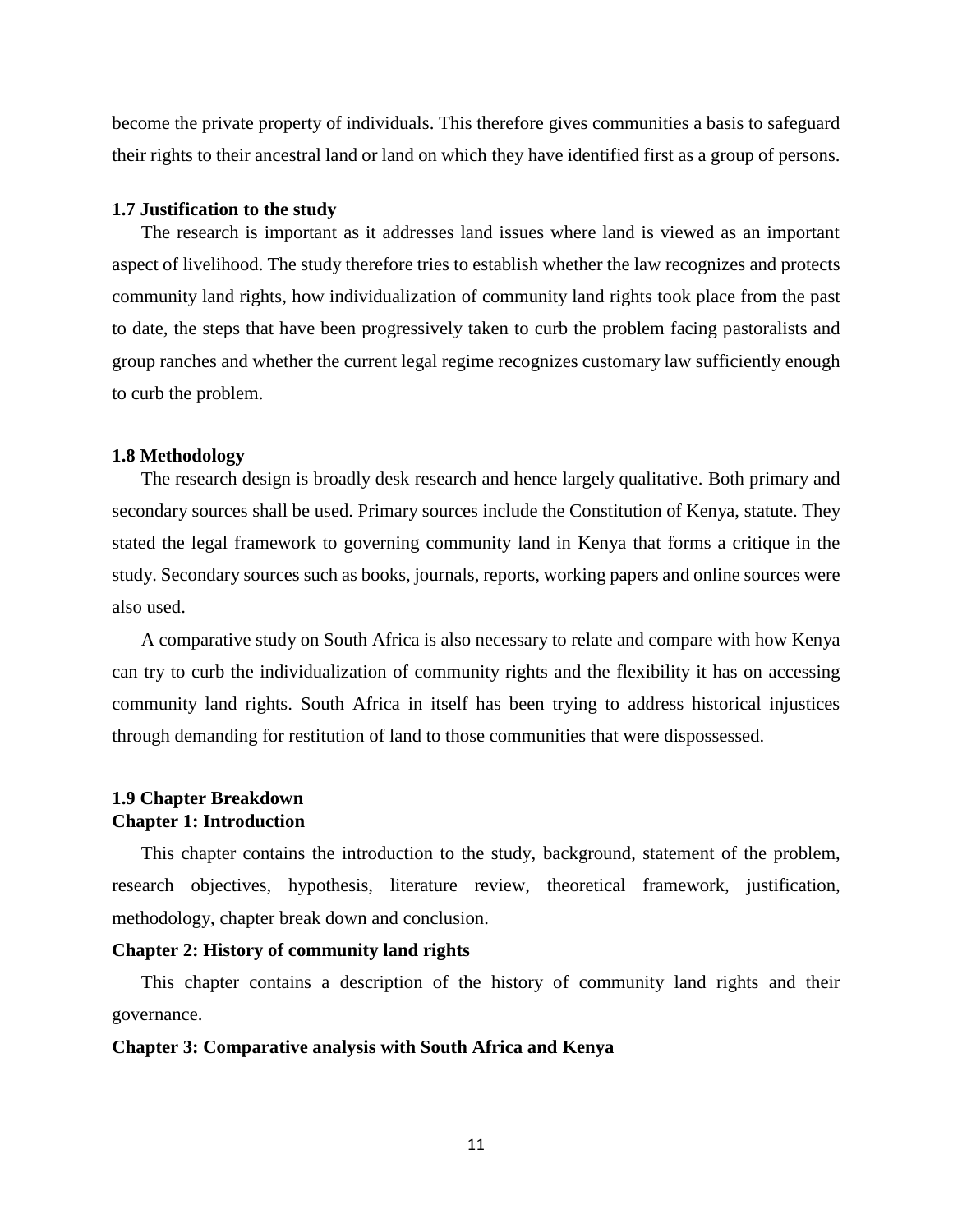become the private property of individuals. This therefore gives communities a basis to safeguard their rights to their ancestral land or land on which they have identified first as a group of persons.

#### <span id="page-20-0"></span>**1.7 Justification to the study**

The research is important as it addresses land issues where land is viewed as an important aspect of livelihood. The study therefore tries to establish whether the law recognizes and protects community land rights, how individualization of community land rights took place from the past to date, the steps that have been progressively taken to curb the problem facing pastoralists and group ranches and whether the current legal regime recognizes customary law sufficiently enough to curb the problem.

#### <span id="page-20-1"></span>**1.8 Methodology**

The research design is broadly desk research and hence largely qualitative. Both primary and secondary sources shall be used. Primary sources include the Constitution of Kenya, statute. They stated the legal framework to governing community land in Kenya that forms a critique in the study. Secondary sources such as books, journals, reports, working papers and online sources were also used.

A comparative study on South Africa is also necessary to relate and compare with how Kenya can try to curb the individualization of community rights and the flexibility it has on accessing community land rights. South Africa in itself has been trying to address historical injustices through demanding for restitution of land to those communities that were dispossessed.

### <span id="page-20-2"></span>**1.9 Chapter Breakdown Chapter 1: Introduction**

This chapter contains the introduction to the study, background, statement of the problem, research objectives, hypothesis, literature review, theoretical framework, justification, methodology, chapter break down and conclusion.

#### **Chapter 2: History of community land rights**

This chapter contains a description of the history of community land rights and their governance.

#### **Chapter 3: Comparative analysis with South Africa and Kenya**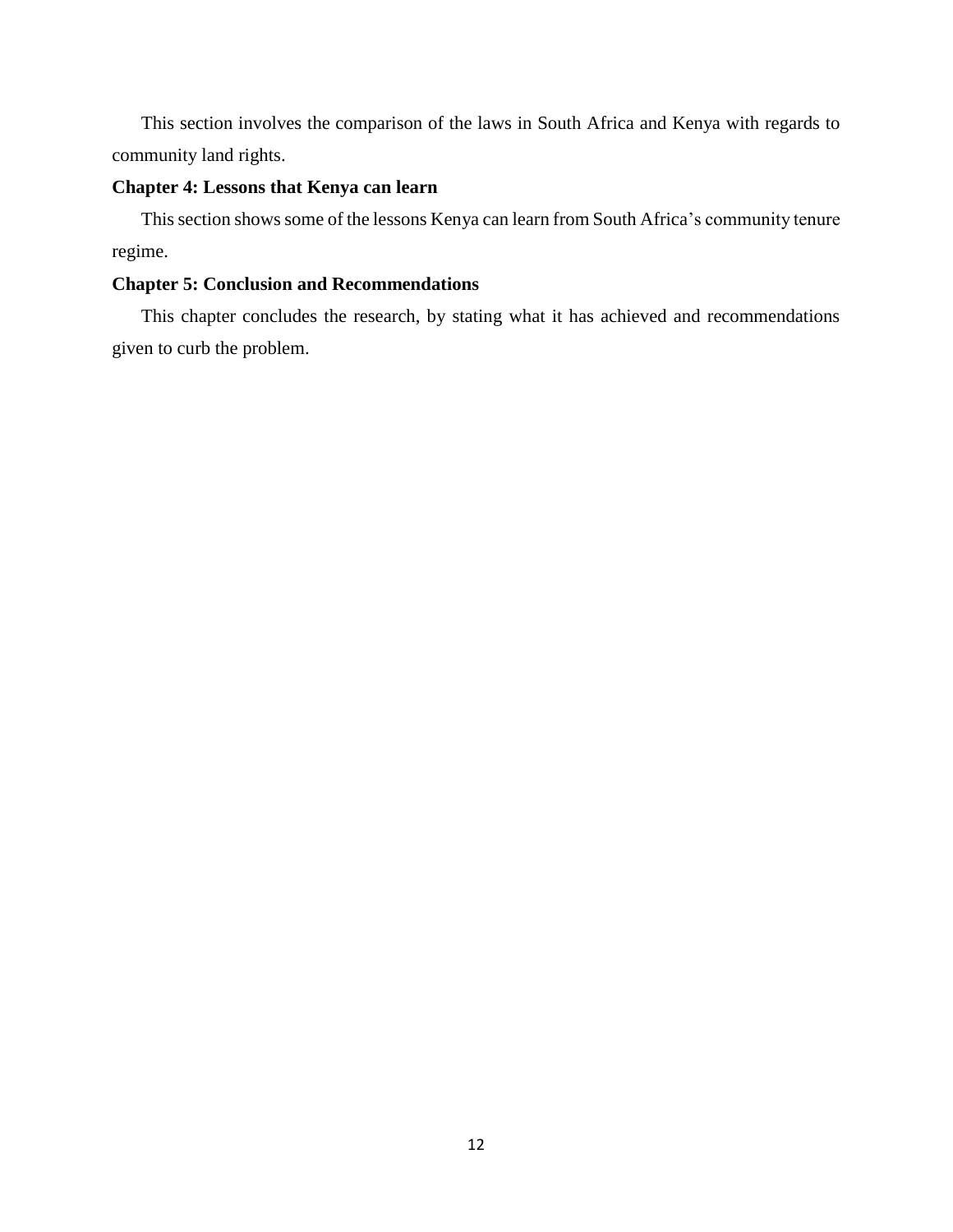This section involves the comparison of the laws in South Africa and Kenya with regards to community land rights.

## **Chapter 4: Lessons that Kenya can learn**

This section shows some of the lessons Kenya can learn from South Africa's community tenure regime.

### **Chapter 5: Conclusion and Recommendations**

This chapter concludes the research, by stating what it has achieved and recommendations given to curb the problem.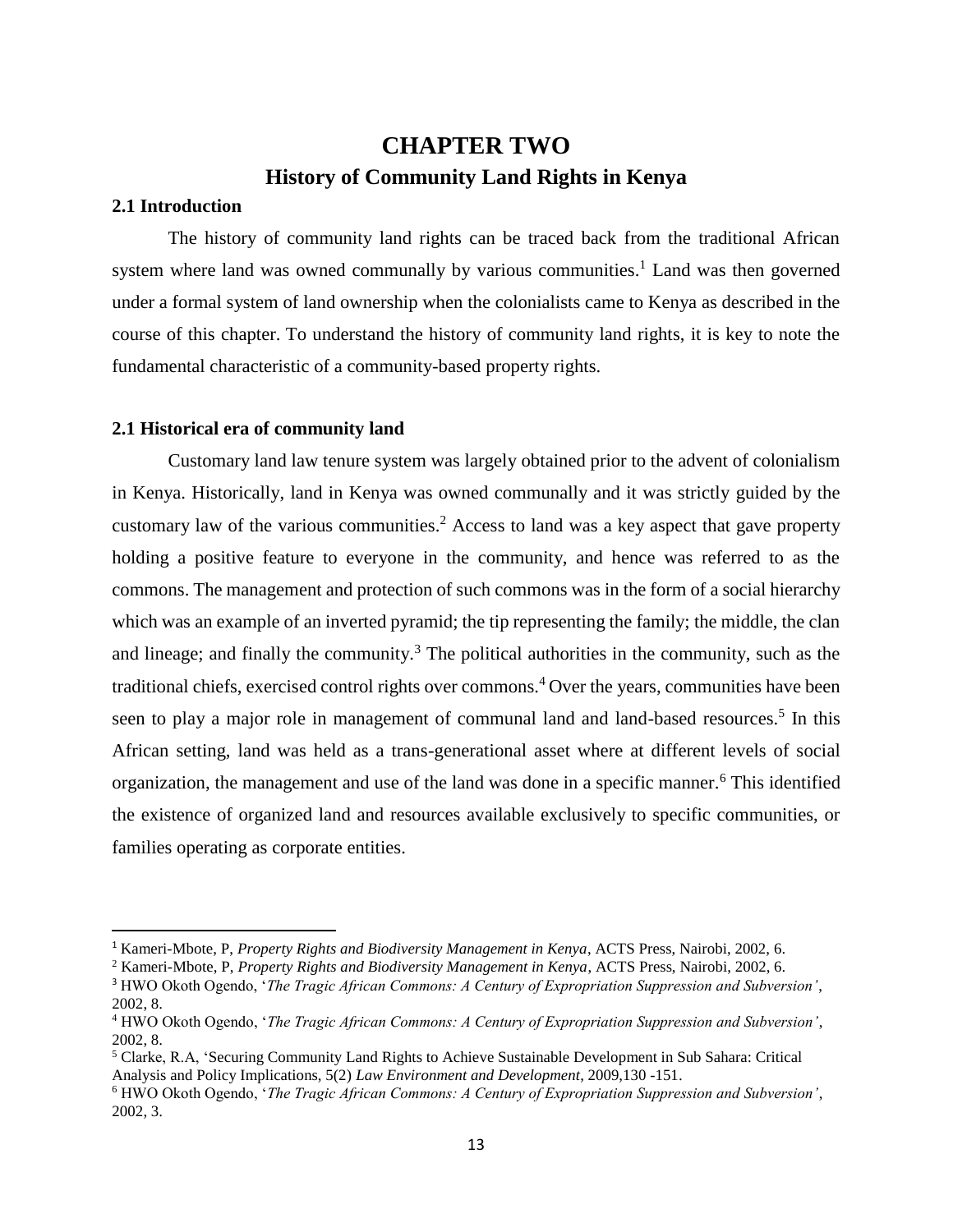## **CHAPTER TWO History of Community Land Rights in Kenya**

## <span id="page-22-2"></span><span id="page-22-1"></span><span id="page-22-0"></span>**2.1 Introduction**

 $\overline{\phantom{a}}$ 

The history of community land rights can be traced back from the traditional African system where land was owned communally by various communities.<sup>1</sup> Land was then governed under a formal system of land ownership when the colonialists came to Kenya as described in the course of this chapter. To understand the history of community land rights, it is key to note the fundamental characteristic of a community-based property rights.

### <span id="page-22-3"></span>**2.1 Historical era of community land**

Customary land law tenure system was largely obtained prior to the advent of colonialism in Kenya. Historically, land in Kenya was owned communally and it was strictly guided by the customary law of the various communities.<sup>2</sup> Access to land was a key aspect that gave property holding a positive feature to everyone in the community, and hence was referred to as the commons. The management and protection of such commons was in the form of a social hierarchy which was an example of an inverted pyramid; the tip representing the family; the middle, the clan and lineage; and finally the community.<sup>3</sup> The political authorities in the community, such as the traditional chiefs, exercised control rights over commons.<sup>4</sup> Over the years, communities have been seen to play a major role in management of communal land and land-based resources.<sup>5</sup> In this African setting, land was held as a trans-generational asset where at different levels of social organization, the management and use of the land was done in a specific manner.<sup>6</sup> This identified the existence of organized land and resources available exclusively to specific communities, or families operating as corporate entities.

<sup>1</sup> Kameri-Mbote, P, *Property Rights and Biodiversity Management in Kenya*, ACTS Press, Nairobi, 2002, 6.

<sup>2</sup> Kameri-Mbote, P, *Property Rights and Biodiversity Management in Kenya*, ACTS Press, Nairobi, 2002, 6.

<sup>3</sup> HWO Okoth Ogendo, '*The Tragic African Commons: A Century of Expropriation Suppression and Subversion'*, 2002, 8.

<sup>4</sup> HWO Okoth Ogendo, '*The Tragic African Commons: A Century of Expropriation Suppression and Subversion'*, 2002, 8.

<sup>5</sup> Clarke, R.A, 'Securing Community Land Rights to Achieve Sustainable Development in Sub Sahara: Critical Analysis and Policy Implications, 5(2) *Law Environment and Development*, 2009,130 -151.

<sup>6</sup> HWO Okoth Ogendo, '*The Tragic African Commons: A Century of Expropriation Suppression and Subversion'*, 2002, 3.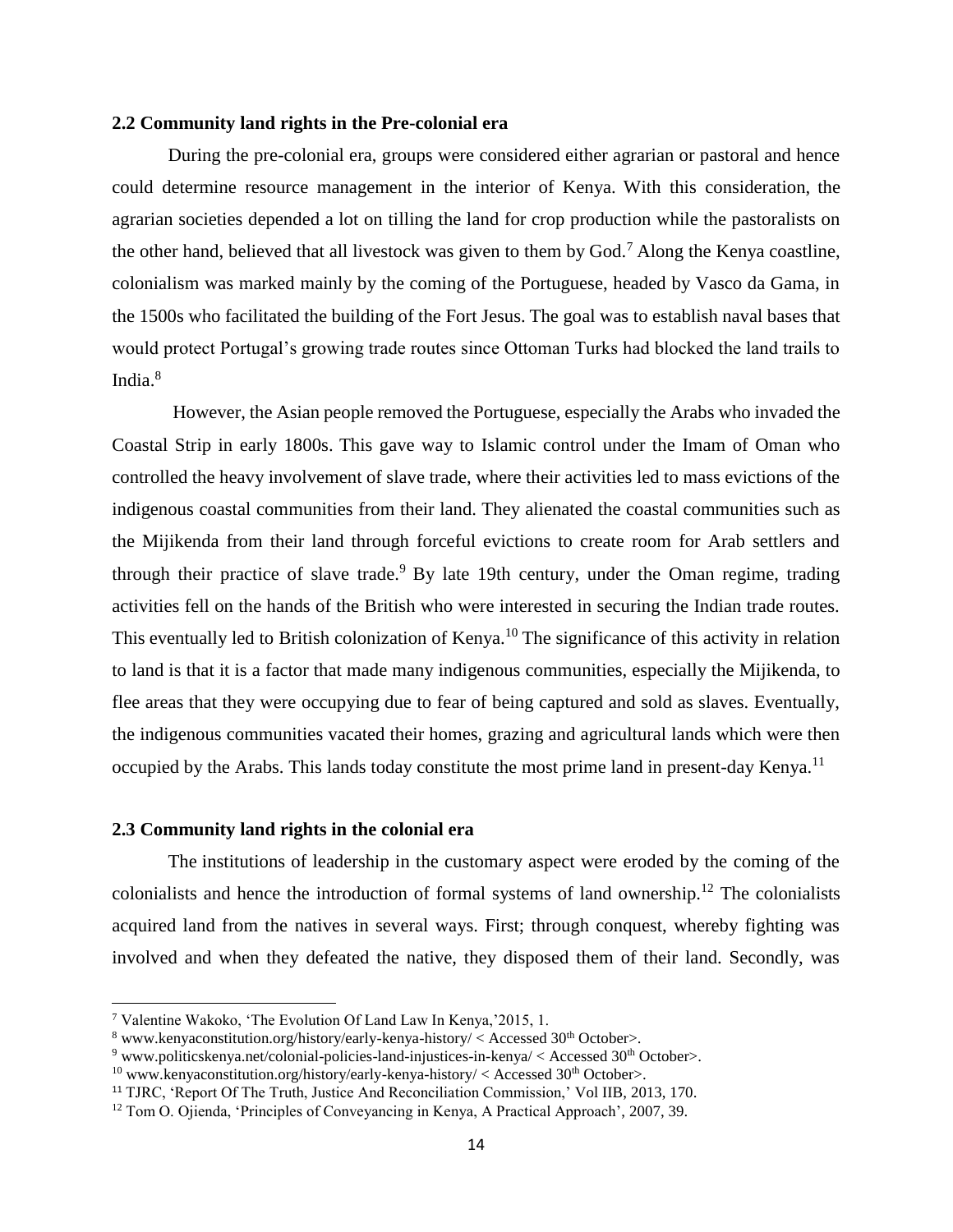#### <span id="page-23-0"></span>**2.2 Community land rights in the Pre-colonial era**

During the pre-colonial era, groups were considered either agrarian or pastoral and hence could determine resource management in the interior of Kenya. With this consideration, the agrarian societies depended a lot on tilling the land for crop production while the pastoralists on the other hand, believed that all livestock was given to them by God.<sup>7</sup> Along the Kenya coastline, colonialism was marked mainly by the coming of the Portuguese, headed by Vasco da Gama, in the 1500s who facilitated the building of the Fort Jesus. The goal was to establish naval bases that would protect Portugal's growing trade routes since Ottoman Turks had blocked the land trails to India. $8$ 

However, the Asian people removed the Portuguese, especially the Arabs who invaded the Coastal Strip in early 1800s. This gave way to Islamic control under the Imam of Oman who controlled the heavy involvement of slave trade, where their activities led to mass evictions of the indigenous coastal communities from their land. They alienated the coastal communities such as the Mijikenda from their land through forceful evictions to create room for Arab settlers and through their practice of slave trade.<sup>9</sup> By late 19th century, under the Oman regime, trading activities fell on the hands of the British who were interested in securing the Indian trade routes. This eventually led to British colonization of Kenya.<sup>10</sup> The significance of this activity in relation to land is that it is a factor that made many indigenous communities, especially the Mijikenda, to flee areas that they were occupying due to fear of being captured and sold as slaves. Eventually, the indigenous communities vacated their homes, grazing and agricultural lands which were then occupied by the Arabs. This lands today constitute the most prime land in present-day Kenya.<sup>11</sup>

### <span id="page-23-1"></span>**2.3 Community land rights in the colonial era**

l

The institutions of leadership in the customary aspect were eroded by the coming of the colonialists and hence the introduction of formal systems of land ownership.<sup>12</sup> The colonialists acquired land from the natives in several ways. First; through conquest, whereby fighting was involved and when they defeated the native, they disposed them of their land. Secondly, was

<sup>7</sup> Valentine Wakoko, 'The Evolution Of Land Law In Kenya,'2015, 1.

 $8$  [www.kenyaconstitution.org/history/early-kenya-history/](http://www.kenyaconstitution.org/history/early-kenya-history/) < Accessed 30<sup>th</sup> October>.

 $9$  [www.politicskenya.net/colonial-policies-land-injustices-in-kenya/](http://www.politicskenya.net/colonial-policies-land-injustices-in-kenya/) < Accessed 30<sup>th</sup> October>.

 $10$  [www.kenyaconstitution.org/history/early-kenya-history/](http://www.kenyaconstitution.org/history/early-kenya-history/) < Accessed 30<sup>th</sup> October>.

<sup>11</sup> TJRC, 'Report Of The Truth, Justice And Reconciliation Commission,' Vol IIB, 2013, 170.

<sup>12</sup> Tom O. Ojienda, 'Principles of Conveyancing in Kenya, A Practical Approach', 2007, 39.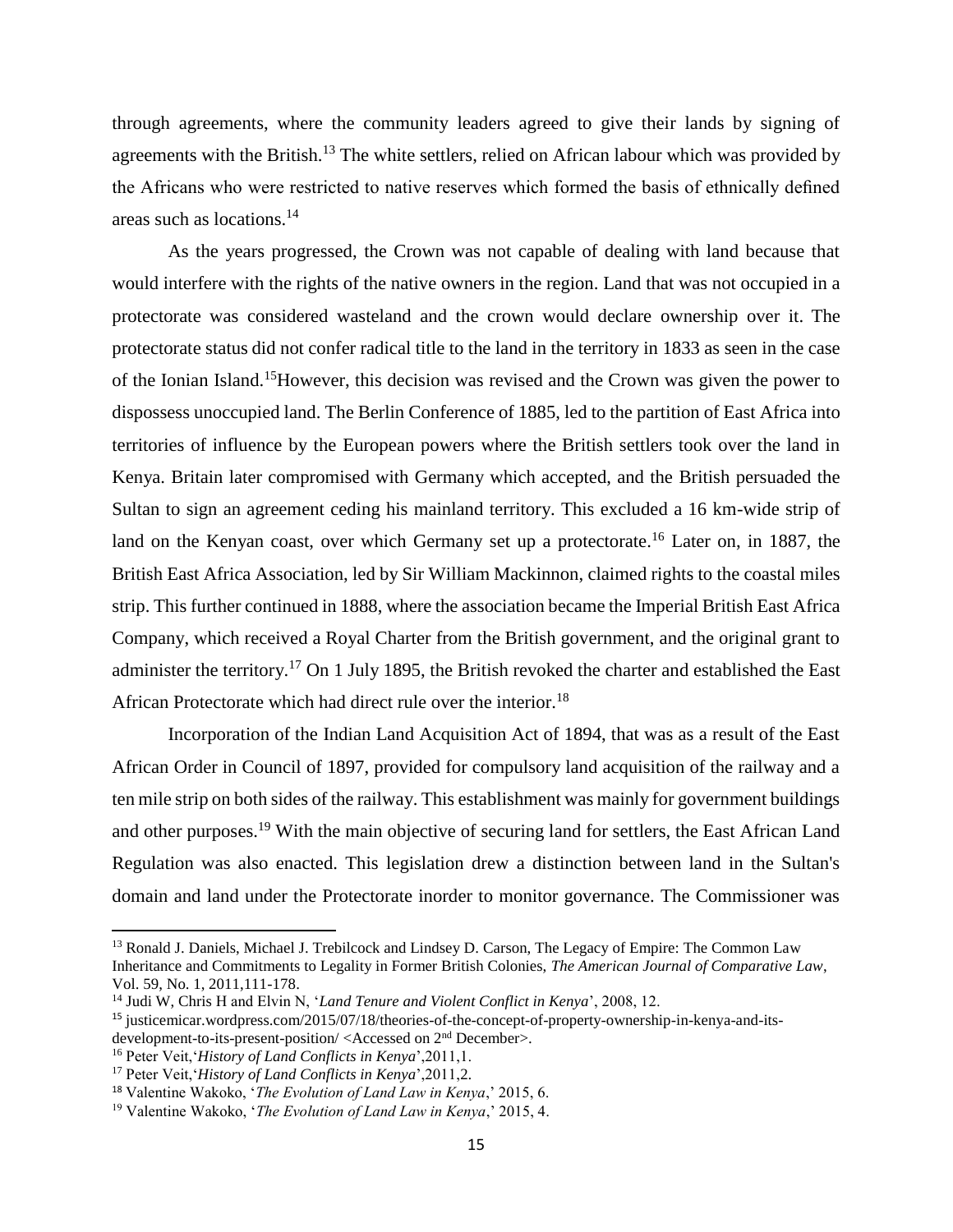through agreements, where the community leaders agreed to give their lands by signing of agreements with the British.<sup>13</sup> The white settlers, relied on African labour which was provided by the Africans who were restricted to native reserves which formed the basis of ethnically defined areas such as locations. $14$ 

As the years progressed, the Crown was not capable of dealing with land because that would interfere with the rights of the native owners in the region. Land that was not occupied in a protectorate was considered wasteland and the crown would declare ownership over it. The protectorate status did not confer radical title to the land in the territory in 1833 as seen in the case of the Ionian Island.<sup>15</sup>However, this decision was revised and the Crown was given the power to dispossess unoccupied land. The Berlin Conference of 1885, led to the partition of East Africa into territories of influence by the European powers where the British settlers took over the land in Kenya. Britain later compromised with Germany which accepted, and the British persuaded the Sultan to sign an agreement ceding his mainland territory. This excluded a 16 km-wide strip of land on the Kenyan coast, over which Germany set up a protectorate.<sup>16</sup> Later on, in 1887, the British East Africa Association, led by Sir William Mackinnon, claimed rights to the coastal miles strip. This further continued in 1888, where the association became the Imperial British East Africa Company, which received a Royal Charter from the British government, and the original grant to administer the territory.<sup>17</sup> On 1 July 1895, the British revoked the charter and established the East African Protectorate which had direct rule over the interior.<sup>18</sup>

Incorporation of the Indian Land Acquisition Act of 1894, that was as a result of the East African Order in Council of 1897, provided for compulsory land acquisition of the railway and a ten mile strip on both sides of the railway. This establishment was mainly for government buildings and other purposes.<sup>19</sup> With the main objective of securing land for settlers, the East African Land Regulation was also enacted. This legislation drew a distinction between land in the Sultan's domain and land under the Protectorate inorder to monitor governance. The Commissioner was

<sup>&</sup>lt;sup>13</sup> Ronald J. Daniels, Michael J. Trebilcock and Lindsey D. Carson, The Legacy of Empire: The Common Law Inheritance and Commitments to Legality in Former British Colonies, *The American Journal of Comparative Law*, Vol. 59, No. 1, 2011,111-178.

<sup>14</sup> Judi W, Chris H and Elvin N, '*Land Tenure and Violent Conflict in Kenya*', 2008, 12.

<sup>15</sup> [justicemicar.wordpress.com/2015/07/18/theories-of-the-concept-of-property-ownership-in-kenya-and-its](https://justicemicar.wordpress.com/2015/07/18/theories-of-the-concept-of-property-ownership-in-kenya-and-its-development-to-its-present-position/)[development-to-its-present-position/](https://justicemicar.wordpress.com/2015/07/18/theories-of-the-concept-of-property-ownership-in-kenya-and-its-development-to-its-present-position/) <Accessed on 2nd December>.

<sup>16</sup> Peter Veit,'*History of Land Conflicts in Kenya*',2011,1.

<sup>17</sup> Peter Veit,'*History of Land Conflicts in Kenya*',2011,2.

<sup>18</sup> Valentine Wakoko, '*The Evolution of Land Law in Kenya*,' 2015, 6.

<sup>19</sup> Valentine Wakoko, '*The Evolution of Land Law in Kenya*,' 2015, 4.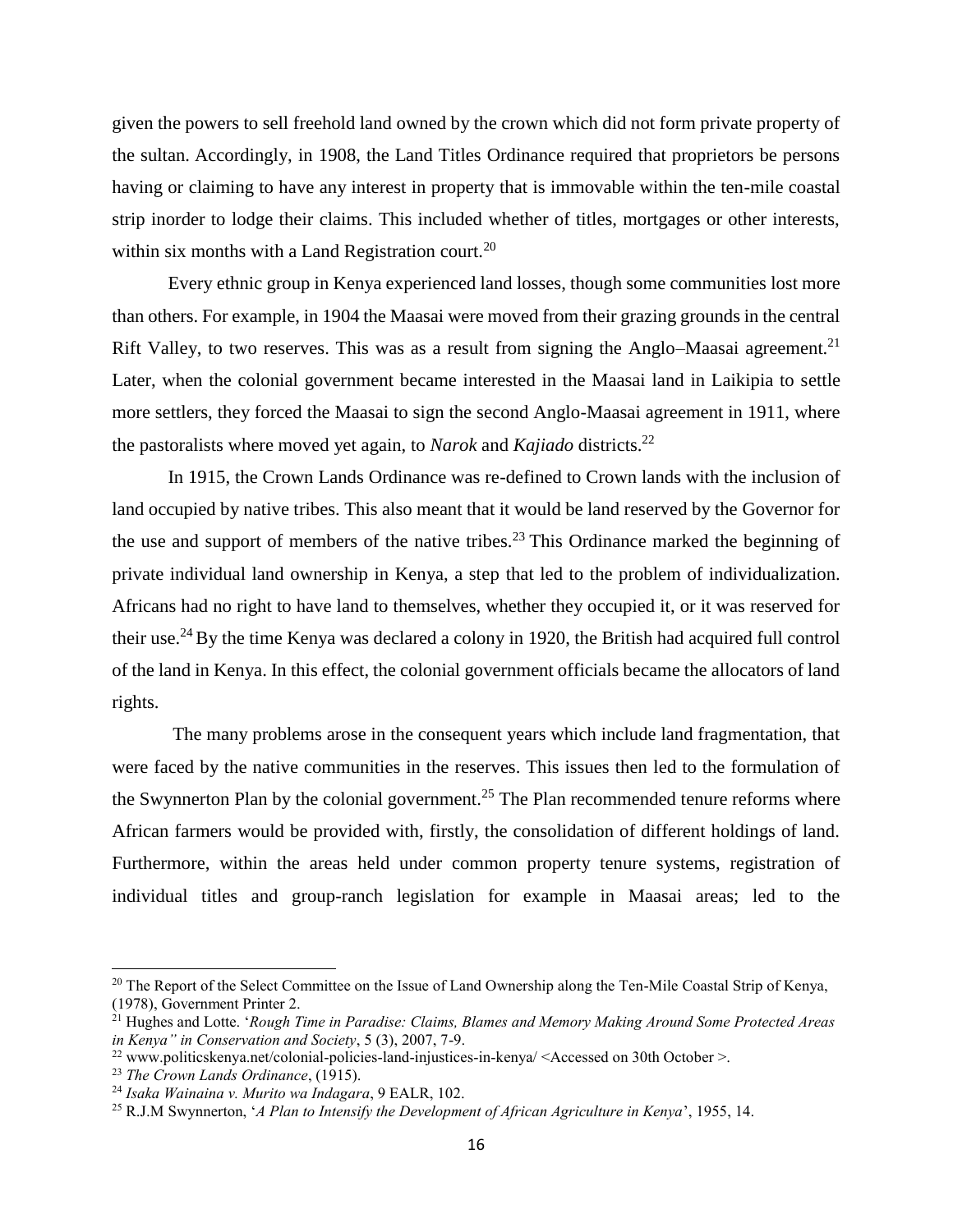given the powers to sell freehold land owned by the crown which did not form private property of the sultan. Accordingly, in 1908, the Land Titles Ordinance required that proprietors be persons having or claiming to have any interest in property that is immovable within the ten-mile coastal strip inorder to lodge their claims. This included whether of titles, mortgages or other interests, within six months with a Land Registration court.<sup>20</sup>

Every ethnic group in Kenya experienced land losses, though some communities lost more than others. For example, in 1904 the Maasai were moved from their grazing grounds in the central Rift Valley, to two reserves. This was as a result from signing the Anglo–Maasai agreement.<sup>21</sup> Later, when the colonial government became interested in the Maasai land in Laikipia to settle more settlers, they forced the Maasai to sign the second Anglo-Maasai agreement in 1911, where the pastoralists where moved yet again, to *Narok* and *Kajiado* districts.<sup>22</sup>

In 1915, the Crown Lands Ordinance was re-defined to Crown lands with the inclusion of land occupied by native tribes. This also meant that it would be land reserved by the Governor for the use and support of members of the native tribes.<sup>23</sup> This Ordinance marked the beginning of private individual land ownership in Kenya, a step that led to the problem of individualization. Africans had no right to have land to themselves, whether they occupied it, or it was reserved for their use.<sup>24</sup>By the time Kenya was declared a colony in 1920, the British had acquired full control of the land in Kenya. In this effect, the colonial government officials became the allocators of land rights.

The many problems arose in the consequent years which include land fragmentation, that were faced by the native communities in the reserves. This issues then led to the formulation of the Swynnerton Plan by the colonial government.<sup>25</sup> The Plan recommended tenure reforms where African farmers would be provided with, firstly, the consolidation of different holdings of land. Furthermore, within the areas held under common property tenure systems, registration of individual titles and group-ranch legislation for example in Maasai areas; led to the

 $\overline{a}$ 

<sup>&</sup>lt;sup>20</sup> The Report of the Select Committee on the Issue of Land Ownership along the Ten-Mile Coastal Strip of Kenya, (1978), Government Printer 2.

<sup>21</sup> Hughes and Lotte. '*Rough Time in Paradise: Claims, Blames and Memory Making Around Some Protected Areas in Kenya" in Conservation and Society*, 5 (3), 2007, 7-9.

<sup>&</sup>lt;sup>22</sup> [www.politicskenya.net/colonial-policies-land-injustices-in-kenya/](http://www.politicskenya.net/colonial-policies-land-injustices-in-kenya/) <Accessed on 30th October >.

<sup>23</sup> *The Crown Lands Ordinance*, (1915).

<sup>24</sup> *Isaka Wainaina v. Murito wa Indagara*, 9 EALR, 102.

<sup>25</sup> R.J.M Swynnerton, '*A Plan to Intensify the Development of African Agriculture in Kenya*', 1955, 14.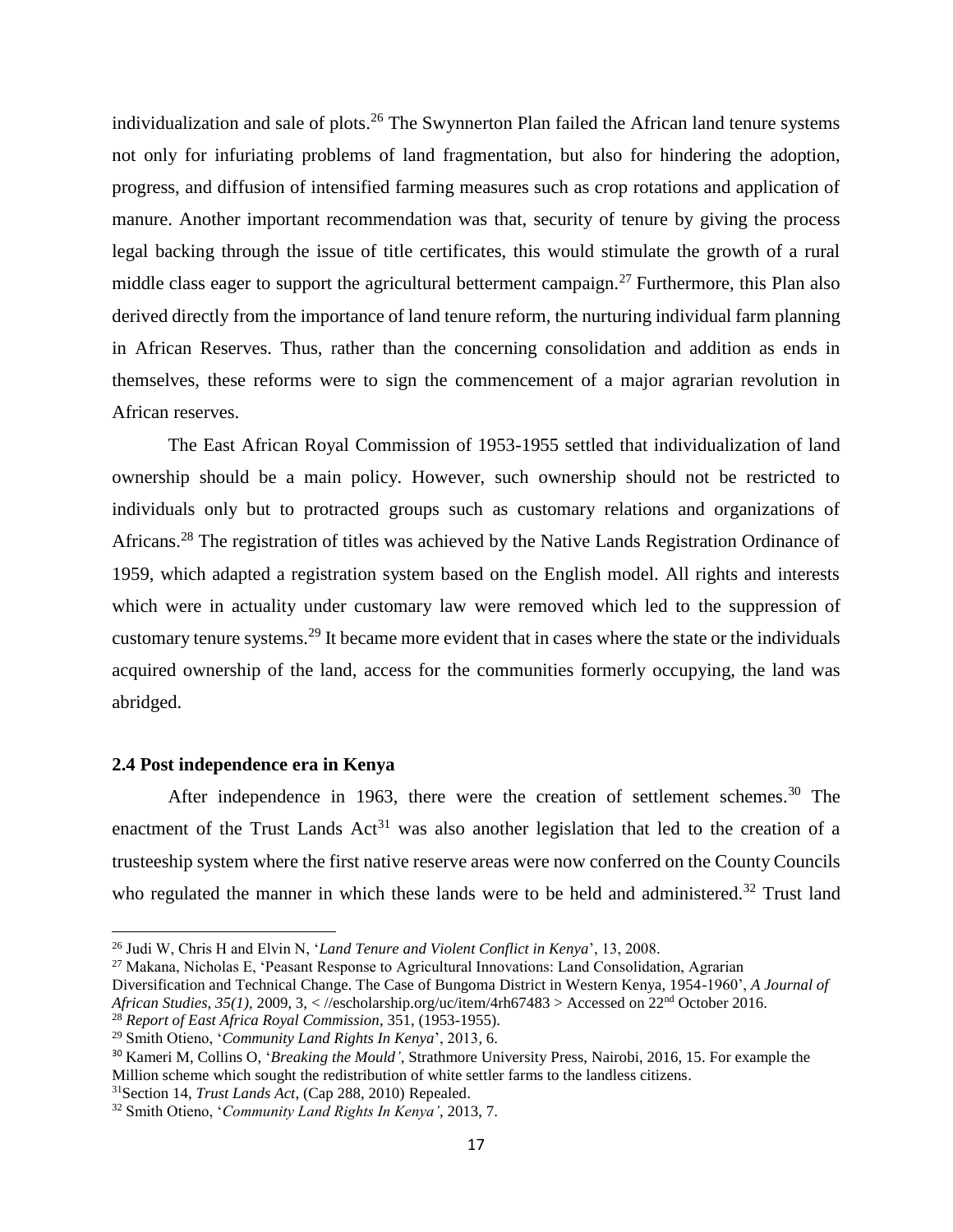individualization and sale of plots.<sup>26</sup> The Swynnerton Plan failed the African land tenure systems not only for infuriating problems of land fragmentation, but also for hindering the adoption, progress, and diffusion of intensified farming measures such as crop rotations and application of manure. Another important recommendation was that, security of tenure by giving the process legal backing through the issue of title certificates, this would stimulate the growth of a rural middle class eager to support the agricultural betterment campaign.<sup>27</sup> Furthermore, this Plan also derived directly from the importance of land tenure reform, the nurturing individual farm planning in African Reserves. Thus, rather than the concerning consolidation and addition as ends in themselves, these reforms were to sign the commencement of a major agrarian revolution in African reserves.

The East African Royal Commission of 1953-1955 settled that individualization of land ownership should be a main policy. However, such ownership should not be restricted to individuals only but to protracted groups such as customary relations and organizations of Africans.<sup>28</sup> The registration of titles was achieved by the Native Lands Registration Ordinance of 1959, which adapted a registration system based on the English model. All rights and interests which were in actuality under customary law were removed which led to the suppression of customary tenure systems.<sup>29</sup> It became more evident that in cases where the state or the individuals acquired ownership of the land, access for the communities formerly occupying, the land was abridged.

#### <span id="page-26-0"></span>**2.4 Post independence era in Kenya**

 $\overline{\phantom{a}}$ 

After independence in 1963, there were the creation of settlement schemes.<sup>30</sup> The enactment of the Trust Lands  $Act<sup>31</sup>$  was also another legislation that led to the creation of a trusteeship system where the first native reserve areas were now conferred on the County Councils who regulated the manner in which these lands were to be held and administered.<sup>32</sup> Trust land

<sup>27</sup> Makana, Nicholas E, 'Peasant Response to Agricultural Innovations: Land Consolidation, Agrarian Diversification and Technical Change. The Case of Bungoma District in Western Kenya, 1954-1960', *A Journal of African Studies, 35(1)*, 2009, 3, < [//escholarship.org/uc/item/4rh67483](http://escholarship.org/uc/item/4rh67483) > Accessed on 22nd October 2016. <sup>28</sup> *Report of East Africa Royal Commission*, 351, (1953-1955).

<sup>31</sup>Section 14, *Trust Lands Act*, (Cap 288, 2010) Repealed.

<sup>26</sup> Judi W, Chris H and Elvin N, '*Land Tenure and Violent Conflict in Kenya*', 13, 2008.

<sup>29</sup> Smith Otieno, '*Community Land Rights In Kenya*', 2013, 6.

<sup>30</sup> Kameri M, Collins O, '*Breaking the Mould'*, Strathmore University Press, Nairobi, 2016, 15. For example the Million scheme which sought the redistribution of white settler farms to the landless citizens.

<sup>32</sup> Smith Otieno, '*Community Land Rights In Kenya'*, 2013, 7.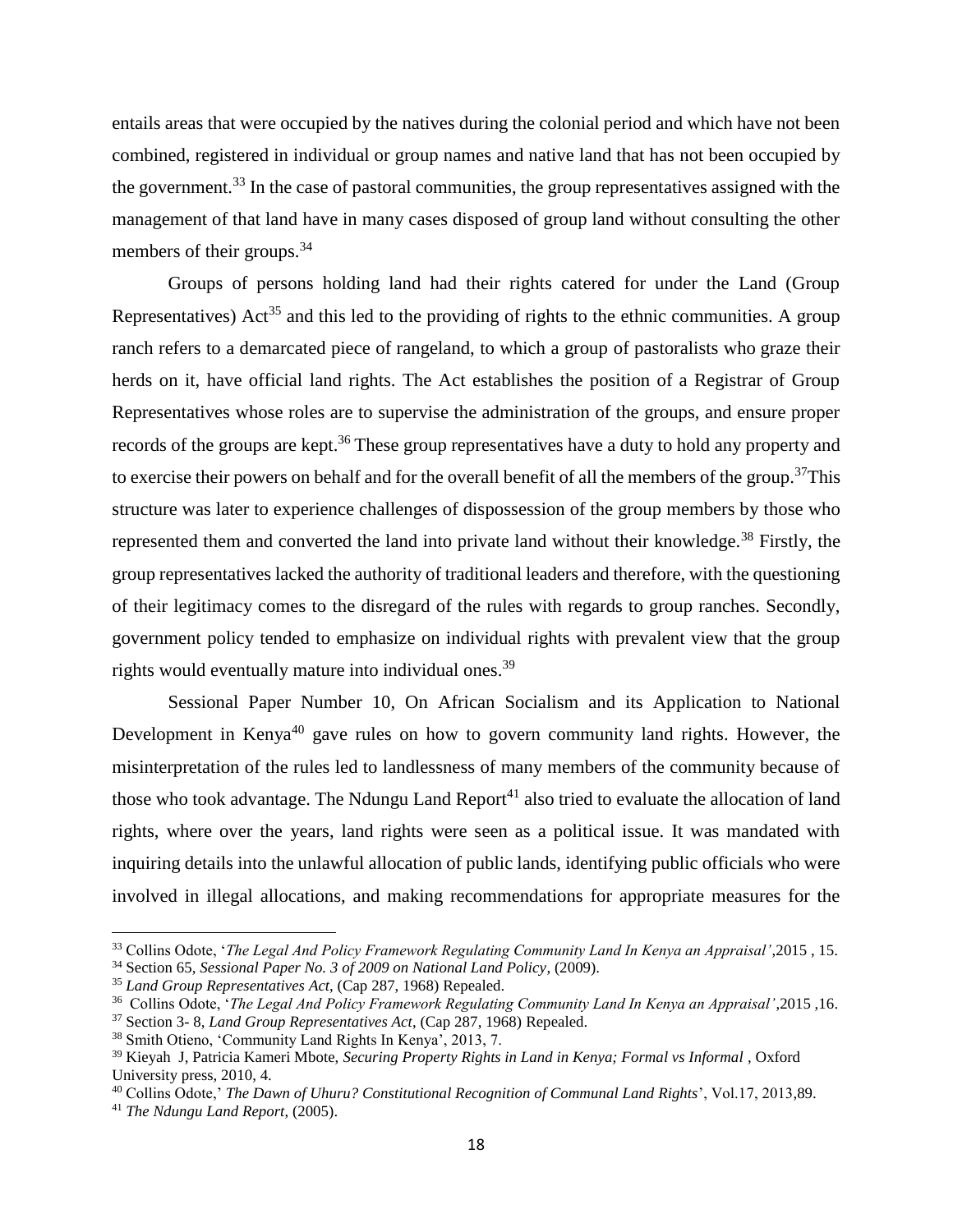entails areas that were occupied by the natives during the colonial period and which have not been combined, registered in individual or group names and native land that has not been occupied by the government.<sup>33</sup> In the case of pastoral communities, the group representatives assigned with the management of that land have in many cases disposed of group land without consulting the other members of their groups.<sup>34</sup>

Groups of persons holding land had their rights catered for under the Land (Group Representatives) Act<sup>35</sup> and this led to the providing of rights to the ethnic communities. A group ranch refers to a demarcated piece of rangeland, to which a group of pastoralists who graze their herds on it, have official land rights. The Act establishes the position of a Registrar of Group Representatives whose roles are to supervise the administration of the groups, and ensure proper records of the groups are kept.<sup>36</sup> These group representatives have a duty to hold any property and to exercise their powers on behalf and for the overall benefit of all the members of the group.<sup>37</sup>This structure was later to experience challenges of dispossession of the group members by those who represented them and converted the land into private land without their knowledge.<sup>38</sup> Firstly, the group representatives lacked the authority of traditional leaders and therefore, with the questioning of their legitimacy comes to the disregard of the rules with regards to group ranches. Secondly, government policy tended to emphasize on individual rights with prevalent view that the group rights would eventually mature into individual ones.<sup>39</sup>

Sessional Paper Number 10, On African Socialism and its Application to National Development in Kenya<sup>40</sup> gave rules on how to govern community land rights. However, the misinterpretation of the rules led to landlessness of many members of the community because of those who took advantage. The Ndungu Land  $Report^{41}$  also tried to evaluate the allocation of land rights, where over the years, land rights were seen as a political issue. It was mandated with inquiring details into the unlawful allocation of public lands, identifying public officials who were involved in illegal allocations, and making recommendations for appropriate measures for the

<sup>33</sup> Collins Odote, '*The Legal And Policy Framework Regulating Community Land In Kenya an Appraisal'*,2015 , 15.

<sup>34</sup> Section 65, *Sessional Paper No. 3 of 2009 on National Land Policy*, (2009).

<sup>35</sup> *Land Group Representatives Act*, (Cap 287, 1968) Repealed.

<sup>36</sup> Collins Odote, '*The Legal And Policy Framework Regulating Community Land In Kenya an Appraisal'*,2015 ,16.

<sup>37</sup> Section 3- 8, *Land Group Representatives Act*, (Cap 287, 1968) Repealed.

<sup>38</sup> Smith Otieno, 'Community Land Rights In Kenya', 2013, 7.

<sup>39</sup> Kieyah J, Patricia Kameri Mbote, *Securing Property Rights in Land in Kenya; Formal vs Informal* , Oxford University press, 2010, 4.

<sup>40</sup> Collins Odote,' *The Dawn of Uhuru? Constitutional Recognition of Communal Land Rights*', Vol.17, 2013,89.

<sup>41</sup> *The Ndungu Land Report*, (2005).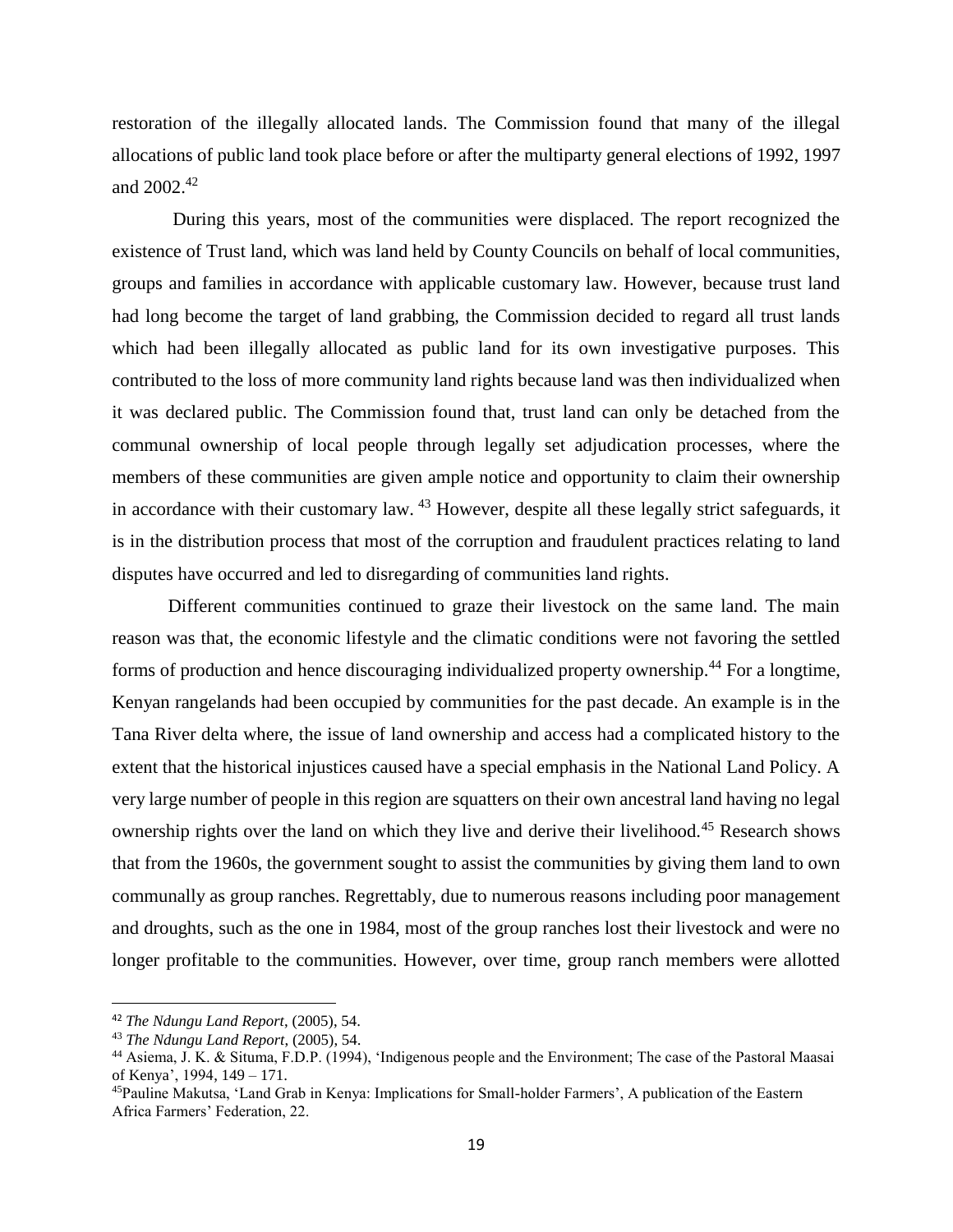restoration of the illegally allocated lands. The Commission found that many of the illegal allocations of public land took place before or after the multiparty general elections of 1992, 1997 and  $2002.<sup>42</sup>$ 

During this years, most of the communities were displaced. The report recognized the existence of Trust land, which was land held by County Councils on behalf of local communities, groups and families in accordance with applicable customary law. However, because trust land had long become the target of land grabbing, the Commission decided to regard all trust lands which had been illegally allocated as public land for its own investigative purposes. This contributed to the loss of more community land rights because land was then individualized when it was declared public. The Commission found that, trust land can only be detached from the communal ownership of local people through legally set adjudication processes, where the members of these communities are given ample notice and opportunity to claim their ownership in accordance with their customary law. <sup>43</sup> However, despite all these legally strict safeguards, it is in the distribution process that most of the corruption and fraudulent practices relating to land disputes have occurred and led to disregarding of communities land rights.

Different communities continued to graze their livestock on the same land. The main reason was that, the economic lifestyle and the climatic conditions were not favoring the settled forms of production and hence discouraging individualized property ownership.<sup>44</sup> For a longtime, Kenyan rangelands had been occupied by communities for the past decade. An example is in the Tana River delta where, the issue of land ownership and access had a complicated history to the extent that the historical injustices caused have a special emphasis in the National Land Policy. A very large number of people in this region are squatters on their own ancestral land having no legal ownership rights over the land on which they live and derive their livelihood.<sup>45</sup> Research shows that from the 1960s, the government sought to assist the communities by giving them land to own communally as group ranches. Regrettably, due to numerous reasons including poor management and droughts, such as the one in 1984, most of the group ranches lost their livestock and were no longer profitable to the communities. However, over time, group ranch members were allotted

l

<sup>42</sup> *The Ndungu Land Report*, (2005), 54.

<sup>43</sup> *The Ndungu Land Report*, (2005), 54.

<sup>44</sup> Asiema, J. K. & Situma, F.D.P. (1994), 'Indigenous people and the Environment; The case of the Pastoral Maasai of Kenya', 1994, 149 – 171.

<sup>45</sup>Pauline Makutsa, 'Land Grab in Kenya: Implications for Small-holder Farmers', A publication of the Eastern Africa Farmers' Federation, 22.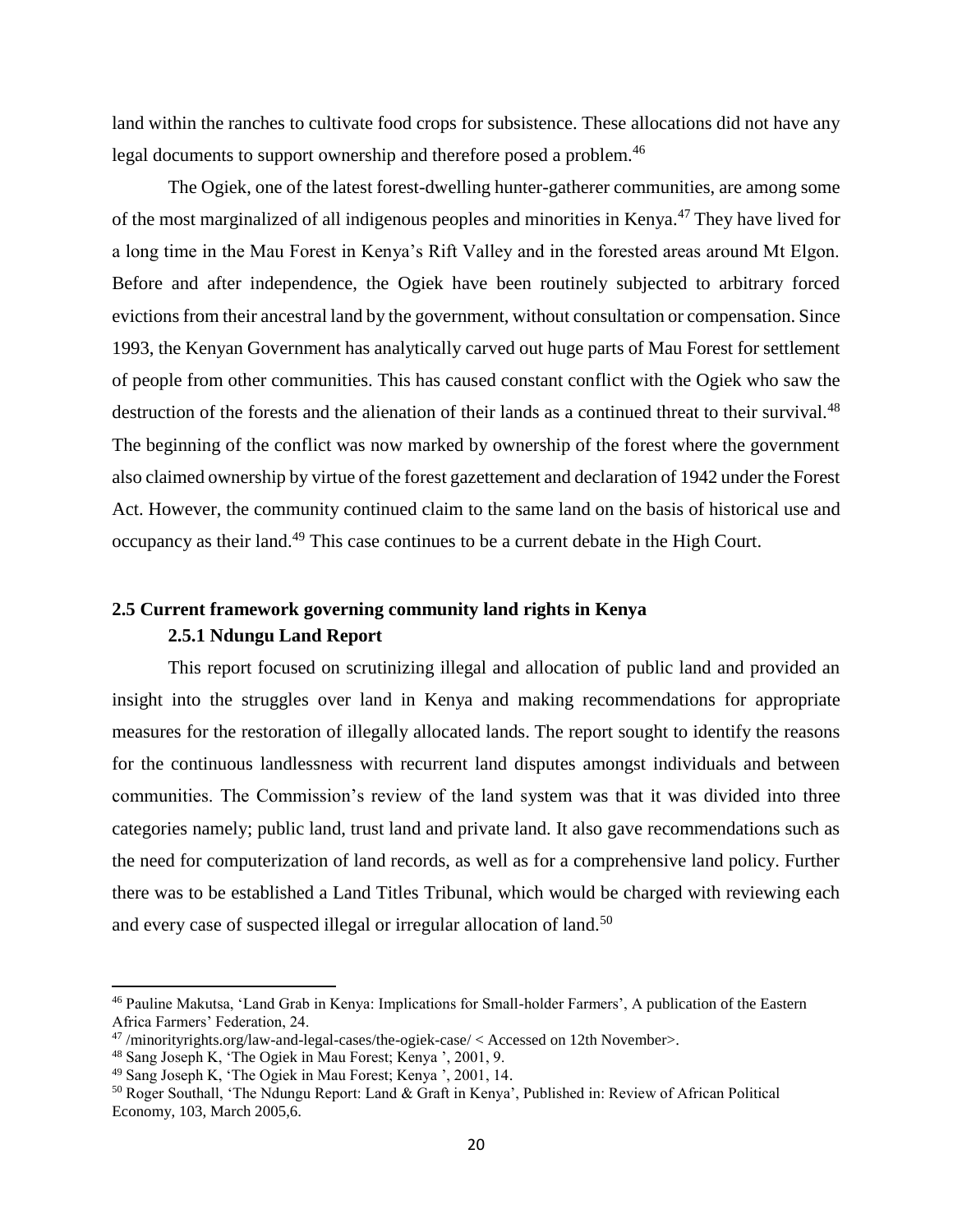land within the ranches to cultivate food crops for subsistence. These allocations did not have any legal documents to support ownership and therefore posed a problem.<sup>46</sup>

The Ogiek, one of the latest forest-dwelling hunter-gatherer communities, are among some of the most marginalized of all indigenous peoples and minorities in Kenya.<sup>47</sup> They have lived for a long time in the Mau Forest in Kenya's Rift Valley and in the forested areas around Mt Elgon. Before and after independence, the Ogiek have been routinely subjected to arbitrary forced evictions from their ancestral land by the government, without consultation or compensation. Since 1993, the Kenyan Government has analytically carved out huge parts of Mau Forest for settlement of people from other communities. This has caused constant conflict with the Ogiek who saw the destruction of the forests and the alienation of their lands as a continued threat to their survival.<sup>48</sup> The beginning of the conflict was now marked by ownership of the forest where the government also claimed ownership by virtue of the forest gazettement and declaration of 1942 under the Forest Act. However, the community continued claim to the same land on the basis of historical use and occupancy as their land.<sup>49</sup> This case continues to be a current debate in the High Court.

## <span id="page-29-0"></span>**2.5 Current framework governing community land rights in Kenya**

### **2.5.1 Ndungu Land Report**

This report focused on scrutinizing illegal and allocation of public land and provided an insight into the struggles over land in Kenya and making recommendations for appropriate measures for the restoration of illegally allocated lands. The report sought to identify the reasons for the continuous landlessness with recurrent land disputes amongst individuals and between communities. The Commission's review of the land system was that it was divided into three categories namely; public land, trust land and private land. It also gave recommendations such as the need for computerization of land records, as well as for a comprehensive land policy. Further there was to be established a Land Titles Tribunal, which would be charged with reviewing each and every case of suspected illegal or irregular allocation of land.<sup>50</sup>

<sup>46</sup> Pauline Makutsa, 'Land Grab in Kenya: Implications for Small-holder Farmers', A publication of the Eastern Africa Farmers' Federation, 24.

 $47$ [/minorityrights.org/law-and-legal-cases/the-ogiek-case/](http://minorityrights.org/law-and-legal-cases/the-ogiek-case/) < Accessed on 12th November>.

<sup>48</sup> Sang Joseph K, 'The Ogiek in Mau Forest; Kenya ', 2001, 9.

<sup>49</sup> Sang Joseph K, 'The Ogiek in Mau Forest; Kenya ', 2001, 14.

<sup>50</sup> Roger Southall, 'The Ndungu Report: Land & Graft in Kenya', Published in: Review of African Political Economy, 103, March 2005,6.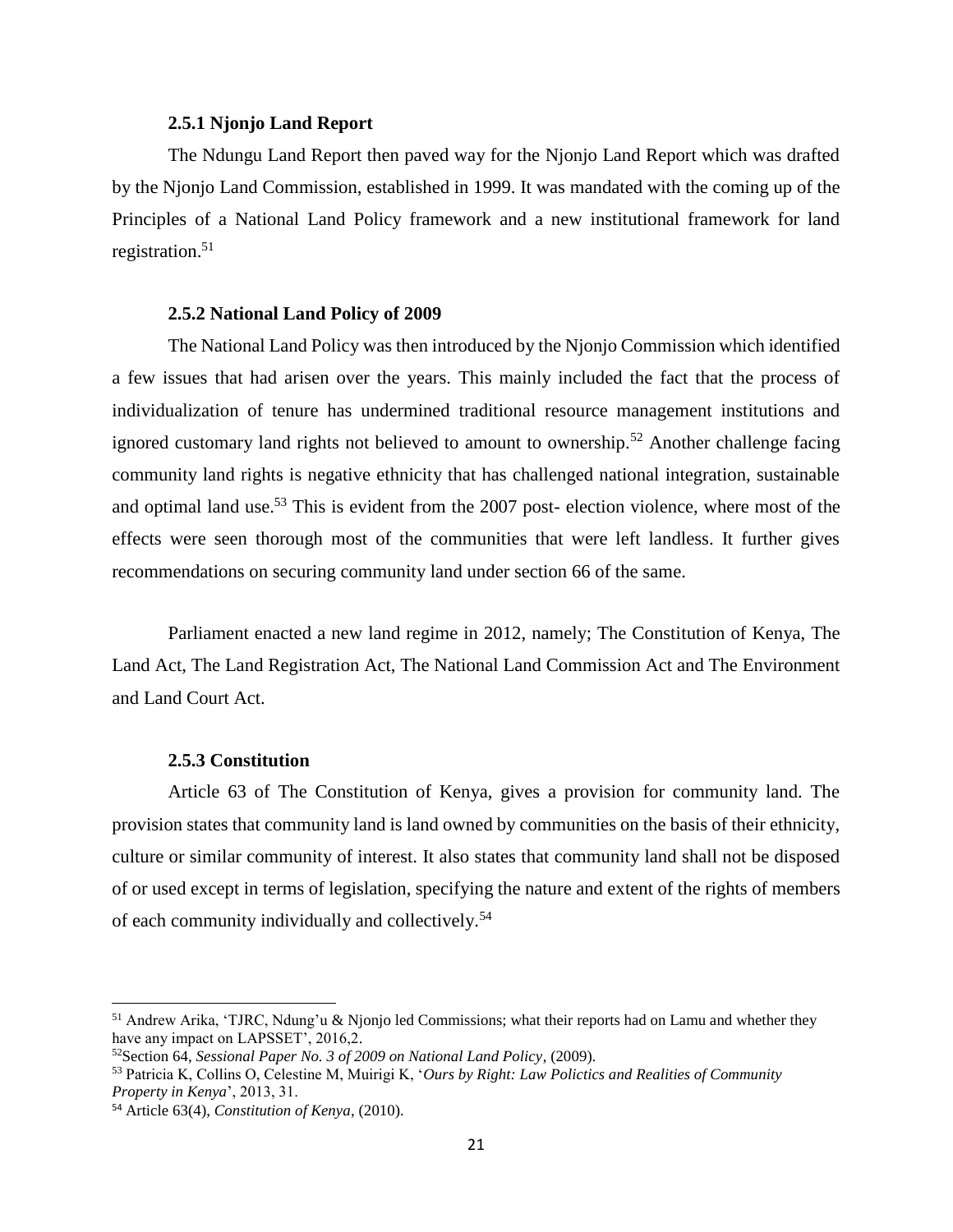#### **2.5.1 Njonjo Land Report**

The Ndungu Land Report then paved way for the Njonjo Land Report which was drafted by the Njonjo Land Commission, established in 1999. It was mandated with the coming up of the Principles of a National Land Policy framework and a new institutional framework for land registration.<sup>51</sup>

#### **2.5.2 National Land Policy of 2009**

The National Land Policy was then introduced by the Njonjo Commission which identified a few issues that had arisen over the years. This mainly included the fact that the process of individualization of tenure has undermined traditional resource management institutions and ignored customary land rights not believed to amount to ownership.<sup>52</sup> Another challenge facing community land rights is negative ethnicity that has challenged national integration, sustainable and optimal land use.<sup>53</sup> This is evident from the 2007 post- election violence, where most of the effects were seen thorough most of the communities that were left landless. It further gives recommendations on securing community land under section 66 of the same.

Parliament enacted a new land regime in 2012, namely; The Constitution of Kenya, The Land Act, The Land Registration Act, The National Land Commission Act and The Environment and Land Court Act.

#### **2.5.3 Constitution**

Article 63 of The Constitution of Kenya, gives a provision for community land. The provision states that community land is land owned by communities on the basis of their ethnicity, culture or similar community of interest. It also states that community land shall not be disposed of or used except in terms of legislation, specifying the nature and extent of the rights of members of each community individually and collectively.<sup>54</sup>

l

<sup>51</sup> Andrew Arika, 'TJRC, Ndung'u & Njonjo led Commissions; what their reports had on Lamu and whether they have any impact on LAPSSET', 2016,2.

<sup>52</sup>Section 64, *Sessional Paper No. 3 of 2009 on National Land Policy*, (2009).

<sup>53</sup> Patricia K, Collins O, Celestine M, Muirigi K, '*Ours by Right: Law Polictics and Realities of Community Property in Kenya*', 2013, 31.

<sup>54</sup> Article 63(4), *Constitution of Kenya*, (2010).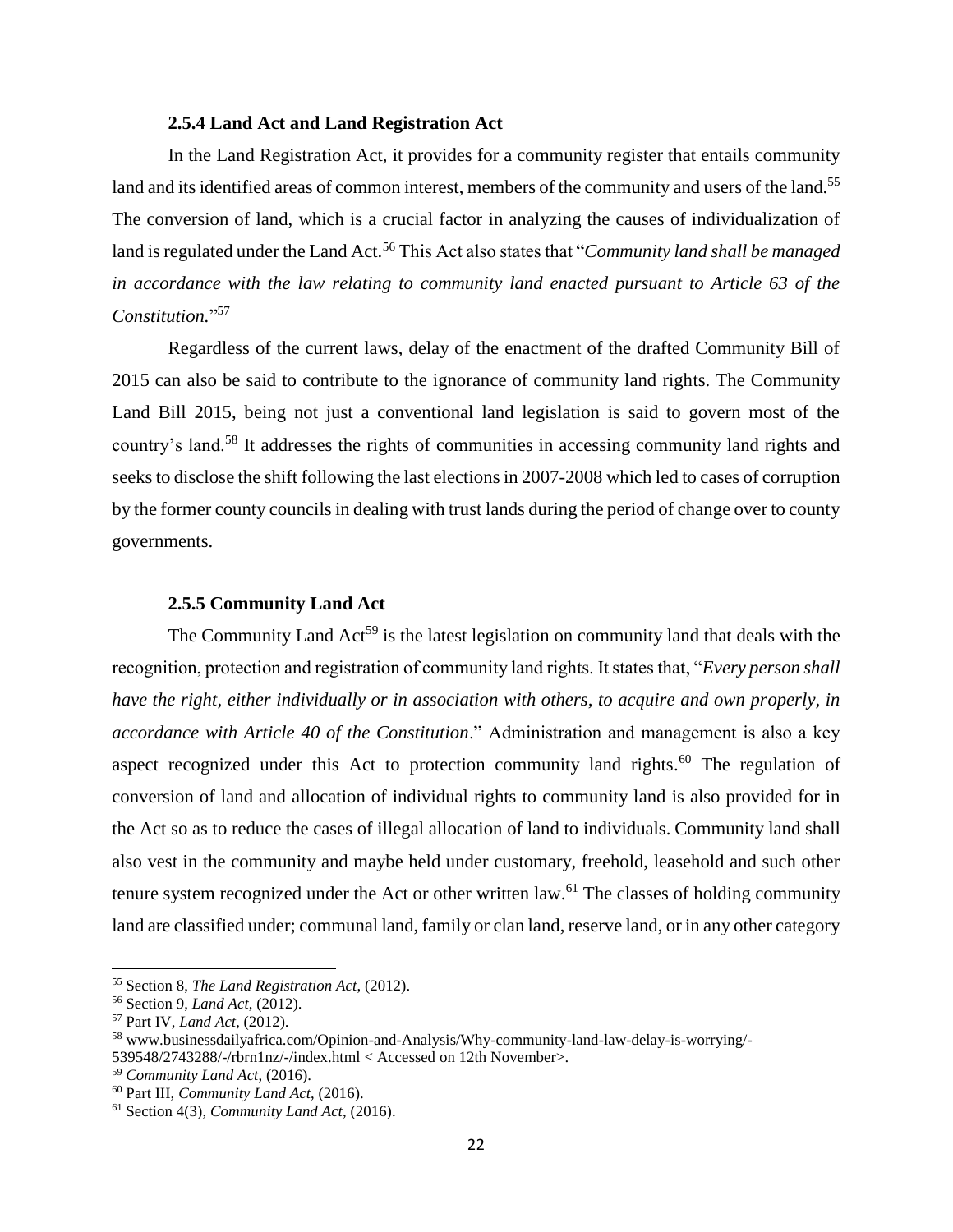#### **2.5.4 Land Act and Land Registration Act**

In the Land Registration Act, it provides for a community register that entails community land and its identified areas of common interest, members of the community and users of the land.<sup>55</sup> The conversion of land, which is a crucial factor in analyzing the causes of individualization of land is regulated under the Land Act.<sup>56</sup> This Act also states that "*Community land shall be managed in accordance with the law relating to community land enacted pursuant to Article 63 of the Constitution.*" 57

Regardless of the current laws, delay of the enactment of the drafted Community Bill of 2015 can also be said to contribute to the ignorance of community land rights. The Community Land Bill 2015, being not just a conventional land legislation is said to govern most of the country's land.<sup>58</sup> It addresses the rights of communities in accessing community land rights and seeks to disclose the shift following the last elections in 2007-2008 which led to cases of corruption by the former county councils in dealing with trust lands during the period of change over to county governments.

#### **2.5.5 Community Land Act**

The Community Land Act<sup>59</sup> is the latest legislation on community land that deals with the recognition, protection and registration of community land rights. It states that, "*Every person shall have the right, either individually or in association with others, to acquire and own properly, in accordance with Article 40 of the Constitution*." Administration and management is also a key aspect recognized under this Act to protection community land rights.<sup>60</sup> The regulation of conversion of land and allocation of individual rights to community land is also provided for in the Act so as to reduce the cases of illegal allocation of land to individuals. Community land shall also vest in the community and maybe held under customary, freehold, leasehold and such other tenure system recognized under the Act or other written law.<sup>61</sup> The classes of holding community land are classified under; communal land, family or clan land, reserve land, or in any other category

 $\overline{a}$ 

<sup>55</sup> Section 8, *The Land Registration Act*, (2012).

<sup>56</sup> Section 9, *Land Act*, (2012).

<sup>57</sup> Part IV, *Land Act*, (2012).

<sup>58</sup> [www.businessdailyafrica.com/Opinion-and-Analysis/Why-community-land-law-delay-is-worrying/-](http://www.businessdailyafrica.com/Opinion-and-Analysis/Why-community-land-law-delay-is-worrying/-539548/2743288/-/rbrn1nz/-/index.html)

[<sup>539548/2743288/-/</sup>rbrn1nz/-/index.html](http://www.businessdailyafrica.com/Opinion-and-Analysis/Why-community-land-law-delay-is-worrying/-539548/2743288/-/rbrn1nz/-/index.html) < Accessed on 12th November>.

<sup>59</sup> *Community Land Act*, (2016).

<sup>60</sup> Part III, *Community Land Act*, (2016).

<sup>61</sup> Section 4(3), *Community Land Act*, (2016).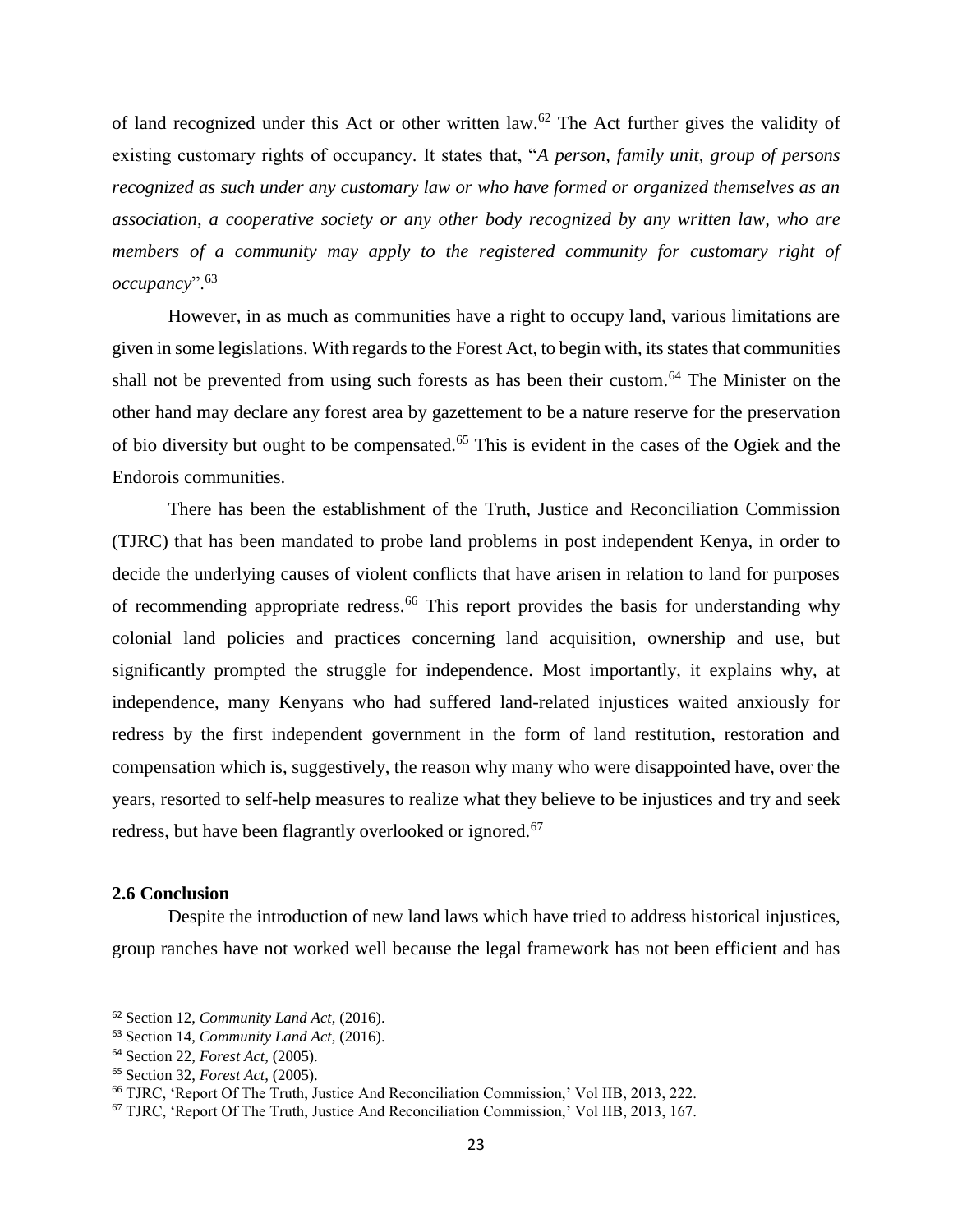of land recognized under this Act or other written law.<sup>62</sup> The Act further gives the validity of existing customary rights of occupancy. It states that, "*A person, family unit, group of persons recognized as such under any customary law or who have formed or organized themselves as an association, a cooperative society or any other body recognized by any written law, who are members of a community may apply to the registered community for customary right of occupancy*".<sup>63</sup>

However, in as much as communities have a right to occupy land, various limitations are given in some legislations. With regards to the Forest Act, to begin with, its states that communities shall not be prevented from using such forests as has been their custom.<sup>64</sup> The Minister on the other hand may declare any forest area by gazettement to be a nature reserve for the preservation of bio diversity but ought to be compensated.<sup>65</sup> This is evident in the cases of the Ogiek and the Endorois communities.

There has been the establishment of the Truth, Justice and Reconciliation Commission (TJRC) that has been mandated to probe land problems in post independent Kenya, in order to decide the underlying causes of violent conflicts that have arisen in relation to land for purposes of recommending appropriate redress.<sup>66</sup> This report provides the basis for understanding why colonial land policies and practices concerning land acquisition, ownership and use, but significantly prompted the struggle for independence. Most importantly, it explains why, at independence, many Kenyans who had suffered land-related injustices waited anxiously for redress by the first independent government in the form of land restitution, restoration and compensation which is, suggestively, the reason why many who were disappointed have, over the years, resorted to self-help measures to realize what they believe to be injustices and try and seek redress, but have been flagrantly overlooked or ignored.<sup>67</sup>

#### <span id="page-32-0"></span>**2.6 Conclusion**

 $\overline{\phantom{a}}$ 

Despite the introduction of new land laws which have tried to address historical injustices, group ranches have not worked well because the legal framework has not been efficient and has

<sup>62</sup> Section 12, *Community Land Act*, (2016).

<sup>63</sup> Section 14, *Community Land Act*, (2016).

<sup>64</sup> Section 22, *Forest Act*, (2005).

<sup>65</sup> Section 32, *Forest Act*, (2005).

<sup>66</sup> TJRC, 'Report Of The Truth, Justice And Reconciliation Commission,' Vol IIB, 2013, 222.

<sup>67</sup> TJRC, 'Report Of The Truth, Justice And Reconciliation Commission,' Vol IIB, 2013, 167.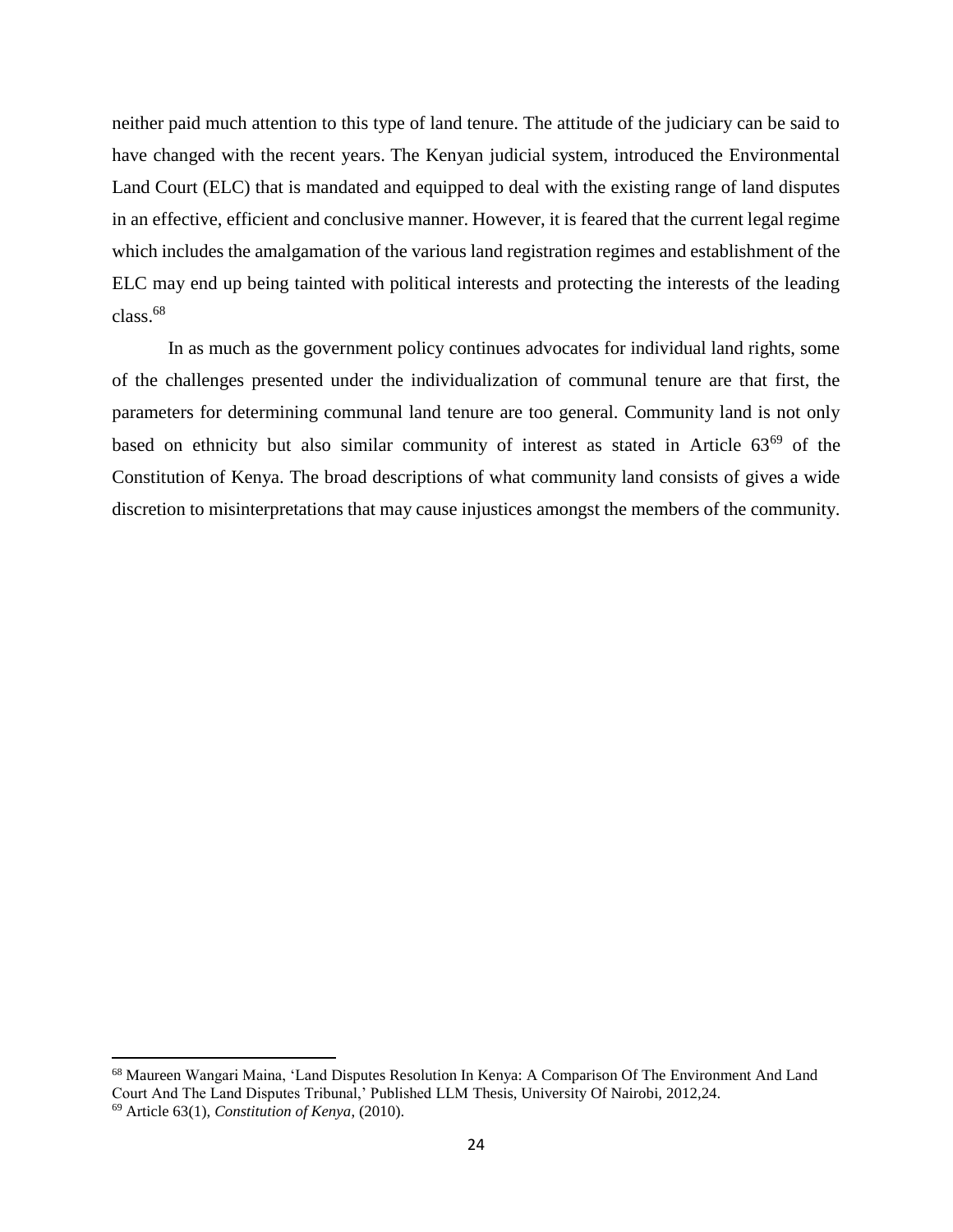neither paid much attention to this type of land tenure. The attitude of the judiciary can be said to have changed with the recent years. The Kenyan judicial system, introduced the Environmental Land Court (ELC) that is mandated and equipped to deal with the existing range of land disputes in an effective, efficient and conclusive manner. However, it is feared that the current legal regime which includes the amalgamation of the various land registration regimes and establishment of the ELC may end up being tainted with political interests and protecting the interests of the leading class.<sup>68</sup>

In as much as the government policy continues advocates for individual land rights, some of the challenges presented under the individualization of communal tenure are that first, the parameters for determining communal land tenure are too general. Community land is not only based on ethnicity but also similar community of interest as stated in Article 63<sup>69</sup> of the Constitution of Kenya. The broad descriptions of what community land consists of gives a wide discretion to misinterpretations that may cause injustices amongst the members of the community.

<sup>68</sup> Maureen Wangari Maina, 'Land Disputes Resolution In Kenya: A Comparison Of The Environment And Land Court And The Land Disputes Tribunal,' Published LLM Thesis, University Of Nairobi, 2012,24. <sup>69</sup> Article 63(1), *Constitution of Kenya*, (2010).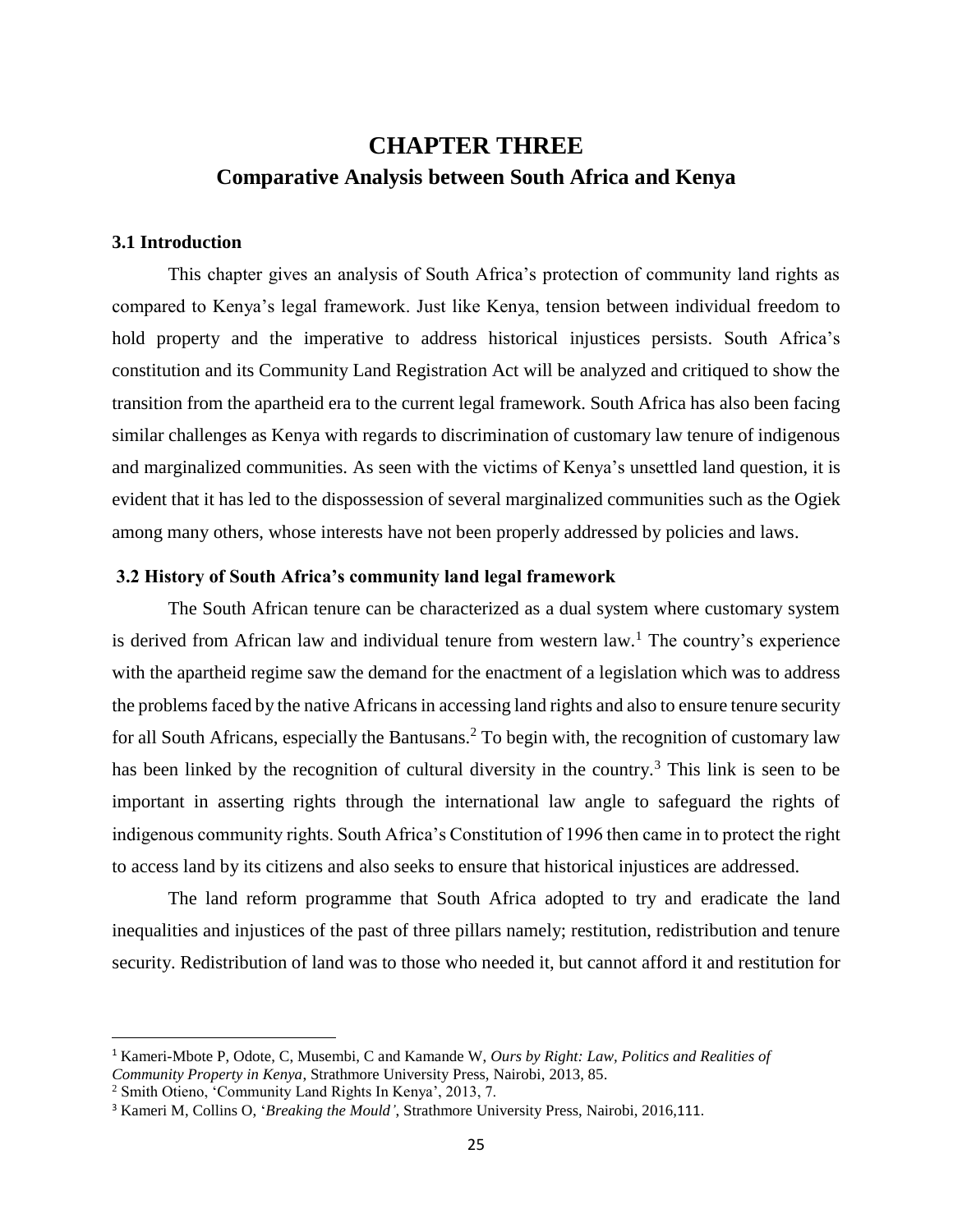## <span id="page-34-0"></span>**CHAPTER THREE Comparative Analysis between South Africa and Kenya**

#### <span id="page-34-2"></span><span id="page-34-1"></span>**3.1 Introduction**

This chapter gives an analysis of South Africa's protection of community land rights as compared to Kenya's legal framework. Just like Kenya, tension between individual freedom to hold property and the imperative to address historical injustices persists. South Africa's constitution and its Community Land Registration Act will be analyzed and critiqued to show the transition from the apartheid era to the current legal framework. South Africa has also been facing similar challenges as Kenya with regards to discrimination of customary law tenure of indigenous and marginalized communities. As seen with the victims of Kenya's unsettled land question, it is evident that it has led to the dispossession of several marginalized communities such as the Ogiek among many others, whose interests have not been properly addressed by policies and laws.

### <span id="page-34-3"></span>**3.2 History of South Africa's community land legal framework**

The South African tenure can be characterized as a dual system where customary system is derived from African law and individual tenure from western law.<sup>1</sup> The country's experience with the apartheid regime saw the demand for the enactment of a legislation which was to address the problems faced by the native Africans in accessing land rights and also to ensure tenure security for all South Africans, especially the Bantusans.<sup>2</sup> To begin with, the recognition of customary law has been linked by the recognition of cultural diversity in the country.<sup>3</sup> This link is seen to be important in asserting rights through the international law angle to safeguard the rights of indigenous community rights. South Africa's Constitution of 1996 then came in to protect the right to access land by its citizens and also seeks to ensure that historical injustices are addressed.

The land reform programme that South Africa adopted to try and eradicate the land inequalities and injustices of the past of three pillars namely; restitution, redistribution and tenure security. Redistribution of land was to those who needed it, but cannot afford it and restitution for

<sup>1</sup> Kameri-Mbote P, Odote, C, Musembi, C and Kamande W, *Ours by Right: Law, Politics and Realities of* 

*Community Property in Kenya*, Strathmore University Press, Nairobi, 2013, 85.

<sup>2</sup> Smith Otieno, 'Community Land Rights In Kenya', 2013, 7.

<sup>&</sup>lt;sup>3</sup> Kameri M, Collins O, '*Breaking the Mould'*, Strathmore University Press, Nairobi, 2016,111.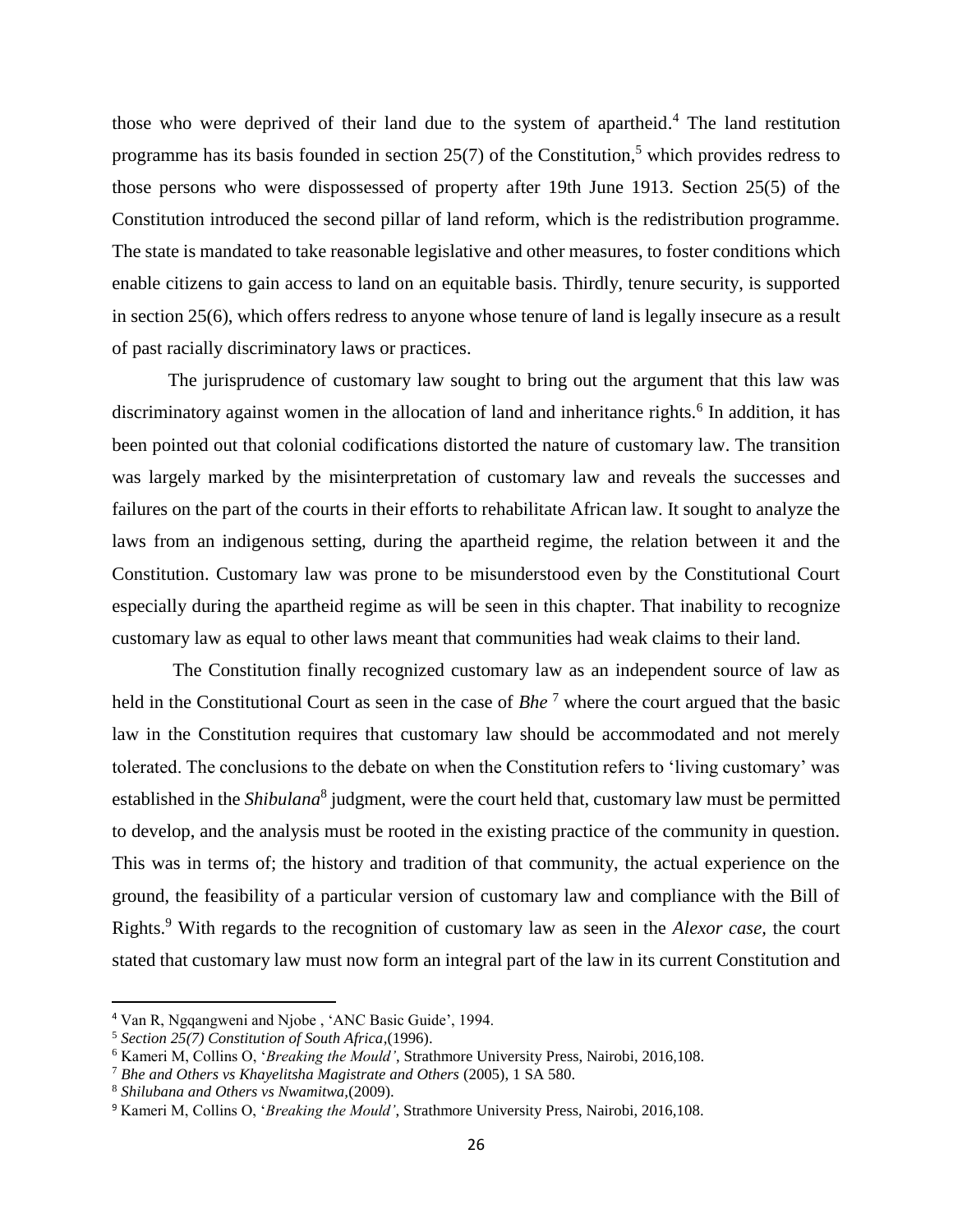those who were deprived of their land due to the system of apartheid. <sup>4</sup> The land restitution programme has its basis founded in section 25(7) of the Constitution,<sup>5</sup> which provides redress to those persons who were dispossessed of property after 19th June 1913. Section 25(5) of the Constitution introduced the second pillar of land reform, which is the redistribution programme. The state is mandated to take reasonable legislative and other measures, to foster conditions which enable citizens to gain access to land on an equitable basis. Thirdly, tenure security, is supported in section 25(6), which offers redress to anyone whose tenure of land is legally insecure as a result of past racially discriminatory laws or practices.

The jurisprudence of customary law sought to bring out the argument that this law was discriminatory against women in the allocation of land and inheritance rights.<sup>6</sup> In addition, it has been pointed out that colonial codifications distorted the nature of customary law. The transition was largely marked by the misinterpretation of customary law and reveals the successes and failures on the part of the courts in their efforts to rehabilitate African law. It sought to analyze the laws from an indigenous setting, during the apartheid regime, the relation between it and the Constitution. Customary law was prone to be misunderstood even by the Constitutional Court especially during the apartheid regime as will be seen in this chapter. That inability to recognize customary law as equal to other laws meant that communities had weak claims to their land.

The Constitution finally recognized customary law as an independent source of law as held in the Constitutional Court as seen in the case of *Bhe*<sup>7</sup> where the court argued that the basic law in the Constitution requires that customary law should be accommodated and not merely tolerated. The conclusions to the debate on when the Constitution refers to 'living customary' was established in the *Shibulana*<sup>8</sup> judgment, were the court held that, customary law must be permitted to develop, and the analysis must be rooted in the existing practice of the community in question. This was in terms of; the history and tradition of that community, the actual experience on the ground, the feasibility of a particular version of customary law and compliance with the Bill of Rights.<sup>9</sup> With regards to the recognition of customary law as seen in the *Alexor case,* the court stated that customary law must now form an integral part of the law in its current Constitution and

<sup>4</sup> Van R, Ngqangweni and Njobe , 'ANC Basic Guide', 1994.

<sup>5</sup> *Section 25(7) Constitution of South Africa*,(1996).

<sup>6</sup> Kameri M, Collins O, '*Breaking the Mould'*, Strathmore University Press, Nairobi, 2016,108.

<sup>7</sup> *Bhe and Others vs Khayelitsha Magistrate and Others* (2005), 1 SA 580.

<sup>8</sup> *Shilubana and Others vs Nwamitwa,*(2009).

<sup>9</sup> Kameri M, Collins O, '*Breaking the Mould'*, Strathmore University Press, Nairobi, 2016,108.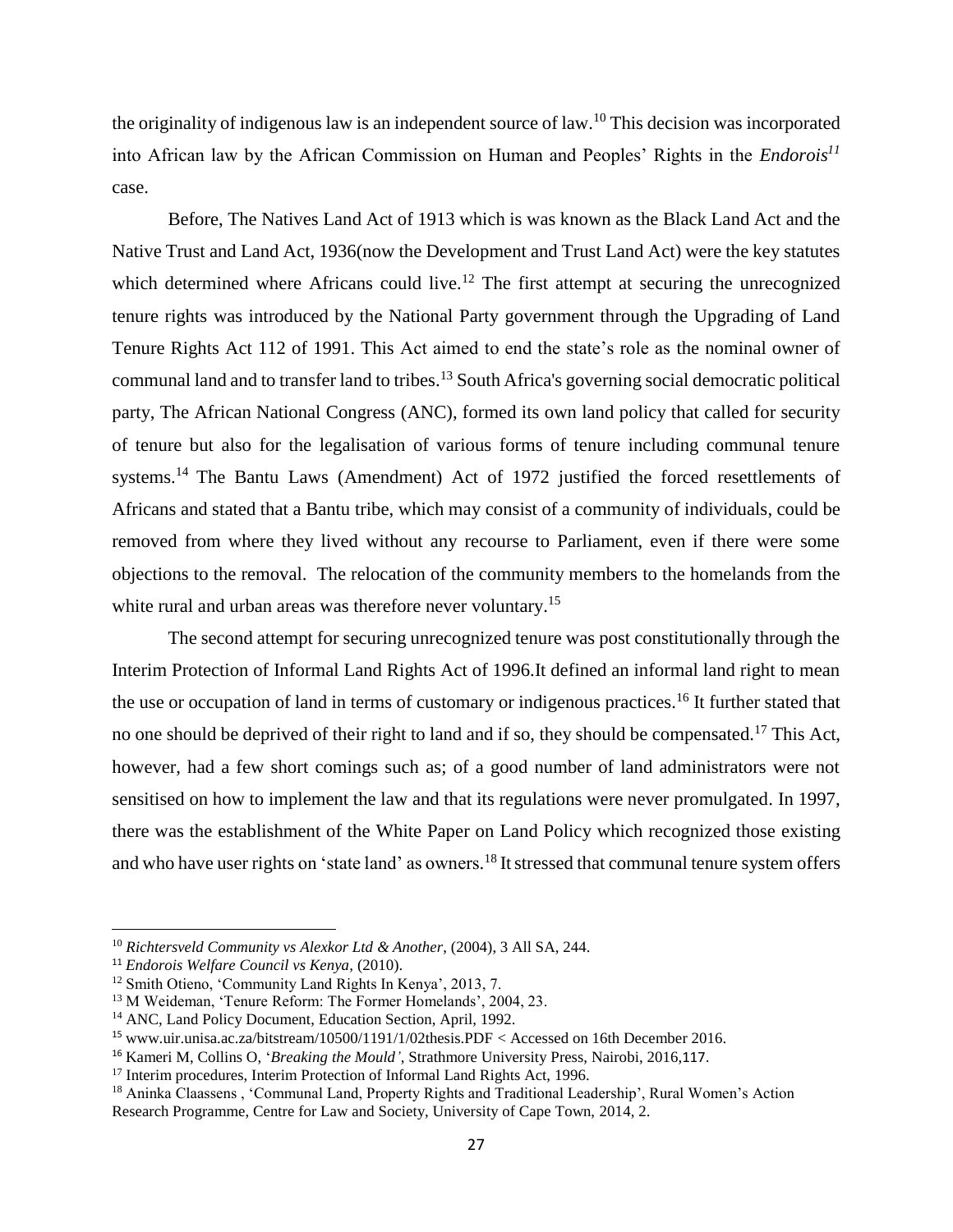the originality of indigenous law is an independent source of law.<sup>10</sup> This decision was incorporated into African law by the African Commission on Human and Peoples' Rights in the *Endorois<sup>11</sup>* case.

Before, The Natives Land Act of 1913 which is was known as the Black Land Act and the Native Trust and Land Act, 1936(now the Development and Trust Land Act) were the key statutes which determined where Africans could live.<sup>12</sup> The first attempt at securing the unrecognized tenure rights was introduced by the National Party government through the Upgrading of Land Tenure Rights Act 112 of 1991. This Act aimed to end the state's role as the nominal owner of communal land and to transfer land to tribes.<sup>13</sup> South Africa's governing social democratic political party, The African National Congress (ANC), formed its own land policy that called for security of tenure but also for the legalisation of various forms of tenure including communal tenure systems.<sup>14</sup> The Bantu Laws (Amendment) Act of 1972 justified the forced resettlements of Africans and stated that a Bantu tribe, which may consist of a community of individuals, could be removed from where they lived without any recourse to Parliament, even if there were some objections to the removal. The relocation of the community members to the homelands from the white rural and urban areas was therefore never voluntary.<sup>15</sup>

The second attempt for securing unrecognized tenure was post constitutionally through the Interim Protection of Informal Land Rights Act of 1996.It defined an informal land right to mean the use or occupation of land in terms of customary or indigenous practices.<sup>16</sup> It further stated that no one should be deprived of their right to land and if so, they should be compensated.<sup>17</sup> This Act, however, had a few short comings such as; of a good number of land administrators were not sensitised on how to implement the law and that its regulations were never promulgated. In 1997, there was the establishment of the White Paper on Land Policy which recognized those existing and who have user rights on 'state land' as owners.<sup>18</sup> It stressed that communal tenure system offers

<sup>10</sup> *Richtersveld Community vs Alexkor Ltd & Another*, (2004), 3 All SA, 244.

<sup>11</sup> *Endorois Welfare Council vs Kenya,* (2010).

<sup>12</sup> Smith Otieno, 'Community Land Rights In Kenya', 2013, 7.

<sup>&</sup>lt;sup>13</sup> M Weideman, 'Tenure Reform: The Former Homelands', 2004, 23.

<sup>&</sup>lt;sup>14</sup> ANC, Land Policy Document, Education Section, April, 1992.

<sup>15</sup> [www.uir.unisa.ac.za/bitstream/10500/1191/1/02thesis.PDF](http://www.uir.unisa.ac.za/bitstream/10500/1191/1/02thesis.PDF) < Accessed on 16th December 2016.

<sup>16</sup> Kameri M, Collins O, '*Breaking the Mould'*, Strathmore University Press, Nairobi, 2016,117.

<sup>&</sup>lt;sup>17</sup> Interim procedures, Interim Protection of Informal Land Rights Act, 1996.

<sup>&</sup>lt;sup>18</sup> Aninka Claassens, 'Communal Land, Property Rights and Traditional Leadership', Rural Women's Action Research Programme, Centre for Law and Society, University of Cape Town, 2014, 2.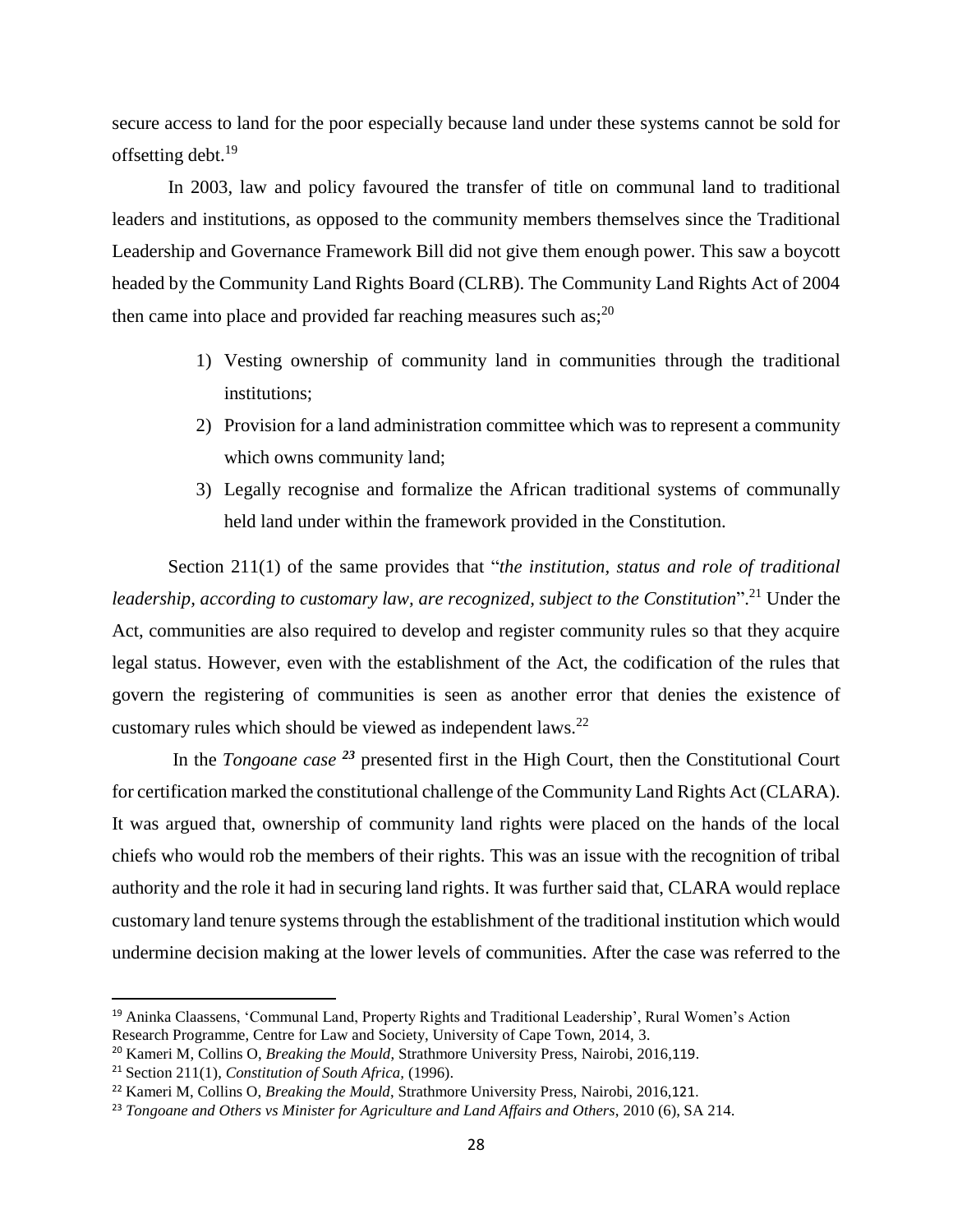secure access to land for the poor especially because land under these systems cannot be sold for offsetting debt.<sup>19</sup>

In 2003, law and policy favoured the transfer of title on communal land to traditional leaders and institutions, as opposed to the community members themselves since the Traditional Leadership and Governance Framework Bill did not give them enough power. This saw a boycott headed by the Community Land Rights Board (CLRB). The Community Land Rights Act of 2004 then came into place and provided far reaching measures such as; $^{20}$ 

- 1) Vesting ownership of community land in communities through the traditional institutions;
- 2) Provision for a land administration committee which was to represent a community which owns community land;
- 3) Legally recognise and formalize the African traditional systems of communally held land under within the framework provided in the Constitution.

Section 211(1) of the same provides that "*the institution, status and role of traditional leadership, according to customary law, are recognized, subject to the Constitution*". <sup>21</sup> Under the Act, communities are also required to develop and register community rules so that they acquire legal status. However, even with the establishment of the Act, the codification of the rules that govern the registering of communities is seen as another error that denies the existence of customary rules which should be viewed as independent laws.<sup>22</sup>

In the *Tongoane case <sup>23</sup>* presented first in the High Court, then the Constitutional Court for certification marked the constitutional challenge of the Community Land Rights Act (CLARA). It was argued that, ownership of community land rights were placed on the hands of the local chiefs who would rob the members of their rights. This was an issue with the recognition of tribal authority and the role it had in securing land rights. It was further said that, CLARA would replace customary land tenure systems through the establishment of the traditional institution which would undermine decision making at the lower levels of communities. After the case was referred to the

 $\overline{a}$ 

<sup>19</sup> Aninka Claassens, 'Communal Land, Property Rights and Traditional Leadership', Rural Women's Action Research Programme, Centre for Law and Society, University of Cape Town, 2014, 3.

<sup>20</sup> Kameri M, Collins O, *Breaking the Mould*, Strathmore University Press, Nairobi, 2016,119.

<sup>21</sup> Section 211(1), *Constitution of South Africa,* (1996).

<sup>22</sup> Kameri M, Collins O, *Breaking the Mould*, Strathmore University Press, Nairobi, 2016,121.

<sup>23</sup> *Tongoane and Others vs Minister for Agriculture and Land Affairs and Others*, 2010 (6), SA 214.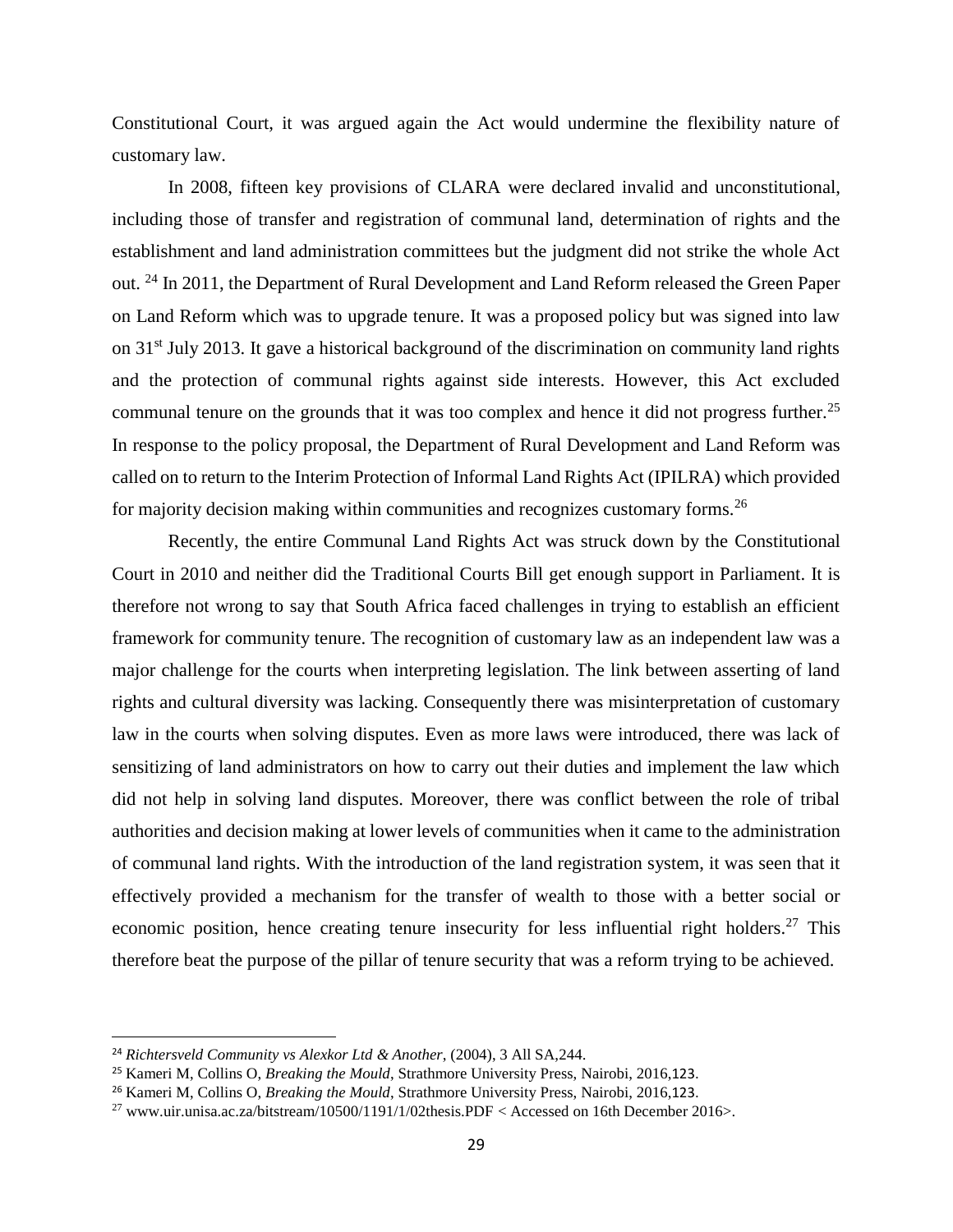Constitutional Court, it was argued again the Act would undermine the flexibility nature of customary law.

In 2008, fifteen key provisions of CLARA were declared invalid and unconstitutional, including those of transfer and registration of communal land, determination of rights and the establishment and land administration committees but the judgment did not strike the whole Act out. <sup>24</sup> In 2011, the Department of Rural Development and Land Reform released the Green Paper on Land Reform which was to upgrade tenure. It was a proposed policy but was signed into law on 31st July 2013. It gave a historical background of the discrimination on community land rights and the protection of communal rights against side interests. However, this Act excluded communal tenure on the grounds that it was too complex and hence it did not progress further.<sup>25</sup> In response to the policy proposal, the Department of Rural Development and Land Reform was called on to return to the Interim Protection of Informal Land Rights Act (IPILRA) which provided for majority decision making within communities and recognizes customary forms.<sup>26</sup>

Recently, the entire Communal Land Rights Act was struck down by the Constitutional Court in 2010 and neither did the Traditional Courts Bill get enough support in Parliament. It is therefore not wrong to say that South Africa faced challenges in trying to establish an efficient framework for community tenure. The recognition of customary law as an independent law was a major challenge for the courts when interpreting legislation. The link between asserting of land rights and cultural diversity was lacking. Consequently there was misinterpretation of customary law in the courts when solving disputes. Even as more laws were introduced, there was lack of sensitizing of land administrators on how to carry out their duties and implement the law which did not help in solving land disputes. Moreover, there was conflict between the role of tribal authorities and decision making at lower levels of communities when it came to the administration of communal land rights. With the introduction of the land registration system, it was seen that it effectively provided a mechanism for the transfer of wealth to those with a better social or economic position, hence creating tenure insecurity for less influential right holders.<sup>27</sup> This therefore beat the purpose of the pillar of tenure security that was a reform trying to be achieved.

<sup>24</sup> *Richtersveld Community vs Alexkor Ltd & Another*, (2004), 3 All SA,244.

<sup>25</sup> Kameri M, Collins O, *Breaking the Mould*, Strathmore University Press, Nairobi, 2016,123.

<sup>26</sup> Kameri M, Collins O, *Breaking the Mould*, Strathmore University Press, Nairobi, 2016,123.

<sup>&</sup>lt;sup>27</sup> [www.uir.unisa.ac.za/bitstream/10500/1191/1/02thesis.PDF](http://www.uir.unisa.ac.za/bitstream/10500/1191/1/02thesis.PDF) < Accessed on 16th December 2016>.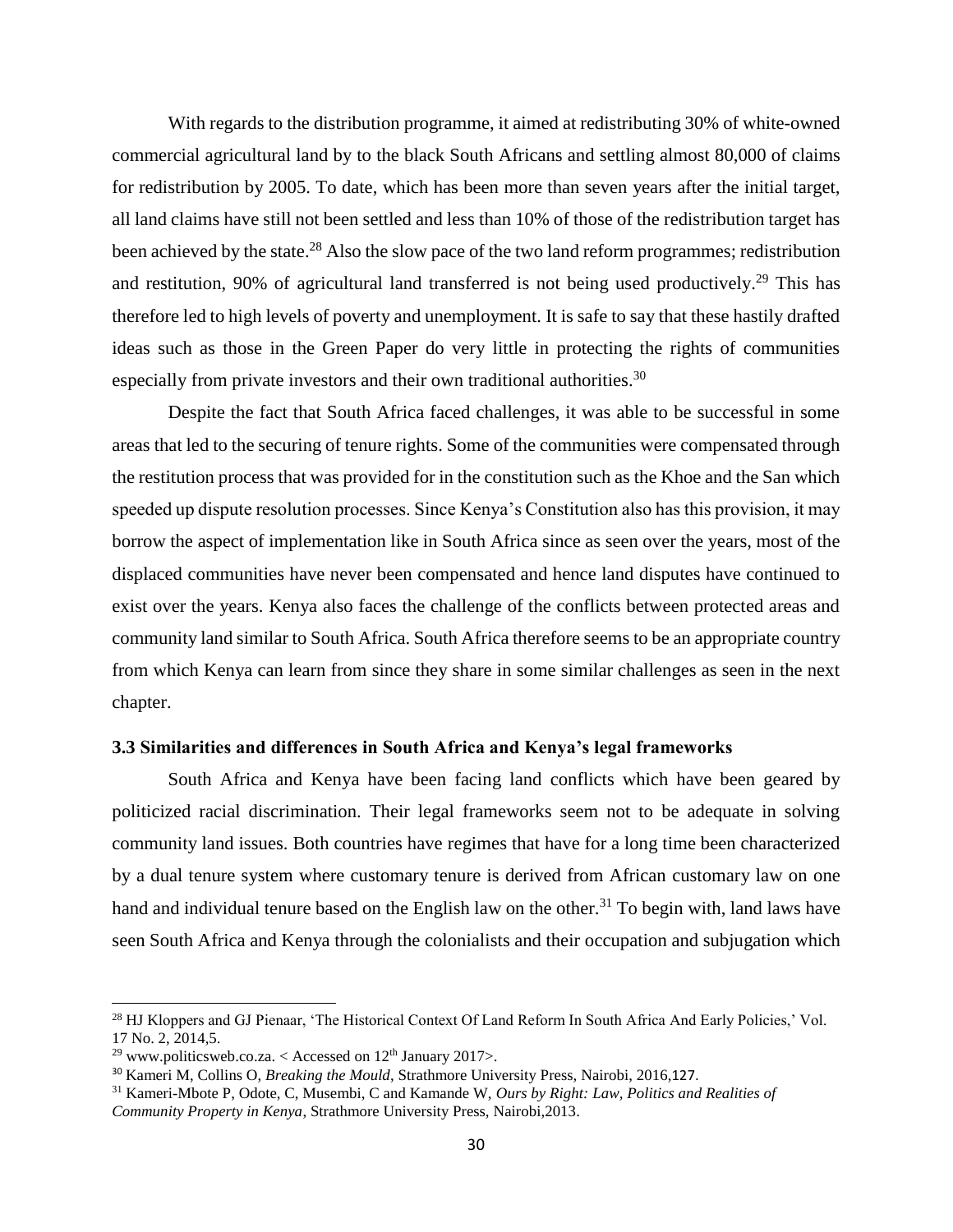With regards to the distribution programme, it aimed at redistributing 30% of white-owned commercial agricultural land by to the black South Africans and settling almost 80,000 of claims for redistribution by 2005. To date, which has been more than seven years after the initial target, all land claims have still not been settled and less than 10% of those of the redistribution target has been achieved by the state.<sup>28</sup> Also the slow pace of the two land reform programmes; redistribution and restitution, 90% of agricultural land transferred is not being used productively.<sup>29</sup> This has therefore led to high levels of poverty and unemployment. It is safe to say that these hastily drafted ideas such as those in the Green Paper do very little in protecting the rights of communities especially from private investors and their own traditional authorities.<sup>30</sup>

Despite the fact that South Africa faced challenges, it was able to be successful in some areas that led to the securing of tenure rights. Some of the communities were compensated through the restitution process that was provided for in the constitution such as the Khoe and the San which speeded up dispute resolution processes. Since Kenya's Constitution also has this provision, it may borrow the aspect of implementation like in South Africa since as seen over the years, most of the displaced communities have never been compensated and hence land disputes have continued to exist over the years. Kenya also faces the challenge of the conflicts between protected areas and community land similar to South Africa. South Africa therefore seems to be an appropriate country from which Kenya can learn from since they share in some similar challenges as seen in the next chapter.

### <span id="page-39-0"></span>**3.3 Similarities and differences in South Africa and Kenya's legal frameworks**

South Africa and Kenya have been facing land conflicts which have been geared by politicized racial discrimination. Their legal frameworks seem not to be adequate in solving community land issues. Both countries have regimes that have for a long time been characterized by a dual tenure system where customary tenure is derived from African customary law on one hand and individual tenure based on the English law on the other.<sup>31</sup> To begin with, land laws have seen South Africa and Kenya through the colonialists and their occupation and subjugation which

l

<sup>28</sup> HJ Kloppers and GJ Pienaar, 'The Historical Context Of Land Reform In South Africa And Early Policies,' Vol. 17 No. 2, 2014,5.

<sup>&</sup>lt;sup>29</sup> [www.politicsweb.co.za.](http://www.politicsweb.co.za/) < Accessed on  $12<sup>th</sup>$  January 2017>.

<sup>30</sup> Kameri M, Collins O, *Breaking the Mould*, Strathmore University Press, Nairobi, 2016,127.

<sup>31</sup> Kameri-Mbote P, Odote, C, Musembi, C and Kamande W, *Ours by Right: Law, Politics and Realities of Community Property in Kenya*, Strathmore University Press, Nairobi,2013.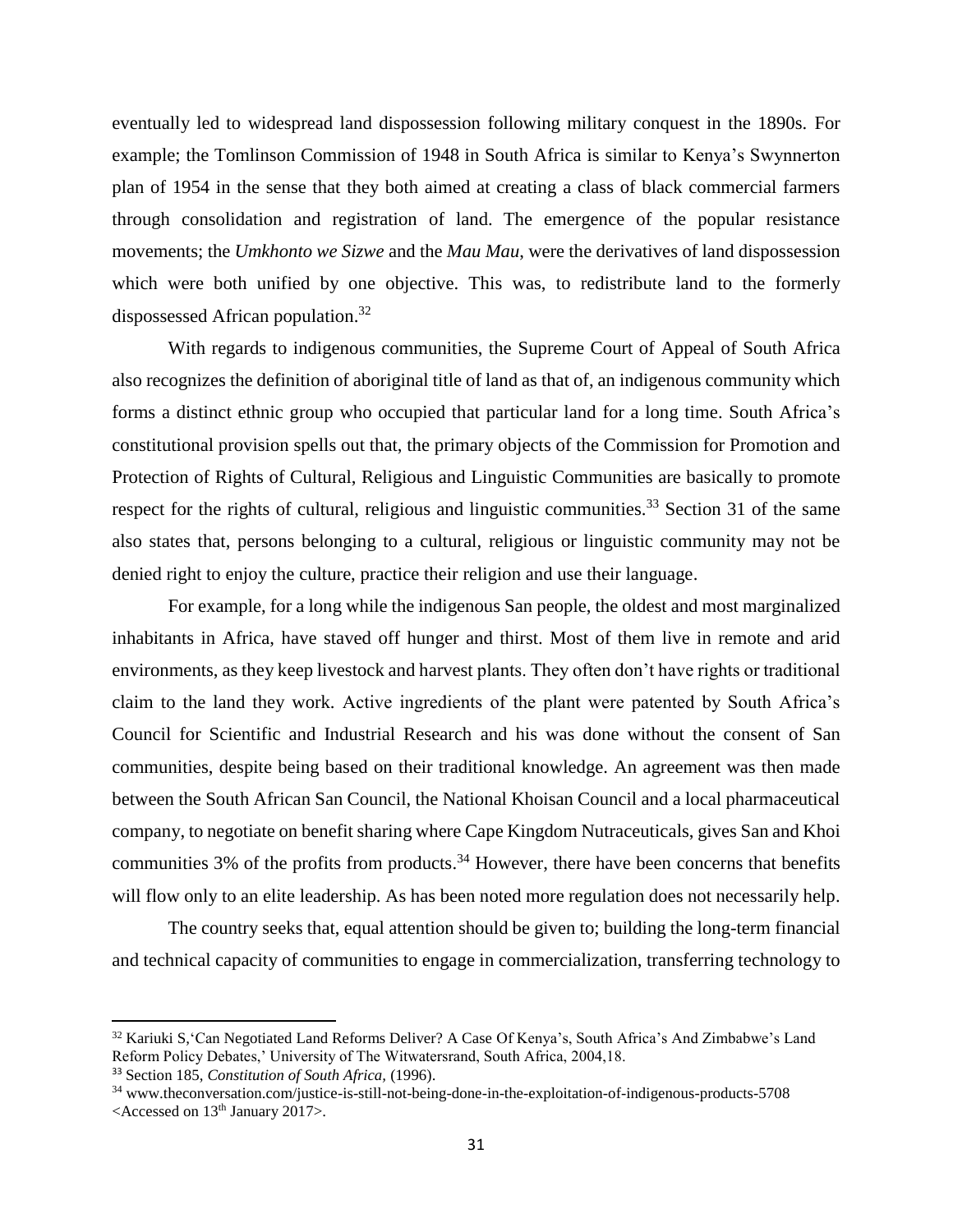eventually led to widespread land dispossession following military conquest in the 1890s. For example; the Tomlinson Commission of 1948 in South Africa is similar to Kenya's Swynnerton plan of 1954 in the sense that they both aimed at creating a class of black commercial farmers through consolidation and registration of land. The emergence of the popular resistance movements; the *Umkhonto we Sizwe* and the *Mau Mau*, were the derivatives of land dispossession which were both unified by one objective. This was, to redistribute land to the formerly dispossessed African population. 32

With regards to indigenous communities, the Supreme Court of Appeal of South Africa also recognizes the definition of aboriginal title of land as that of, an indigenous community which forms a distinct ethnic group who occupied that particular land for a long time. South Africa's constitutional provision spells out that, the primary objects of the Commission for Promotion and Protection of Rights of Cultural, Religious and Linguistic Communities are basically to promote respect for the rights of cultural, religious and linguistic communities.<sup>33</sup> Section 31 of the same also states that, persons belonging to a cultural, religious or linguistic community may not be denied right to enjoy the culture, practice their religion and use their language.

For example, for a long while the indigenous San people, the oldest and most marginalized inhabitants in Africa, have staved off hunger and thirst. Most of them live in remote and arid environments, as they keep livestock and harvest plants. They often don't have rights or traditional claim to the land they work. Active ingredients of the plant were patented by South Africa's Council for Scientific and Industrial Research and his was done without the consent of San communities, despite being based on their traditional knowledge. An agreement was then made between the South African San Council, the National Khoisan Council and a local pharmaceutical company, to negotiate on benefit sharing where Cape Kingdom Nutraceuticals, gives San and Khoi communities  $3\%$  of the profits from products.<sup>34</sup> However, there have been concerns that benefits will flow only to an elite leadership. As has been noted more regulation does not necessarily help.

The country seeks that, equal attention should be given to; building the long-term financial and technical capacity of communities to engage in commercialization, transferring technology to

 $\overline{a}$ 

<sup>32</sup> Kariuki S,'Can Negotiated Land Reforms Deliver? A Case Of Kenya's, South Africa's And Zimbabwe's Land Reform Policy Debates,' University of The Witwatersrand, South Africa, 2004,18.

<sup>33</sup> Section 185, *Constitution of South Africa,* (1996).

<sup>34</sup> [www.theconversation.com/justice-is-still-not-being-done-in-the-exploitation-of-indigenous-products-5708](http://www.theconversation.com/justice-is-still-not-being-done-in-the-exploitation-of-indigenous-products-5708) <Accessed on 13th January 2017>.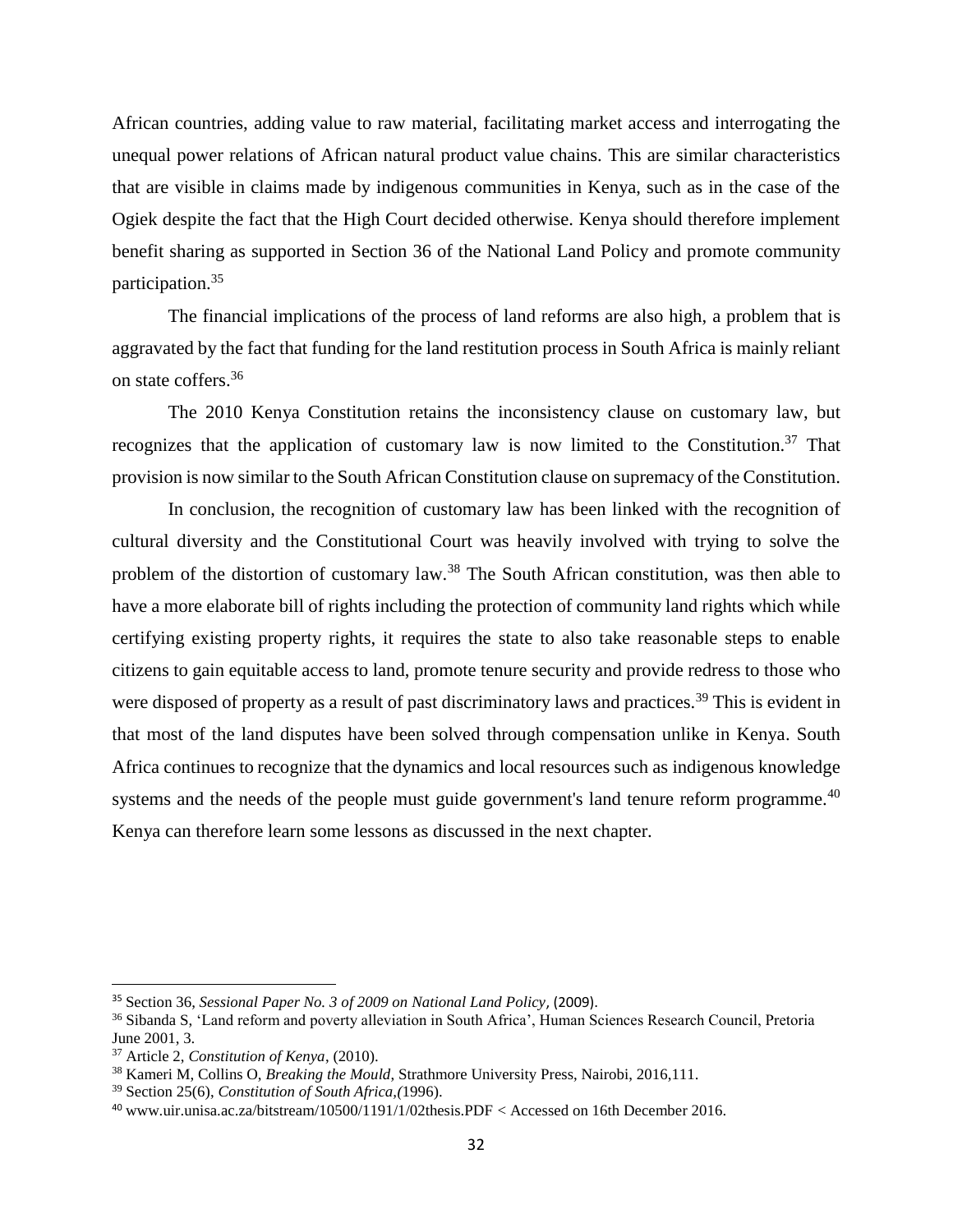African countries, adding value to raw material, facilitating market access and interrogating the unequal power relations of African natural product value chains. This are similar characteristics that are visible in claims made by indigenous communities in Kenya, such as in the case of the Ogiek despite the fact that the High Court decided otherwise. Kenya should therefore implement benefit sharing as supported in Section 36 of the National Land Policy and promote community participation.<sup>35</sup>

The financial implications of the process of land reforms are also high, a problem that is aggravated by the fact that funding for the land restitution process in South Africa is mainly reliant on state coffers.<sup>36</sup>

The 2010 Kenya Constitution retains the inconsistency clause on customary law, but recognizes that the application of customary law is now limited to the Constitution.<sup>37</sup> That provision is now similar to the South African Constitution clause on supremacy of the Constitution.

In conclusion, the recognition of customary law has been linked with the recognition of cultural diversity and the Constitutional Court was heavily involved with trying to solve the problem of the distortion of customary law.<sup>38</sup> The South African constitution, was then able to have a more elaborate bill of rights including the protection of community land rights which while certifying existing property rights, it requires the state to also take reasonable steps to enable citizens to gain equitable access to land, promote tenure security and provide redress to those who were disposed of property as a result of past discriminatory laws and practices.<sup>39</sup> This is evident in that most of the land disputes have been solved through compensation unlike in Kenya. South Africa continues to recognize that the dynamics and local resources such as indigenous knowledge systems and the needs of the people must guide government's land tenure reform programme.<sup>40</sup> Kenya can therefore learn some lessons as discussed in the next chapter.

 $\overline{a}$ 

<sup>35</sup> Section 36, *Sessional Paper No. 3 of 2009 on National Land Policy*, (2009).

<sup>36</sup> Sibanda S, 'Land reform and poverty alleviation in South Africa', Human Sciences Research Council, Pretoria June 2001, 3.

<sup>37</sup> Article 2, *Constitution of Kenya*, (2010).

<sup>38</sup> Kameri M, Collins O, *Breaking the Mould*, Strathmore University Press, Nairobi, 2016,111.

<sup>39</sup> Section 25(6), *Constitution of South Africa,(*1996).

<sup>40</sup> [www.uir.unisa.ac.za/bitstream/10500/1191/1/02thesis.PDF](http://www.uir.unisa.ac.za/bitstream/10500/1191/1/02thesis.PDF) < Accessed on 16th December 2016.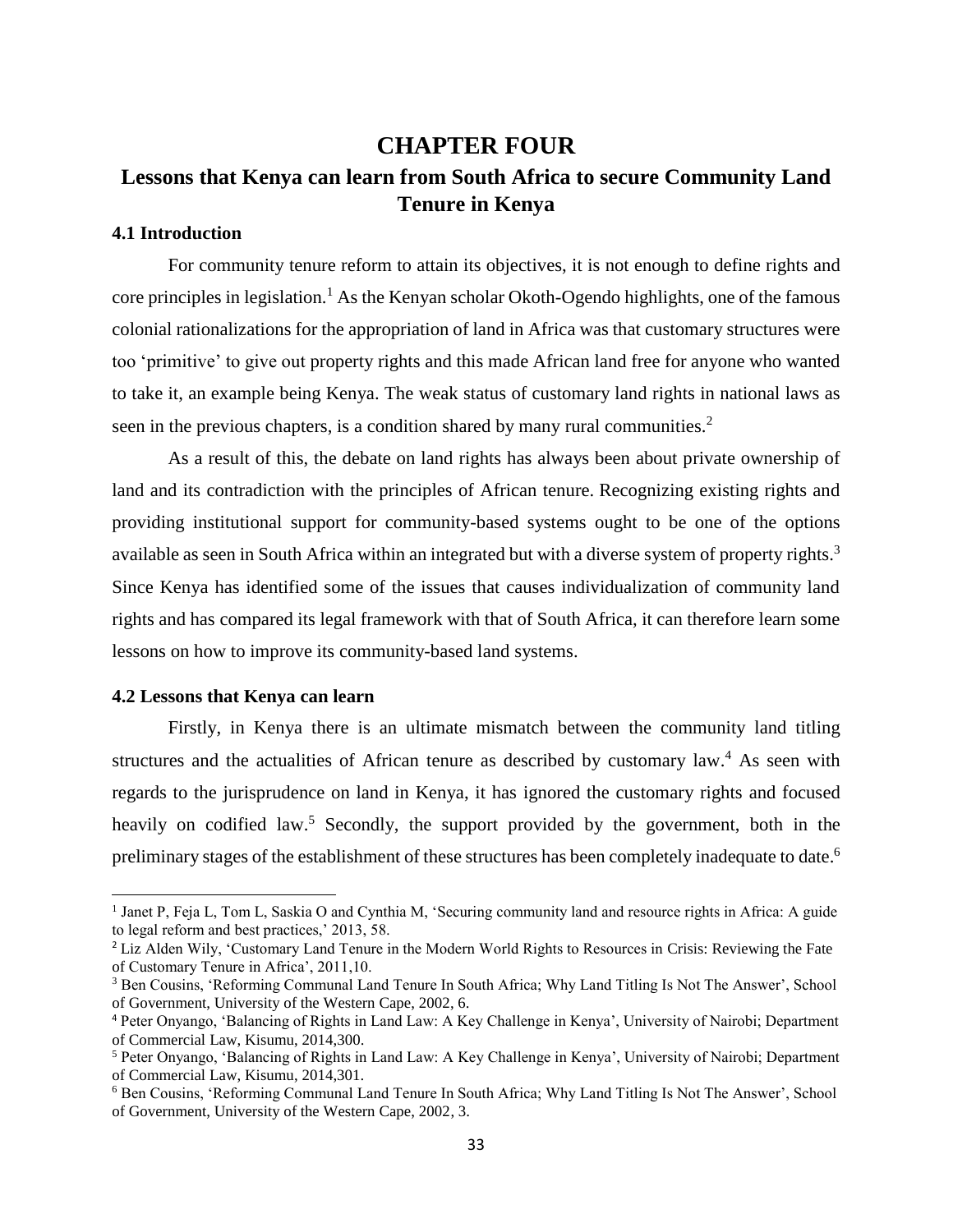## <span id="page-42-1"></span><span id="page-42-0"></span>**CHAPTER FOUR Lessons that Kenya can learn from South Africa to secure Community Land Tenure in Kenya**

### <span id="page-42-2"></span>**4.1 Introduction**

For community tenure reform to attain its objectives, it is not enough to define rights and core principles in legislation.<sup>1</sup> As the Kenyan scholar Okoth-Ogendo highlights, one of the famous colonial rationalizations for the appropriation of land in Africa was that customary structures were too 'primitive' to give out property rights and this made African land free for anyone who wanted to take it, an example being Kenya. The weak status of customary land rights in national laws as seen in the previous chapters, is a condition shared by many rural communities.<sup>2</sup>

As a result of this, the debate on land rights has always been about private ownership of land and its contradiction with the principles of African tenure. Recognizing existing rights and providing institutional support for community-based systems ought to be one of the options available as seen in South Africa within an integrated but with a diverse system of property rights.<sup>3</sup> Since Kenya has identified some of the issues that causes individualization of community land rights and has compared its legal framework with that of South Africa, it can therefore learn some lessons on how to improve its community-based land systems.

### <span id="page-42-3"></span>**4.2 Lessons that Kenya can learn**

l

Firstly, in Kenya there is an ultimate mismatch between the community land titling structures and the actualities of African tenure as described by customary law.<sup>4</sup> As seen with regards to the jurisprudence on land in Kenya, it has ignored the customary rights and focused heavily on codified law.<sup>5</sup> Secondly, the support provided by the government, both in the preliminary stages of the establishment of these structures has been completely inadequate to date.<sup>6</sup>

<sup>1</sup> Janet P, Feja L, Tom L, Saskia O and Cynthia M, 'Securing community land and resource rights in Africa: A guide to legal reform and best practices,' 2013, 58.

<sup>&</sup>lt;sup>2</sup> Liz Alden Wily, 'Customary Land Tenure in the Modern World Rights to Resources in Crisis: Reviewing the Fate of Customary Tenure in Africa', 2011,10.

<sup>&</sup>lt;sup>3</sup> Ben Cousins, 'Reforming Communal Land Tenure In South Africa; Why Land Titling Is Not The Answer', School of Government, University of the Western Cape, 2002, 6.

<sup>4</sup> Peter Onyango, 'Balancing of Rights in Land Law: A Key Challenge in Kenya', University of Nairobi; Department of Commercial Law, Kisumu, 2014,300.

<sup>5</sup> Peter Onyango, 'Balancing of Rights in Land Law: A Key Challenge in Kenya', University of Nairobi; Department of Commercial Law, Kisumu, 2014,301.

<sup>6</sup> Ben Cousins, 'Reforming Communal Land Tenure In South Africa; Why Land Titling Is Not The Answer', School of Government, University of the Western Cape, 2002, 3.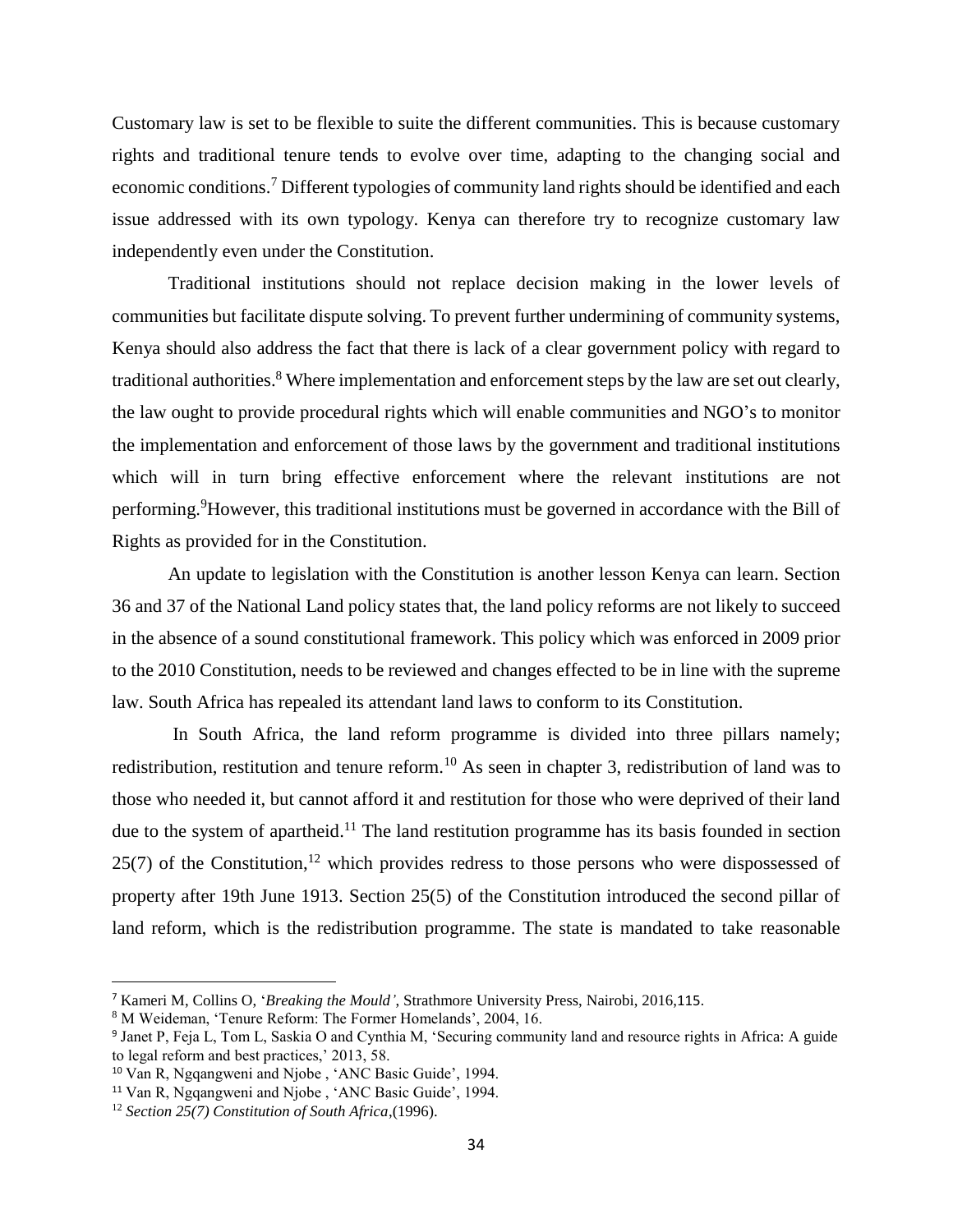Customary law is set to be flexible to suite the different communities. This is because customary rights and traditional tenure tends to evolve over time, adapting to the changing social and economic conditions.<sup>7</sup> Different typologies of community land rights should be identified and each issue addressed with its own typology. Kenya can therefore try to recognize customary law independently even under the Constitution.

Traditional institutions should not replace decision making in the lower levels of communities but facilitate dispute solving. To prevent further undermining of community systems, Kenya should also address the fact that there is lack of a clear government policy with regard to traditional authorities.<sup>8</sup> Where implementation and enforcement steps by the law are set out clearly, the law ought to provide procedural rights which will enable communities and NGO's to monitor the implementation and enforcement of those laws by the government and traditional institutions which will in turn bring effective enforcement where the relevant institutions are not performing. <sup>9</sup>However, this traditional institutions must be governed in accordance with the Bill of Rights as provided for in the Constitution.

An update to legislation with the Constitution is another lesson Kenya can learn. Section 36 and 37 of the National Land policy states that, the land policy reforms are not likely to succeed in the absence of a sound constitutional framework. This policy which was enforced in 2009 prior to the 2010 Constitution, needs to be reviewed and changes effected to be in line with the supreme law. South Africa has repealed its attendant land laws to conform to its Constitution.

In South Africa, the land reform programme is divided into three pillars namely; redistribution, restitution and tenure reform.<sup>10</sup> As seen in chapter 3, redistribution of land was to those who needed it, but cannot afford it and restitution for those who were deprived of their land due to the system of apartheid.<sup>11</sup> The land restitution programme has its basis founded in section  $25(7)$  of the Constitution,<sup>12</sup> which provides redress to those persons who were dispossessed of property after 19th June 1913. Section 25(5) of the Constitution introduced the second pillar of land reform, which is the redistribution programme. The state is mandated to take reasonable

 $\overline{a}$ 

<sup>7</sup> Kameri M, Collins O, '*Breaking the Mould'*, Strathmore University Press, Nairobi, 2016,115.

<sup>8</sup> M Weideman, 'Tenure Reform: The Former Homelands', 2004, 16.

<sup>9</sup> Janet P, Feja L, Tom L, Saskia O and Cynthia M, 'Securing community land and resource rights in Africa: A guide to legal reform and best practices,' 2013, 58.

<sup>10</sup> Van R, Ngqangweni and Njobe , 'ANC Basic Guide', 1994.

<sup>&</sup>lt;sup>11</sup> Van R, Ngqangweni and Njobe, 'ANC Basic Guide', 1994.

<sup>12</sup> *Section 25(7) Constitution of South Africa*,(1996).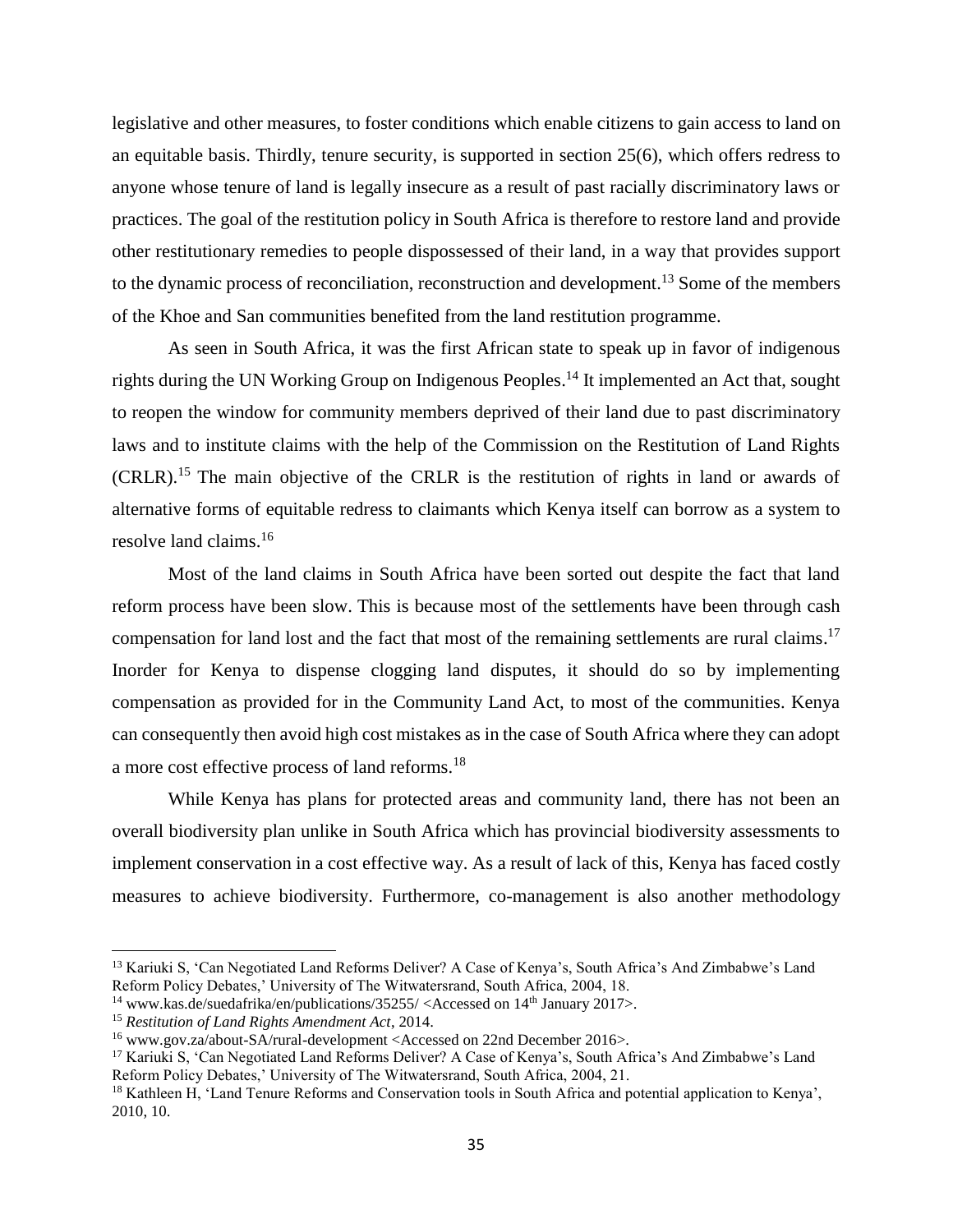legislative and other measures, to foster conditions which enable citizens to gain access to land on an equitable basis. Thirdly, tenure security, is supported in section 25(6), which offers redress to anyone whose tenure of land is legally insecure as a result of past racially discriminatory laws or practices. The goal of the restitution policy in South Africa is therefore to restore land and provide other restitutionary remedies to people dispossessed of their land, in a way that provides support to the dynamic process of reconciliation, reconstruction and development.<sup>13</sup> Some of the members of the Khoe and San communities benefited from the land restitution programme.

As seen in South Africa, it was the first African state to speak up in favor of indigenous rights during the UN Working Group on Indigenous Peoples. <sup>14</sup> It implemented an Act that, sought to reopen the window for community members deprived of their land due to past discriminatory laws and to institute claims with the help of the Commission on the Restitution of Land Rights (CRLR). <sup>15</sup> The main objective of the CRLR is the restitution of rights in land or awards of alternative forms of equitable redress to claimants which Kenya itself can borrow as a system to resolve land claims.<sup>16</sup>

Most of the land claims in South Africa have been sorted out despite the fact that land reform process have been slow. This is because most of the settlements have been through cash compensation for land lost and the fact that most of the remaining settlements are rural claims.<sup>17</sup> Inorder for Kenya to dispense clogging land disputes, it should do so by implementing compensation as provided for in the Community Land Act, to most of the communities. Kenya can consequently then avoid high cost mistakes as in the case of South Africa where they can adopt a more cost effective process of land reforms.<sup>18</sup>

While Kenya has plans for protected areas and community land, there has not been an overall biodiversity plan unlike in South Africa which has provincial biodiversity assessments to implement conservation in a cost effective way. As a result of lack of this, Kenya has faced costly measures to achieve biodiversity. Furthermore, co-management is also another methodology

<sup>&</sup>lt;sup>13</sup> Kariuki S, 'Can Negotiated Land Reforms Deliver? A Case of Kenya's, South Africa's And Zimbabwe's Land Reform Policy Debates,' University of The Witwatersrand, South Africa, 2004, 18.

<sup>&</sup>lt;sup>14</sup> [www.kas.de/suedafrika/en/publications/35255/](http://www.kas.de/suedafrika/en/publications/35255/) <Accessed on  $14<sup>th</sup>$  January 2017>.

<sup>15</sup> *Restitution of Land Rights Amendment Act*, 2014.

<sup>16</sup> [www.gov.za/about-SA/rural-development](http://www.gov.za/about-SA/rural-development) <Accessed on 22nd December 2016>.

<sup>&</sup>lt;sup>17</sup> Kariuki S, 'Can Negotiated Land Reforms Deliver? A Case of Kenya's, South Africa's And Zimbabwe's Land Reform Policy Debates,' University of The Witwatersrand, South Africa, 2004, 21.

<sup>18</sup> Kathleen H, 'Land Tenure Reforms and Conservation tools in South Africa and potential application to Kenya', 2010, 10.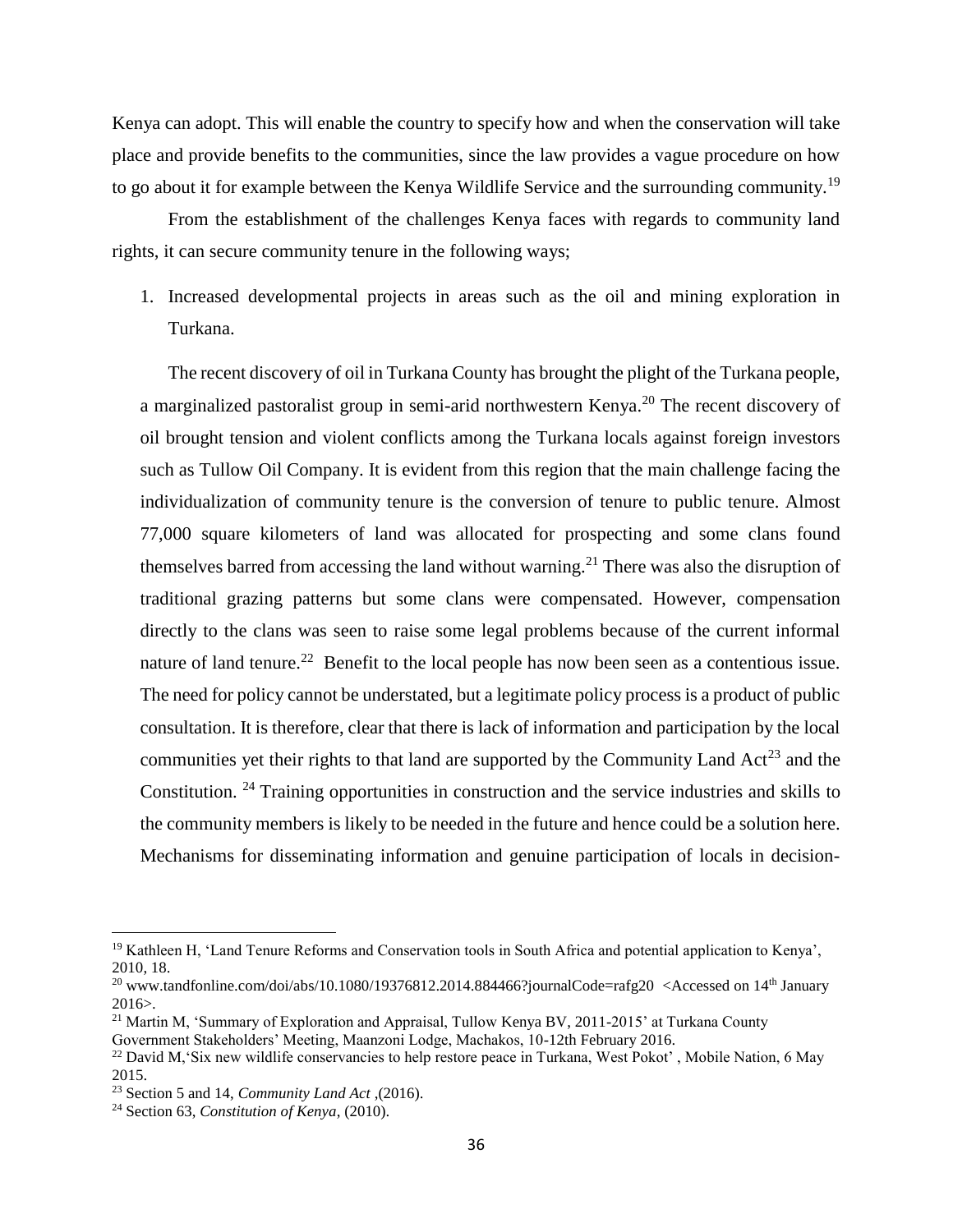Kenya can adopt. This will enable the country to specify how and when the conservation will take place and provide benefits to the communities, since the law provides a vague procedure on how to go about it for example between the Kenya Wildlife Service and the surrounding community.<sup>19</sup>

From the establishment of the challenges Kenya faces with regards to community land rights, it can secure community tenure in the following ways;

1. Increased developmental projects in areas such as the oil and mining exploration in Turkana.

The recent discovery of oil in Turkana County has brought the plight of the Turkana people, a marginalized pastoralist group in semi-arid northwestern Kenya.<sup>20</sup> The recent discovery of oil brought tension and violent conflicts among the Turkana locals against foreign investors such as Tullow Oil Company. It is evident from this region that the main challenge facing the individualization of community tenure is the conversion of tenure to public tenure. Almost 77,000 square kilometers of land was allocated for prospecting and some clans found themselves barred from accessing the land without warning.<sup>21</sup> There was also the disruption of traditional grazing patterns but some clans were compensated. However, compensation directly to the clans was seen to raise some legal problems because of the current informal nature of land tenure.<sup>22</sup> Benefit to the local people has now been seen as a contentious issue. The need for policy cannot be understated, but a legitimate policy process is a product of public consultation. It is therefore, clear that there is lack of information and participation by the local communities yet their rights to that land are supported by the Community Land  $Act^{23}$  and the Constitution. <sup>24</sup> Training opportunities in construction and the service industries and skills to the community members is likely to be needed in the future and hence could be a solution here. Mechanisms for disseminating information and genuine participation of locals in decision-

<sup>&</sup>lt;sup>19</sup> Kathleen H, 'Land Tenure Reforms and Conservation tools in South Africa and potential application to Kenya', 2010, 18.

<sup>&</sup>lt;sup>20</sup> [www.tandfonline.com/doi/abs/10.1080/19376812.2014.884466?journalCode=rafg20](http://www.tandfonline.com/doi/abs/10.1080/19376812.2014.884466?journalCode=rafg20) <Accessed on 14<sup>th</sup> January 2016>.

<sup>&</sup>lt;sup>21</sup> Martin M, 'Summary of Exploration and Appraisal, Tullow Kenya BV, 2011-2015' at Turkana County Government Stakeholders' Meeting, Maanzoni Lodge, Machakos, 10-12th February 2016.

<sup>&</sup>lt;sup>22</sup> David M, 'Six new wildlife conservancies to help restore peace in Turkana, West Pokot', Mobile Nation, 6 May 2015.

<sup>23</sup> Section 5 and 14, *Community Land Act* ,(2016).

<sup>24</sup> Section 63, *Constitution of Kenya*, (2010).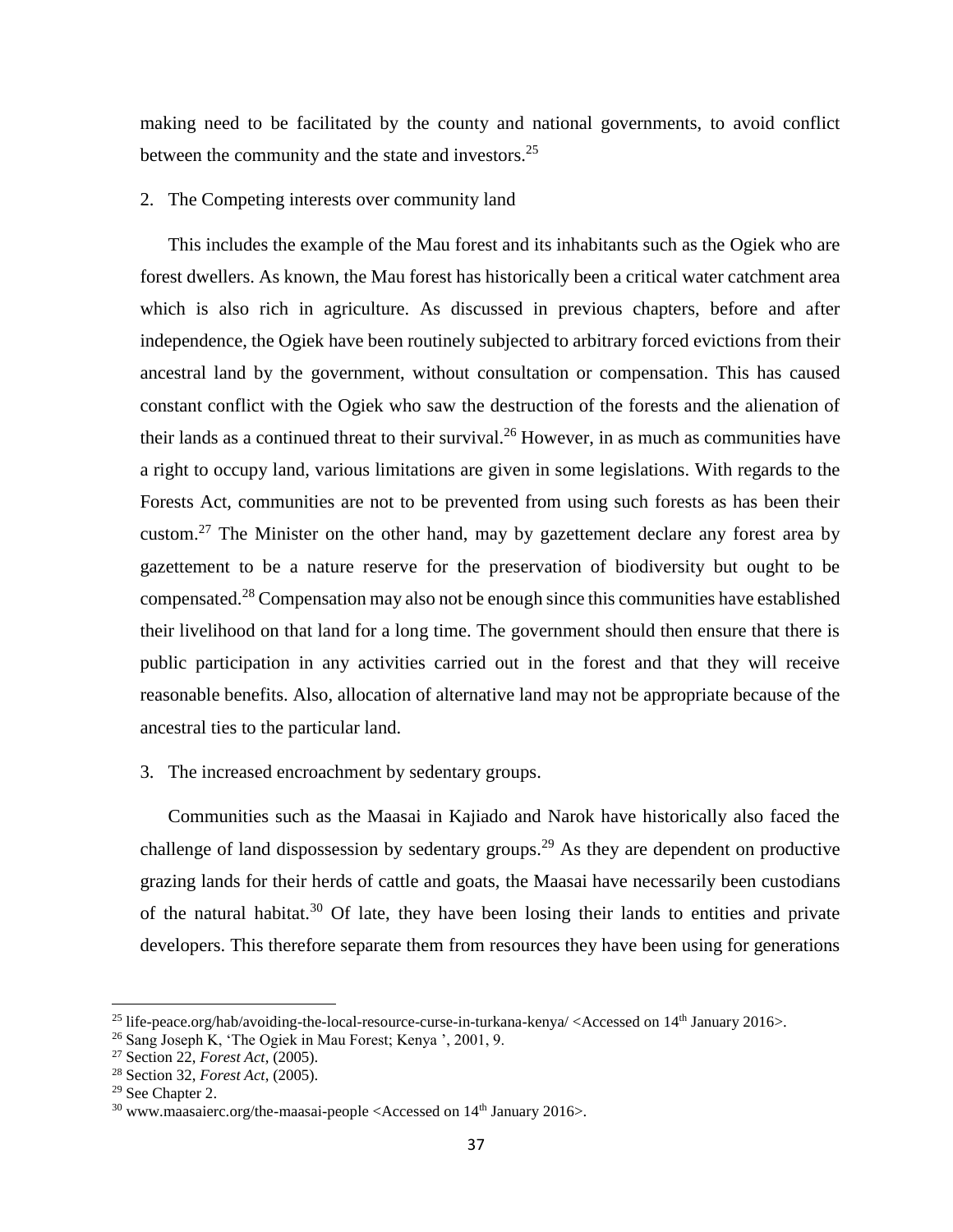making need to be facilitated by the county and national governments, to avoid conflict between the community and the state and investors.<sup>25</sup>

#### 2. The Competing interests over community land

This includes the example of the Mau forest and its inhabitants such as the Ogiek who are forest dwellers. As known, the Mau forest has historically been a critical water catchment area which is also rich in agriculture. As discussed in previous chapters, before and after independence, the Ogiek have been routinely subjected to arbitrary forced evictions from their ancestral land by the government, without consultation or compensation. This has caused constant conflict with the Ogiek who saw the destruction of the forests and the alienation of their lands as a continued threat to their survival.<sup>26</sup> However, in as much as communities have a right to occupy land, various limitations are given in some legislations. With regards to the Forests Act, communities are not to be prevented from using such forests as has been their custom.<sup>27</sup> The Minister on the other hand, may by gazettement declare any forest area by gazettement to be a nature reserve for the preservation of biodiversity but ought to be compensated.<sup>28</sup> Compensation may also not be enough since this communities have established their livelihood on that land for a long time. The government should then ensure that there is public participation in any activities carried out in the forest and that they will receive reasonable benefits. Also, allocation of alternative land may not be appropriate because of the ancestral ties to the particular land.

### 3. The increased encroachment by sedentary groups.

Communities such as the Maasai in Kajiado and Narok have historically also faced the challenge of land dispossession by sedentary groups.<sup>29</sup> As they are dependent on productive grazing lands for their herds of cattle and goats, the Maasai have necessarily been custodians of the natural habitat.<sup>30</sup> Of late, they have been losing their lands to entities and private developers. This therefore separate them from resources they have been using for generations

l

<sup>&</sup>lt;sup>25</sup> [life-peace.org/hab/avoiding-the-local-resource-curse-in-turkana-kenya/](http://life-peace.org/hab/avoiding-the-local-resource-curse-in-turkana-kenya/)  $\langle$  Accessed on 14<sup>th</sup> January 2016>.

<sup>26</sup> Sang Joseph K, 'The Ogiek in Mau Forest; Kenya ', 2001, 9.

<sup>27</sup> Section 22, *Forest Act*, (2005).

<sup>28</sup> Section 32, *Forest Act*, (2005).

<sup>&</sup>lt;sup>29</sup> See Chapter 2.

 $30$  [www.maasaierc.org/the-maasai-people](http://www.maasaierc.org/the-maasai-people) <Accessed on  $14<sup>th</sup>$  January 2016>.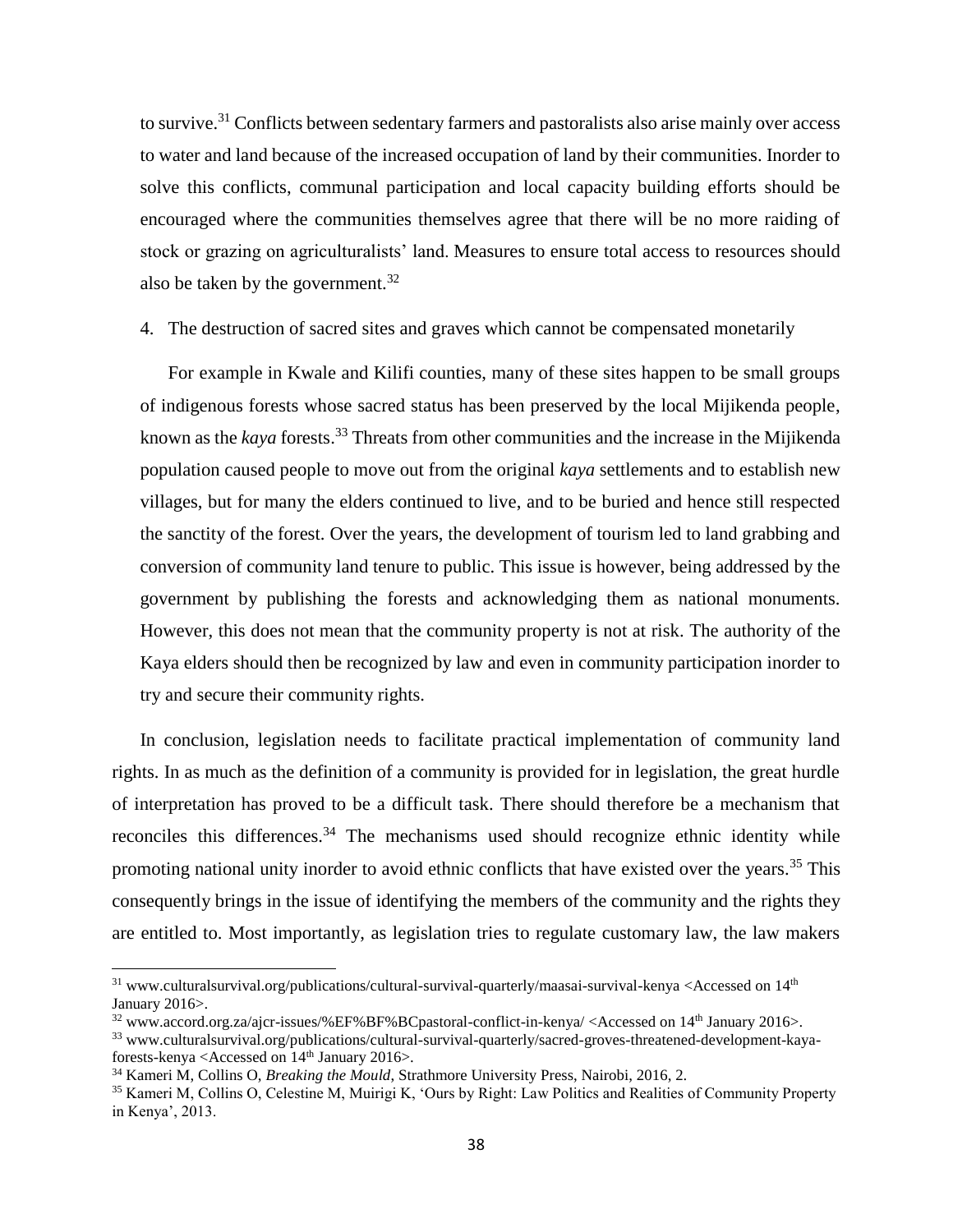to survive.<sup>31</sup> Conflicts between sedentary farmers and pastoralists also arise mainly over access to water and land because of the increased occupation of land by their communities. Inorder to solve this conflicts, communal participation and local capacity building efforts should be encouraged where the communities themselves agree that there will be no more raiding of stock or grazing on agriculturalists' land. Measures to ensure total access to resources should also be taken by the government.<sup>32</sup>

4. The destruction of sacred sites and graves which cannot be compensated monetarily

For example in Kwale and Kilifi counties, many of these sites happen to be small groups of indigenous forests whose sacred status has been preserved by the local Mijikenda people, known as the *kaya* forests. <sup>33</sup> Threats from other communities and the increase in the Mijikenda population caused people to move out from the original *kaya* settlements and to establish new villages, but for many the elders continued to live, and to be buried and hence still respected the sanctity of the forest. Over the years, the development of tourism led to land grabbing and conversion of community land tenure to public. This issue is however, being addressed by the government by publishing the forests and acknowledging them as national monuments. However, this does not mean that the community property is not at risk. The authority of the Kaya elders should then be recognized by law and even in community participation inorder to try and secure their community rights.

In conclusion, legislation needs to facilitate practical implementation of community land rights. In as much as the definition of a community is provided for in legislation, the great hurdle of interpretation has proved to be a difficult task. There should therefore be a mechanism that reconciles this differences.<sup>34</sup> The mechanisms used should recognize ethnic identity while promoting national unity inorder to avoid ethnic conflicts that have existed over the years.<sup>35</sup> This consequently brings in the issue of identifying the members of the community and the rights they are entitled to. Most importantly, as legislation tries to regulate customary law, the law makers

 $\overline{a}$ 

 $31$  [www.culturalsurvival.org/publications/cultural-survival-quarterly/maasai-survival-kenya](http://www.culturalsurvival.org/publications/cultural-survival-quarterly/maasai-survival-kenya) <Accessed on  $14<sup>th</sup>$ January 2016>.

<sup>32</sup> [www.accord.org.za/ajcr-issues/%EF%BF%BCpastoral-conflict-in-kenya/](http://www.accord.org.za/ajcr-issues/%EF%BF%BCpastoral-conflict-in-kenya/) <Accessed on 14th January 2016>.

<sup>33</sup> [www.culturalsurvival.org/publications/cultural-survival-quarterly/sacred-groves-threatened-development-kaya](http://www.culturalsurvival.org/publications/cultural-survival-quarterly/sacred-groves-threatened-development-kaya-forests-kenya)[forests-kenya](http://www.culturalsurvival.org/publications/cultural-survival-quarterly/sacred-groves-threatened-development-kaya-forests-kenya) <Accessed on 14<sup>th</sup> January 2016>.

<sup>34</sup> Kameri M, Collins O, *Breaking the Mould*, Strathmore University Press, Nairobi, 2016, 2.

<sup>35</sup> Kameri M, Collins O, Celestine M, Muirigi K, 'Ours by Right: Law Politics and Realities of Community Property in Kenya', 2013.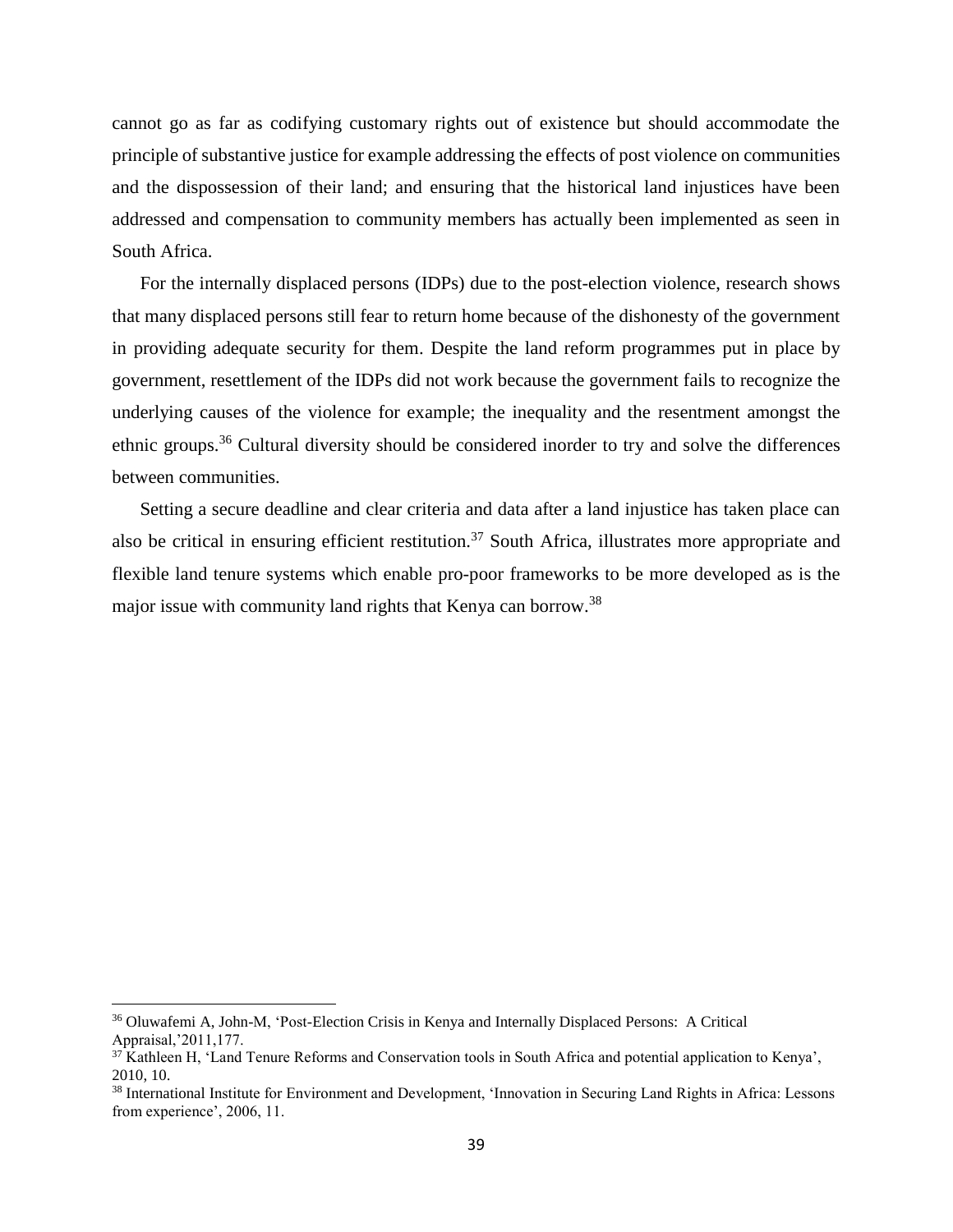cannot go as far as codifying customary rights out of existence but should accommodate the principle of substantive justice for example addressing the effects of post violence on communities and the dispossession of their land; and ensuring that the historical land injustices have been addressed and compensation to community members has actually been implemented as seen in South Africa.

For the internally displaced persons (IDPs) due to the post-election violence, research shows that many displaced persons still fear to return home because of the dishonesty of the government in providing adequate security for them. Despite the land reform programmes put in place by government, resettlement of the IDPs did not work because the government fails to recognize the underlying causes of the violence for example; the inequality and the resentment amongst the ethnic groups.<sup>36</sup> Cultural diversity should be considered inorder to try and solve the differences between communities.

Setting a secure deadline and clear criteria and data after a land injustice has taken place can also be critical in ensuring efficient restitution.<sup>37</sup> South Africa, illustrates more appropriate and flexible land tenure systems which enable pro-poor frameworks to be more developed as is the major issue with community land rights that Kenya can borrow.<sup>38</sup>

l

<sup>36</sup> Oluwafemi A, John-M, 'Post-Election Crisis in Kenya and Internally Displaced Persons: A Critical Appraisal,'2011,177.

 $37$  Kathleen H, 'Land Tenure Reforms and Conservation tools in South Africa and potential application to Kenya', 2010, 10.

<sup>38</sup> International Institute for Environment and Development, 'Innovation in Securing Land Rights in Africa: Lessons from experience', 2006, 11.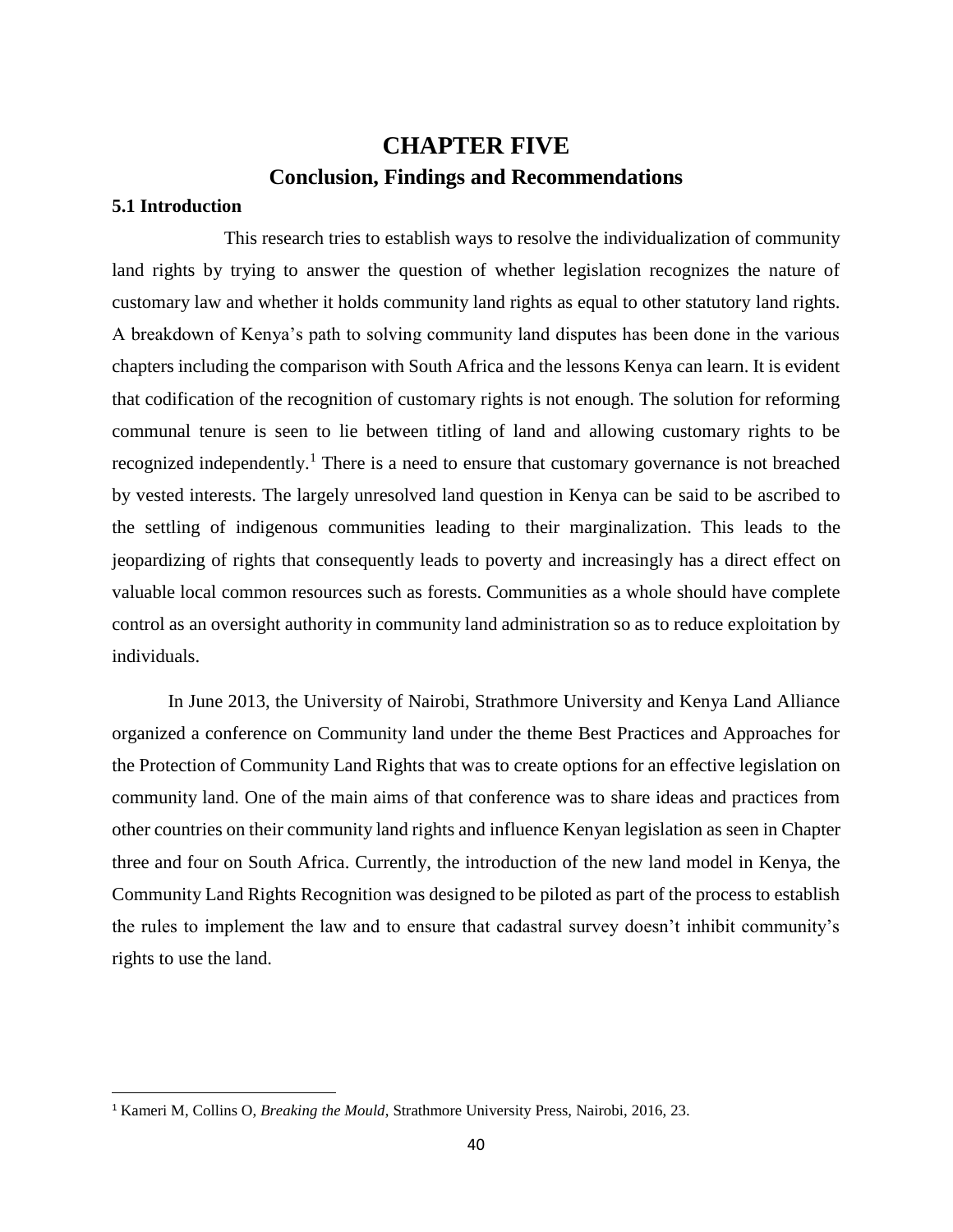## **CHAPTER FIVE Conclusion, Findings and Recommendations**

## <span id="page-49-2"></span><span id="page-49-1"></span><span id="page-49-0"></span>**5.1 Introduction**

 $\overline{\phantom{a}}$ 

This research tries to establish ways to resolve the individualization of community land rights by trying to answer the question of whether legislation recognizes the nature of customary law and whether it holds community land rights as equal to other statutory land rights. A breakdown of Kenya's path to solving community land disputes has been done in the various chapters including the comparison with South Africa and the lessons Kenya can learn. It is evident that codification of the recognition of customary rights is not enough. The solution for reforming communal tenure is seen to lie between titling of land and allowing customary rights to be recognized independently.<sup>1</sup> There is a need to ensure that customary governance is not breached by vested interests. The largely unresolved land question in Kenya can be said to be ascribed to the settling of indigenous communities leading to their marginalization. This leads to the jeopardizing of rights that consequently leads to poverty and increasingly has a direct effect on valuable local common resources such as forests. Communities as a whole should have complete control as an oversight authority in community land administration so as to reduce exploitation by individuals.

In June 2013, the University of Nairobi, Strathmore University and Kenya Land Alliance organized a conference on Community land under the theme Best Practices and Approaches for the Protection of Community Land Rights that was to create options for an effective legislation on community land. One of the main aims of that conference was to share ideas and practices from other countries on their community land rights and influence Kenyan legislation as seen in Chapter three and four on South Africa. Currently, the introduction of the new land model in Kenya, the Community Land Rights Recognition was designed to be piloted as part of the process to establish the rules to implement the law and to ensure that cadastral survey doesn't inhibit community's rights to use the land.

<sup>1</sup> Kameri M, Collins O, *Breaking the Mould*, Strathmore University Press, Nairobi, 2016, 23.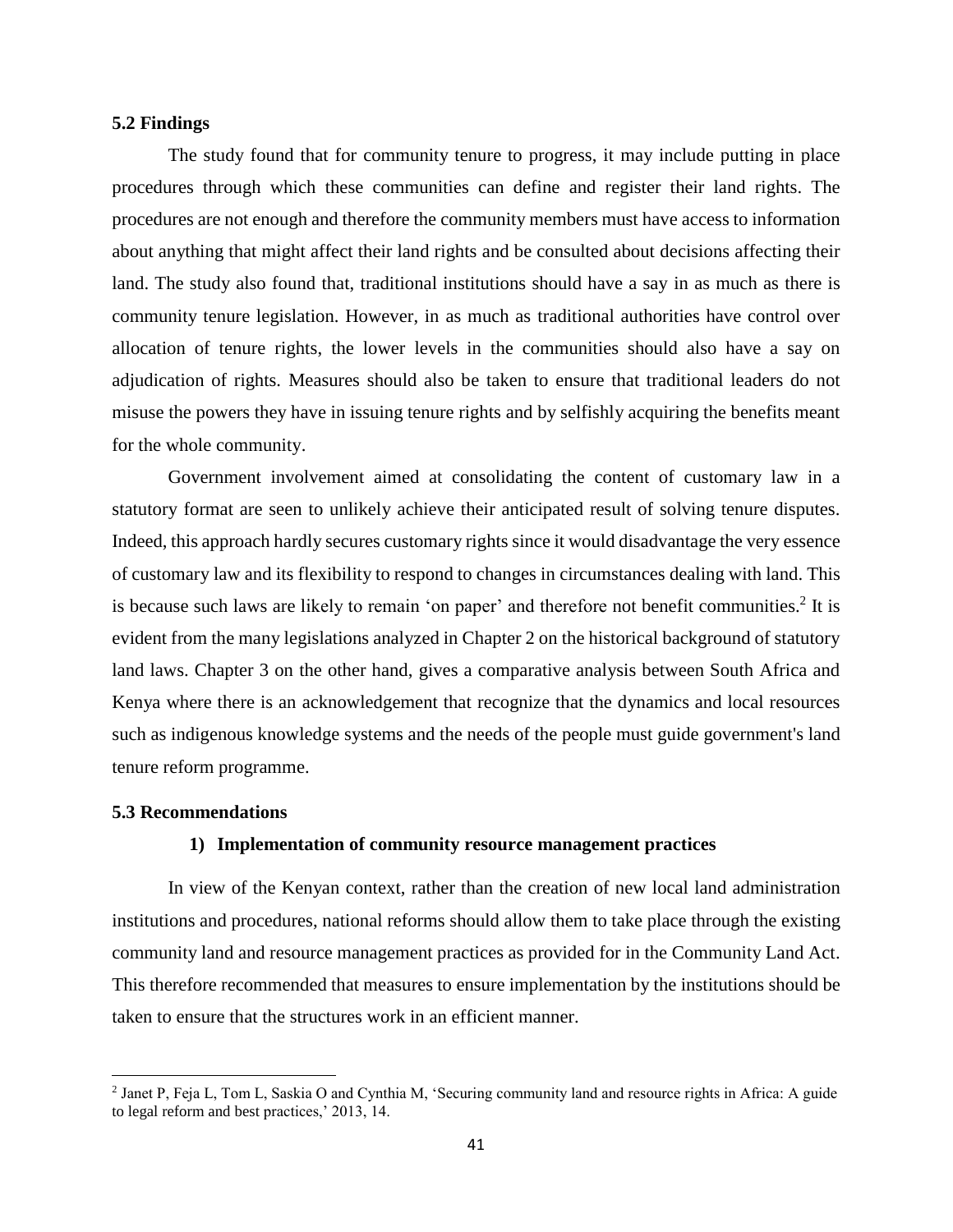#### <span id="page-50-0"></span>**5.2 Findings**

The study found that for community tenure to progress, it may include putting in place procedures through which these communities can define and register their land rights. The procedures are not enough and therefore the community members must have access to information about anything that might affect their land rights and be consulted about decisions affecting their land. The study also found that, traditional institutions should have a say in as much as there is community tenure legislation. However, in as much as traditional authorities have control over allocation of tenure rights, the lower levels in the communities should also have a say on adjudication of rights. Measures should also be taken to ensure that traditional leaders do not misuse the powers they have in issuing tenure rights and by selfishly acquiring the benefits meant for the whole community.

Government involvement aimed at consolidating the content of customary law in a statutory format are seen to unlikely achieve their anticipated result of solving tenure disputes. Indeed, this approach hardly secures customary rights since it would disadvantage the very essence of customary law and its flexibility to respond to changes in circumstances dealing with land. This is because such laws are likely to remain 'on paper' and therefore not benefit communities.<sup>2</sup> It is evident from the many legislations analyzed in Chapter 2 on the historical background of statutory land laws. Chapter 3 on the other hand, gives a comparative analysis between South Africa and Kenya where there is an acknowledgement that recognize that the dynamics and local resources such as indigenous knowledge systems and the needs of the people must guide government's land tenure reform programme.

#### <span id="page-50-1"></span>**5.3 Recommendations**

 $\overline{\phantom{a}}$ 

#### **1) Implementation of community resource management practices**

In view of the Kenyan context, rather than the creation of new local land administration institutions and procedures, national reforms should allow them to take place through the existing community land and resource management practices as provided for in the Community Land Act. This therefore recommended that measures to ensure implementation by the institutions should be taken to ensure that the structures work in an efficient manner.

<sup>2</sup> Janet P, Feja L, Tom L, Saskia O and Cynthia M, 'Securing community land and resource rights in Africa: A guide to legal reform and best practices,' 2013, 14.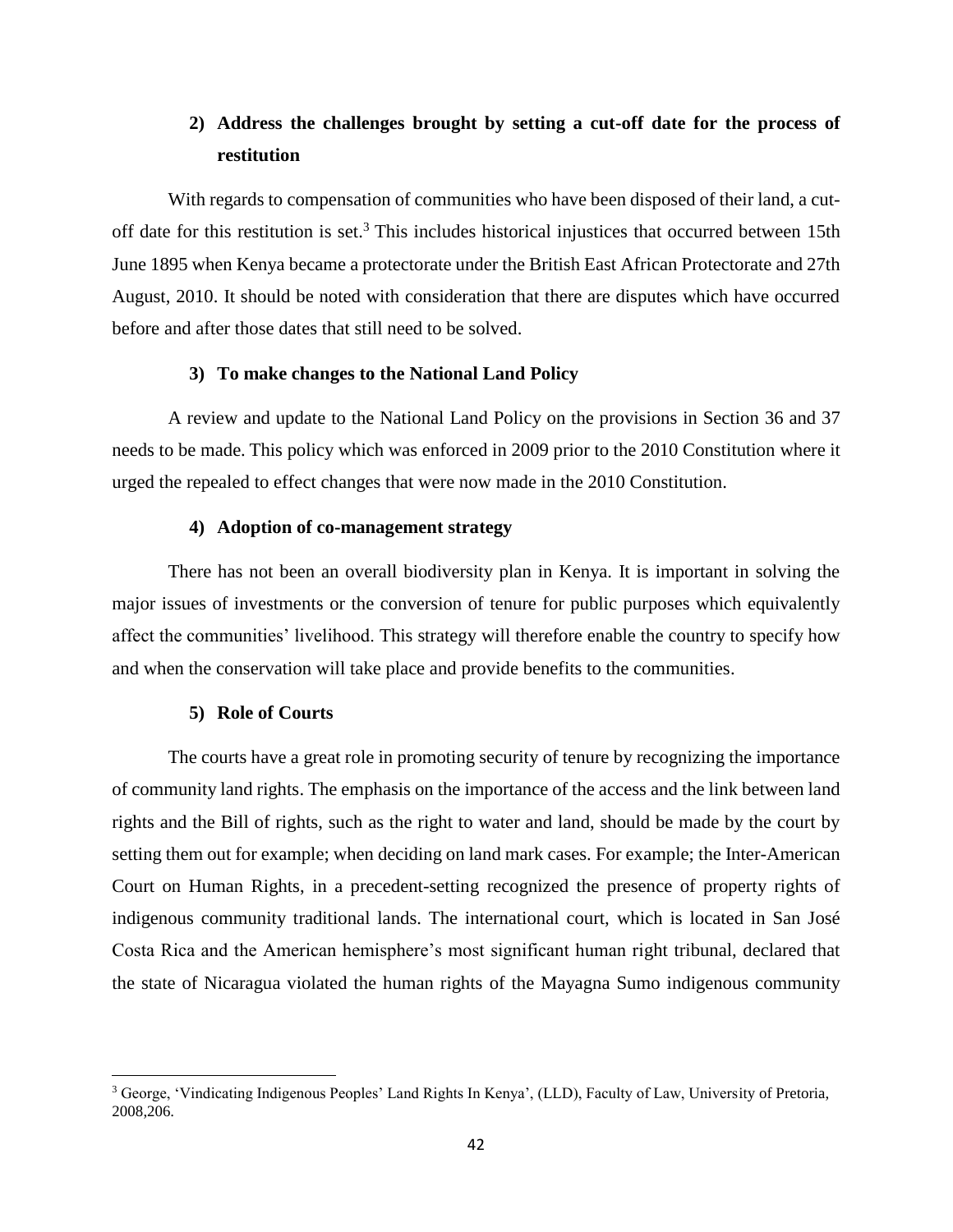## **2) Address the challenges brought by setting a cut-off date for the process of restitution**

With regards to compensation of communities who have been disposed of their land, a cutoff date for this restitution is set.<sup>3</sup> This includes historical injustices that occurred between 15th June 1895 when Kenya became a protectorate under the British East African Protectorate and 27th August, 2010. It should be noted with consideration that there are disputes which have occurred before and after those dates that still need to be solved.

#### **3) To make changes to the National Land Policy**

A review and update to the National Land Policy on the provisions in Section 36 and 37 needs to be made. This policy which was enforced in 2009 prior to the 2010 Constitution where it urged the repealed to effect changes that were now made in the 2010 Constitution.

### **4) Adoption of co-management strategy**

There has not been an overall biodiversity plan in Kenya. It is important in solving the major issues of investments or the conversion of tenure for public purposes which equivalently affect the communities' livelihood. This strategy will therefore enable the country to specify how and when the conservation will take place and provide benefits to the communities.

### **5) Role of Courts**

 $\overline{\phantom{a}}$ 

The courts have a great role in promoting security of tenure by recognizing the importance of community land rights. The emphasis on the importance of the access and the link between land rights and the Bill of rights, such as the right to water and land, should be made by the court by setting them out for example; when deciding on land mark cases. For example; the Inter-American Court on Human Rights, in a precedent-setting recognized the presence of property rights of indigenous community traditional lands. The international court, which is located in San José Costa Rica and the American hemisphere's most significant human right tribunal, declared that the state of Nicaragua violated the human rights of the Mayagna Sumo indigenous community

<sup>3</sup> George, 'Vindicating Indigenous Peoples' Land Rights In Kenya', (LLD), Faculty of Law, University of Pretoria, 2008,206.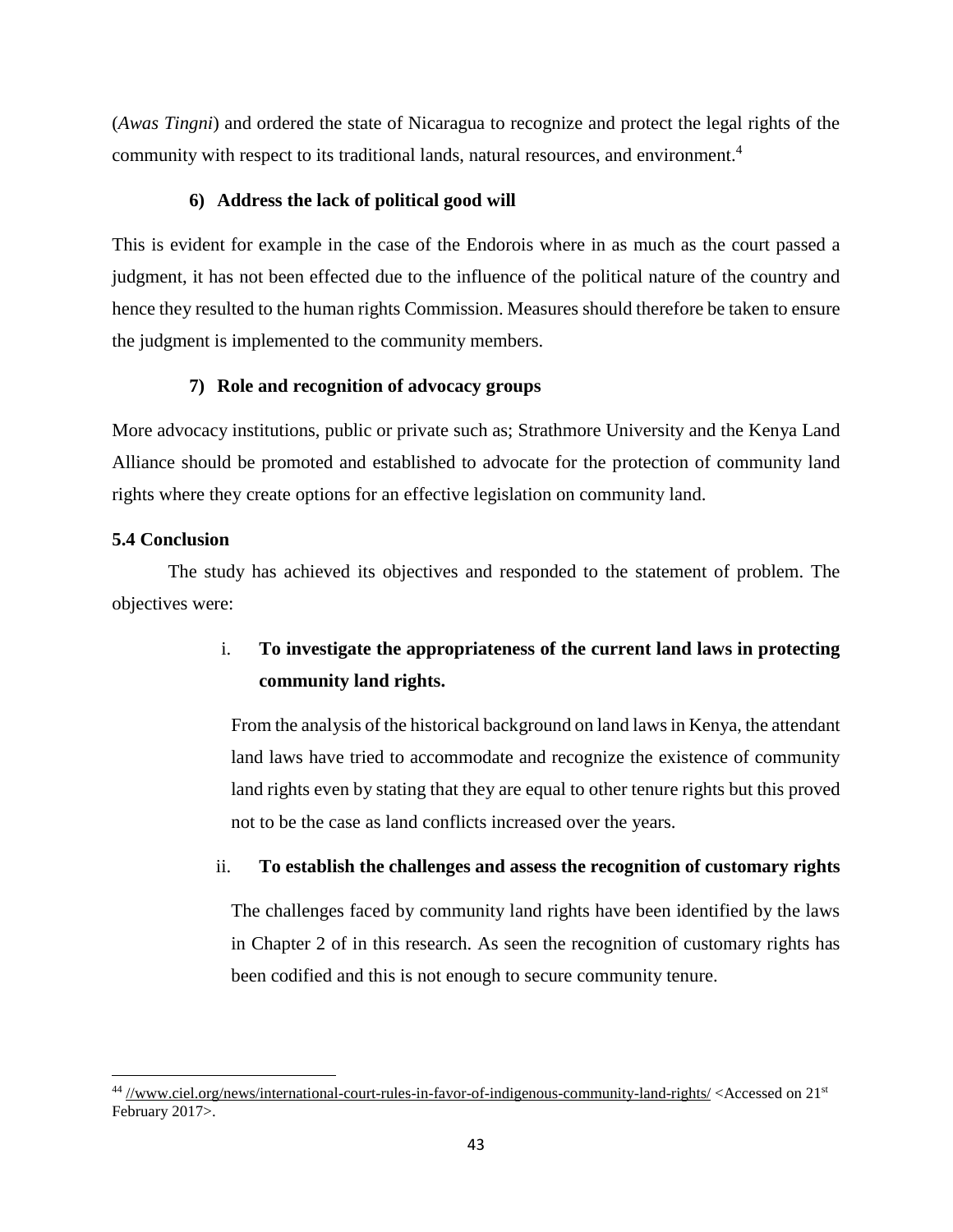(*Awas Tingni*) and ordered the state of Nicaragua to recognize and protect the legal rights of the community with respect to its traditional lands, natural resources, and environment.<sup>4</sup>

## **6) Address the lack of political good will**

This is evident for example in the case of the Endorois where in as much as the court passed a judgment, it has not been effected due to the influence of the political nature of the country and hence they resulted to the human rights Commission. Measures should therefore be taken to ensure the judgment is implemented to the community members.

## **7) Role and recognition of advocacy groups**

More advocacy institutions, public or private such as; Strathmore University and the Kenya Land Alliance should be promoted and established to advocate for the protection of community land rights where they create options for an effective legislation on community land.

## <span id="page-52-0"></span>**5.4 Conclusion**

 $\overline{\phantom{a}}$ 

The study has achieved its objectives and responded to the statement of problem. The objectives were:

## i. **To investigate the appropriateness of the current land laws in protecting community land rights.**

From the analysis of the historical background on land laws in Kenya, the attendant land laws have tried to accommodate and recognize the existence of community land rights even by stating that they are equal to other tenure rights but this proved not to be the case as land conflicts increased over the years.

## ii. **To establish the challenges and assess the recognition of customary rights**

The challenges faced by community land rights have been identified by the laws in Chapter 2 of in this research. As seen the recognition of customary rights has been codified and this is not enough to secure community tenure.

<sup>&</sup>lt;sup>44</sup> [//www.ciel.org/news/international-court-rules-in-favor-of-indigenous-community-land-rights/](http://www.ciel.org/news/international-court-rules-in-favor-of-indigenous-community-land-rights/)<Accessed on 21<sup>st</sup> February 2017>.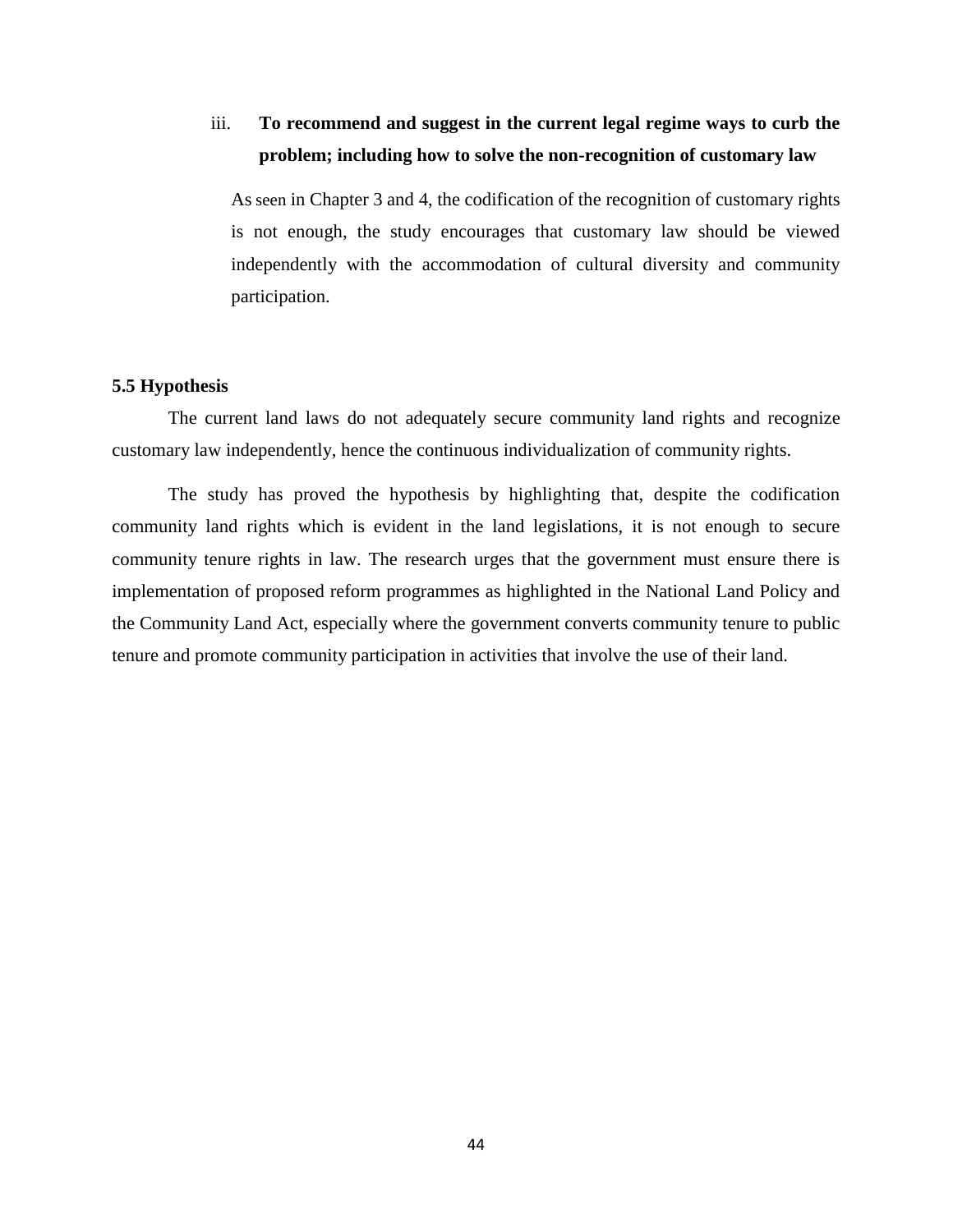## iii. **To recommend and suggest in the current legal regime ways to curb the problem; including how to solve the non-recognition of customary law**

As seen in Chapter 3 and 4, the codification of the recognition of customary rights is not enough, the study encourages that customary law should be viewed independently with the accommodation of cultural diversity and community participation.

#### <span id="page-53-0"></span>**5.5 Hypothesis**

The current land laws do not adequately secure community land rights and recognize customary law independently, hence the continuous individualization of community rights.

The study has proved the hypothesis by highlighting that, despite the codification community land rights which is evident in the land legislations, it is not enough to secure community tenure rights in law. The research urges that the government must ensure there is implementation of proposed reform programmes as highlighted in the National Land Policy and the Community Land Act, especially where the government converts community tenure to public tenure and promote community participation in activities that involve the use of their land.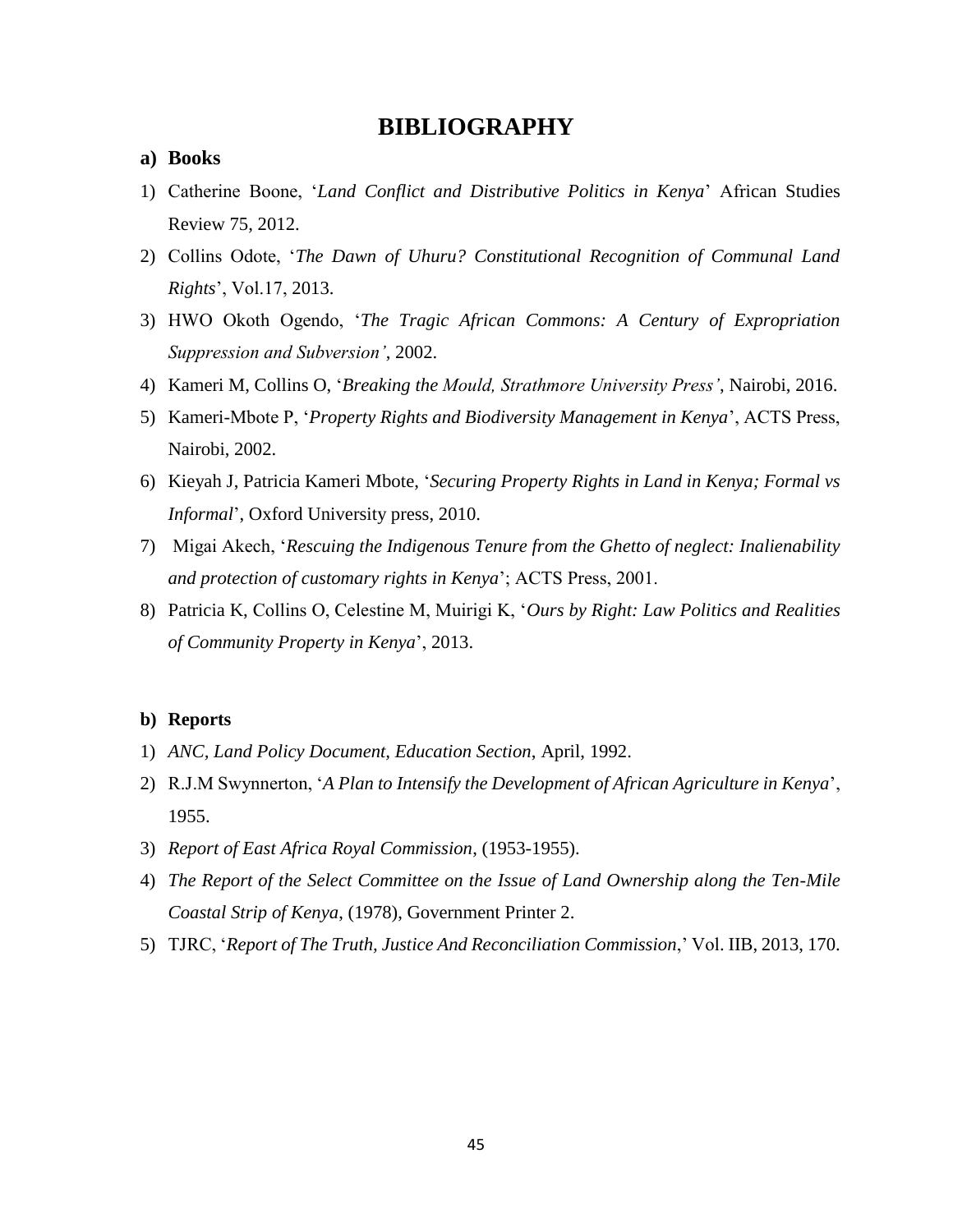## **BIBLIOGRAPHY**

### <span id="page-54-1"></span><span id="page-54-0"></span>**a) Books**

- 1) Catherine Boone, '*Land Conflict and Distributive Politics in Kenya*' African Studies Review 75, 2012.
- 2) Collins Odote, '*The Dawn of Uhuru? Constitutional Recognition of Communal Land Rights*', Vol.17, 2013.
- 3) HWO Okoth Ogendo, '*The Tragic African Commons: A Century of Expropriation Suppression and Subversion'*, 2002.
- 4) Kameri M, Collins O, '*Breaking the Mould, Strathmore University Press'*, Nairobi, 2016.
- 5) Kameri-Mbote P, '*Property Rights and Biodiversity Management in Kenya*', ACTS Press, Nairobi, 2002.
- 6) Kieyah J, Patricia Kameri Mbote, '*Securing Property Rights in Land in Kenya; Formal vs Informal*', Oxford University press, 2010.
- 7) Migai Akech, '*Rescuing the Indigenous Tenure from the Ghetto of neglect: Inalienability and protection of customary rights in Kenya*'; ACTS Press, 2001.
- 8) Patricia K, Collins O, Celestine M, Muirigi K, '*Ours by Right: Law Politics and Realities of Community Property in Kenya*', 2013.

#### <span id="page-54-2"></span>**b) Reports**

- 1) *ANC, Land Policy Document, Education Section*, April, 1992.
- 2) R.J.M Swynnerton, '*A Plan to Intensify the Development of African Agriculture in Kenya*', 1955.
- 3) *Report of East Africa Royal Commission*, (1953-1955).
- 4) *The Report of the Select Committee on the Issue of Land Ownership along the Ten-Mile Coastal Strip of Kenya*, (1978), Government Printer 2.
- 5) TJRC, '*Report of The Truth, Justice And Reconciliation Commission*,' Vol. IIB, 2013, 170.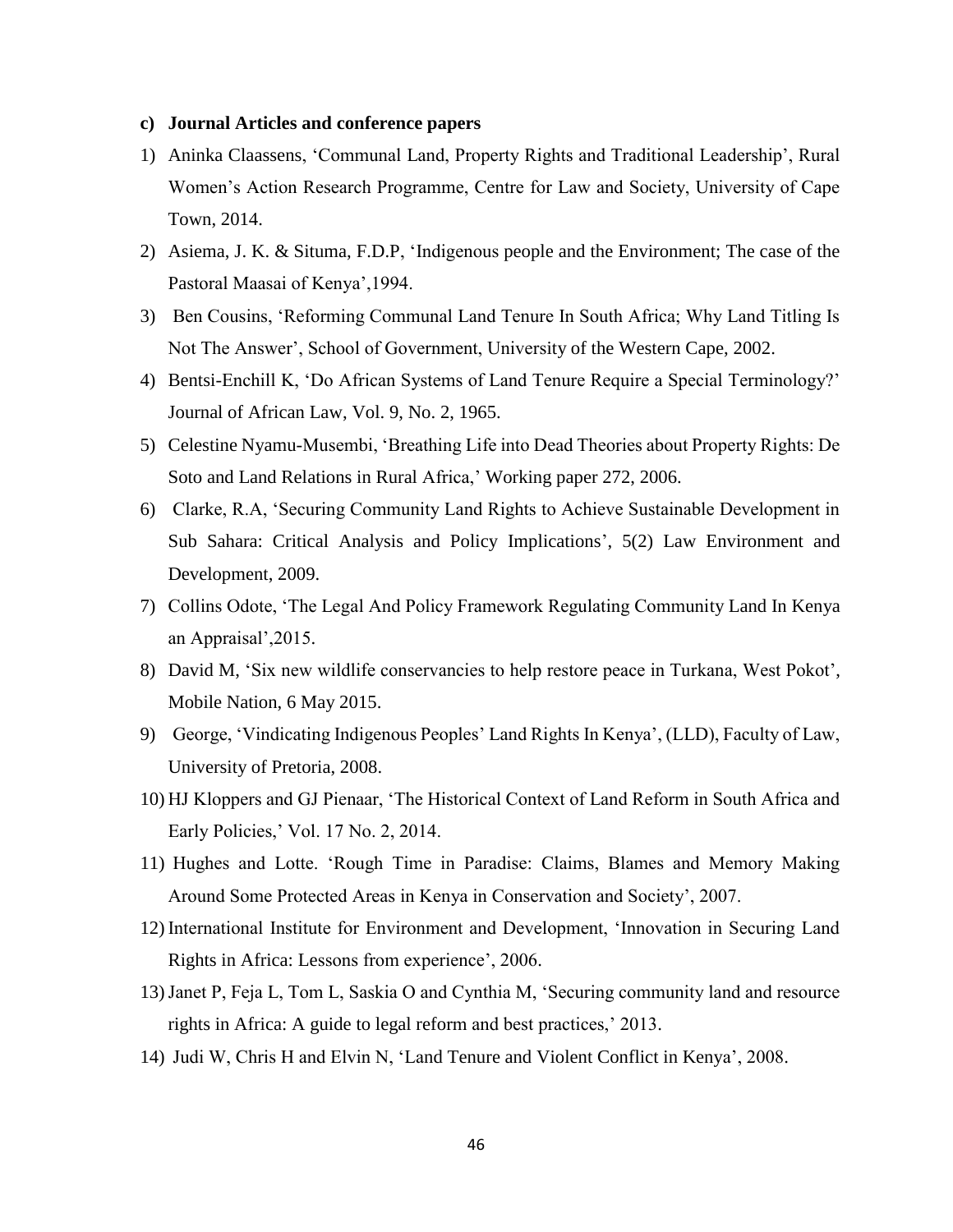### <span id="page-55-0"></span>**c) Journal Articles and conference papers**

- 1) Aninka Claassens, 'Communal Land, Property Rights and Traditional Leadership', Rural Women's Action Research Programme, Centre for Law and Society, University of Cape Town, 2014.
- 2) Asiema, J. K. & Situma, F.D.P, 'Indigenous people and the Environment; The case of the Pastoral Maasai of Kenya',1994.
- 3) Ben Cousins, 'Reforming Communal Land Tenure In South Africa; Why Land Titling Is Not The Answer', School of Government, University of the Western Cape, 2002.
- 4) Bentsi-Enchill K, 'Do African Systems of Land Tenure Require a Special Terminology?' Journal of African Law, Vol. 9, No. 2, 1965.
- 5) Celestine Nyamu-Musembi, 'Breathing Life into Dead Theories about Property Rights: De Soto and Land Relations in Rural Africa,' Working paper 272, 2006.
- 6) Clarke, R.A, 'Securing Community Land Rights to Achieve Sustainable Development in Sub Sahara: Critical Analysis and Policy Implications', 5(2) Law Environment and Development, 2009.
- 7) Collins Odote, 'The Legal And Policy Framework Regulating Community Land In Kenya an Appraisal',2015.
- 8) David M, 'Six new wildlife conservancies to help restore peace in Turkana, West Pokot', Mobile Nation, 6 May 2015.
- 9) George, 'Vindicating Indigenous Peoples' Land Rights In Kenya', (LLD), Faculty of Law, University of Pretoria, 2008.
- 10) HJ Kloppers and GJ Pienaar, 'The Historical Context of Land Reform in South Africa and Early Policies,' Vol. 17 No. 2, 2014.
- 11) Hughes and Lotte. 'Rough Time in Paradise: Claims, Blames and Memory Making Around Some Protected Areas in Kenya in Conservation and Society', 2007.
- 12) International Institute for Environment and Development, 'Innovation in Securing Land Rights in Africa: Lessons from experience', 2006.
- 13)Janet P, Feja L, Tom L, Saskia O and Cynthia M, 'Securing community land and resource rights in Africa: A guide to legal reform and best practices,' 2013.
- 14) Judi W, Chris H and Elvin N, 'Land Tenure and Violent Conflict in Kenya', 2008.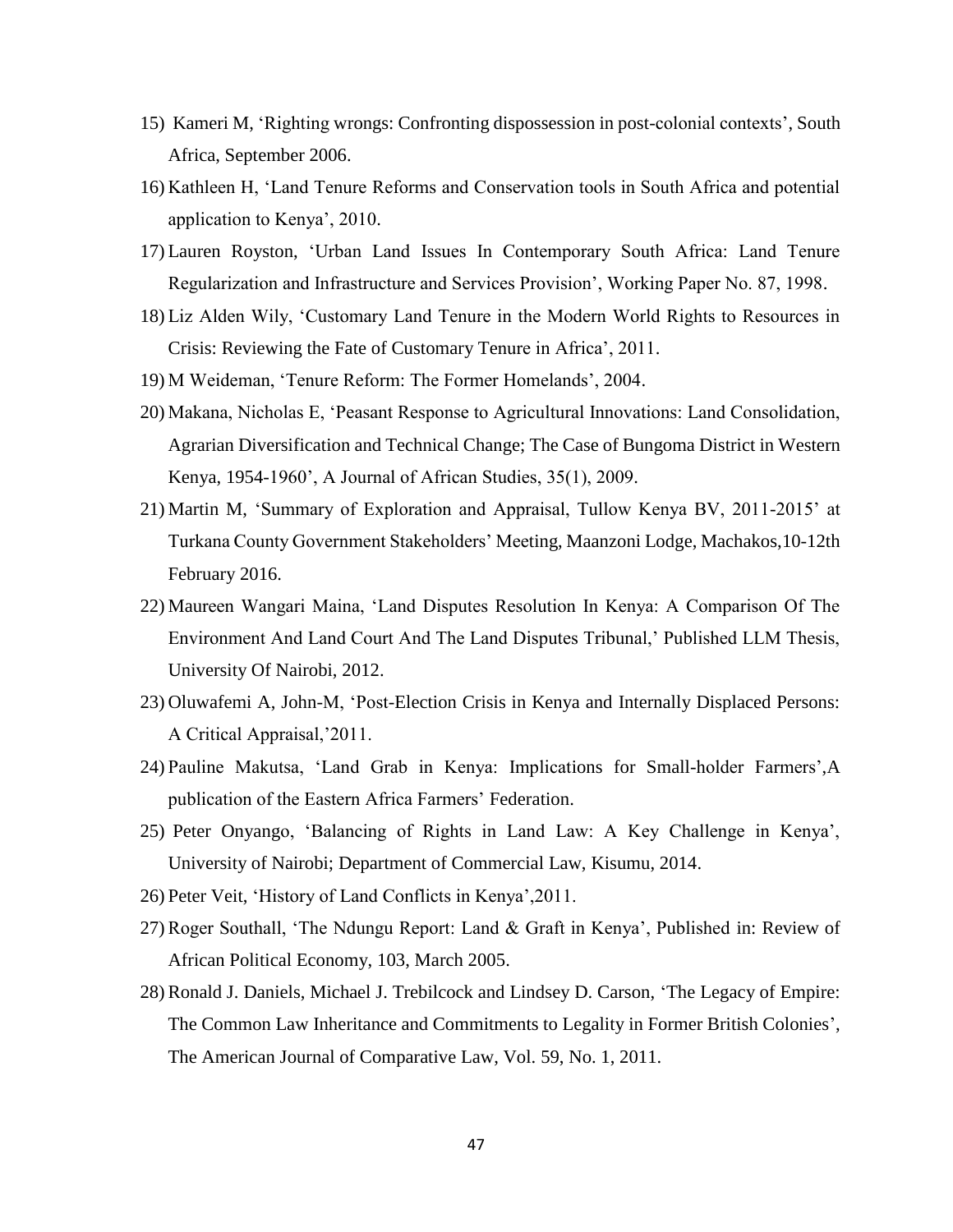- 15) Kameri M, 'Righting wrongs: Confronting dispossession in post-colonial contexts', South Africa, September 2006.
- 16) Kathleen H, 'Land Tenure Reforms and Conservation tools in South Africa and potential application to Kenya', 2010.
- 17) Lauren Royston, 'Urban Land Issues In Contemporary South Africa: Land Tenure Regularization and Infrastructure and Services Provision', Working Paper No. 87, 1998.
- 18) Liz Alden Wily, 'Customary Land Tenure in the Modern World Rights to Resources in Crisis: Reviewing the Fate of Customary Tenure in Africa', 2011.
- 19) M Weideman, 'Tenure Reform: The Former Homelands', 2004.
- 20) Makana, Nicholas E, 'Peasant Response to Agricultural Innovations: Land Consolidation, Agrarian Diversification and Technical Change; The Case of Bungoma District in Western Kenya, 1954-1960', A Journal of African Studies, 35(1), 2009.
- 21) Martin M, 'Summary of Exploration and Appraisal, Tullow Kenya BV, 2011-2015' at Turkana County Government Stakeholders' Meeting, Maanzoni Lodge, Machakos,10-12th February 2016.
- 22) Maureen Wangari Maina, 'Land Disputes Resolution In Kenya: A Comparison Of The Environment And Land Court And The Land Disputes Tribunal,' Published LLM Thesis, University Of Nairobi, 2012.
- 23) Oluwafemi A, John-M, 'Post-Election Crisis in Kenya and Internally Displaced Persons: A Critical Appraisal,'2011.
- 24) Pauline Makutsa, 'Land Grab in Kenya: Implications for Small-holder Farmers',A publication of the Eastern Africa Farmers' Federation.
- 25) Peter Onyango, 'Balancing of Rights in Land Law: A Key Challenge in Kenya', University of Nairobi; Department of Commercial Law, Kisumu, 2014.
- 26) Peter Veit, 'History of Land Conflicts in Kenya',2011.
- 27)Roger Southall, 'The Ndungu Report: Land & Graft in Kenya', Published in: Review of African Political Economy, 103, March 2005.
- 28)Ronald J. Daniels, Michael J. Trebilcock and Lindsey D. Carson, 'The Legacy of Empire: The Common Law Inheritance and Commitments to Legality in Former British Colonies', The American Journal of Comparative Law, Vol. 59, No. 1, 2011.